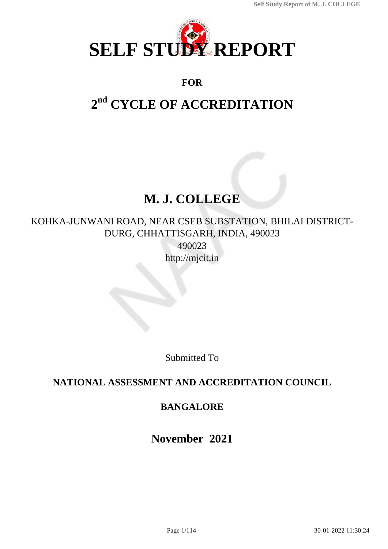

### **FOR**

# **2 nd CYCLE OF ACCREDITATION**

# **M. J. COLLEGE**

KOHKA-JUNWANI ROAD, NEAR CSEB SUBSTATION, BHILAI DISTRICT-DURG, CHHATTISGARH, INDIA, 490023

490023 http://mjcit.in

Submitted To

# **NATIONAL ASSESSMENT AND ACCREDITATION COUNCIL**

## **BANGALORE**

**November 2021**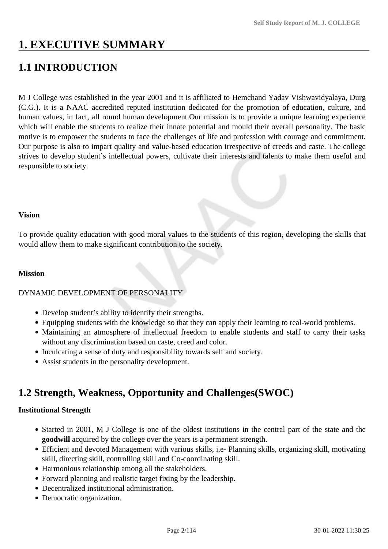# **1. EXECUTIVE SUMMARY**

# **1.1 INTRODUCTION**

M J College was established in the year 2001 and it is affiliated to Hemchand Yadav Vishwavidyalaya, Durg (C.G.). It is a NAAC accredited reputed institution dedicated for the promotion of education, culture, and human values, in fact, all round human development.Our mission is to provide a unique learning experience which will enable the students to realize their innate potential and mould their overall personality. The basic motive is to empower the students to face the challenges of life and profession with courage and commitment. Our purpose is also to impart quality and value-based education irrespective of creeds and caste. The college strives to develop student's intellectual powers, cultivate their interests and talents to make them useful and responsible to society.

### **Vision**

To provide quality education with good moral values to the students of this region, developing the skills that would allow them to make significant contribution to the society.

### **Mission**

### DYNAMIC DEVELOPMENT OF PERSONALITY

- Develop student's ability to identify their strengths.
- Equipping students with the knowledge so that they can apply their learning to real-world problems.
- Maintaining an atmosphere of intellectual freedom to enable students and staff to carry their tasks without any discrimination based on caste, creed and color.
- Inculcating a sense of duty and responsibility towards self and society.
- Assist students in the personality development.

## **1.2 Strength, Weakness, Opportunity and Challenges(SWOC)**

### **Institutional Strength**

- Started in 2001, M J College is one of the oldest institutions in the central part of the state and the **goodwill** acquired by the college over the years is a permanent strength.
- Efficient and devoted Management with various skills, i.e- Planning skills, organizing skill, motivating skill, directing skill, controlling skill and Co-coordinating skill.
- Harmonious relationship among all the stakeholders.
- Forward planning and realistic target fixing by the leadership.
- Decentralized institutional administration.
- Democratic organization.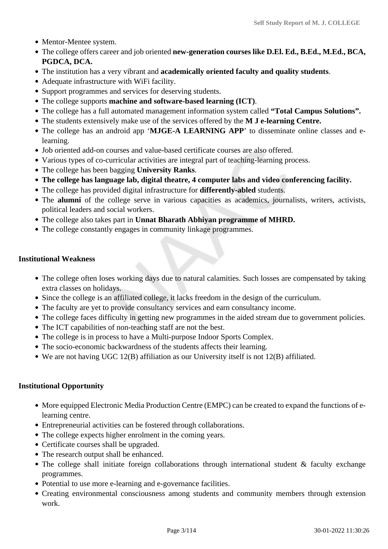- Mentor-Mentee system.
- The college offers career and job oriented **new-generation courses like D.El. Ed., B.Ed., M.Ed., BCA, PGDCA, DCA.**
- The institution has a very vibrant and **academically oriented faculty and quality students**.
- Adequate infrastructure with WiFi facility.
- Support programmes and services for deserving students.
- The college supports **machine and software-based learning (ICT)**.
- The college has a full automated management information system called **"Total Campus Solutions".**
- The students extensively make use of the services offered by the **M J e-learning Centre.**
- The college has an android app '**MJGE-A LEARNING APP**' to disseminate online classes and elearning.
- Job oriented add-on courses and value-based certificate courses are also offered.
- Various types of co-curricular activities are integral part of teaching-learning process.
- The college has been bagging **University Ranks**.
- **The college has language lab, digital theatre, 4 computer labs and video conferencing facility.**
- The college has provided digital infrastructure for **differently-abled** students.
- The **alumni** of the college serve in various capacities as academics, journalists, writers, activists, political leaders and social workers.
- The college also takes part in **Unnat Bharath Abhiyan programme of MHRD.**
- The college constantly engages in community linkage programmes.

### **Institutional Weakness**

- The college often loses working days due to natural calamities. Such losses are compensated by taking extra classes on holidays.
- Since the college is an affiliated college, it lacks freedom in the design of the curriculum.
- The faculty are yet to provide consultancy services and earn consultancy income.
- The college faces difficulty in getting new programmes in the aided stream due to government policies.
- The ICT capabilities of non-teaching staff are not the best.
- The college is in process to have a Multi-purpose Indoor Sports Complex.
- The socio-economic backwardness of the students affects their learning.
- We are not having UGC 12(B) affiliation as our University itself is not 12(B) affiliated.

### **Institutional Opportunity**

- More equipped Electronic Media Production Centre (EMPC) can be created to expand the functions of elearning centre.
- Entrepreneurial activities can be fostered through collaborations.
- The college expects higher enrolment in the coming years.
- Certificate courses shall be upgraded.
- The research output shall be enhanced.
- The college shall initiate foreign collaborations through international student & faculty exchange programmes.
- Potential to use more e-learning and e-governance facilities.
- Creating environmental consciousness among students and community members through extension work.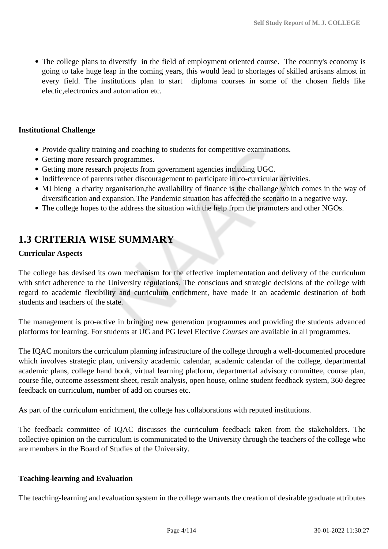The college plans to diversify in the field of employment oriented course. The country's economy is going to take huge leap in the coming years, this would lead to shortages of skilled artisans almost in every field. The institutions plan to start diploma courses in some of the chosen fields like electic,electronics and automation etc.

#### **Institutional Challenge**

- Provide quality training and coaching to students for competitive examinations.
- Getting more research programmes.
- Getting more research projects from government agencies including UGC.
- Indifference of parents rather discouragement to participate in co-curricular activities.
- MJ bieng a charity organisation,the availability of finance is the challange which comes in the way of diversification and expansion.The Pandemic situation has affected the scenario in a negative way.
- The college hopes to the address the situation with the help frpm the pramoters and other NGOs.

### **1.3 CRITERIA WISE SUMMARY**

### **Curricular Aspects**

The college has devised its own mechanism for the effective implementation and delivery of the curriculum with strict adherence to the University regulations. The conscious and strategic decisions of the college with regard to academic flexibility and curriculum enrichment, have made it an academic destination of both students and teachers of the state.

The management is pro-active in bringing new generation programmes and providing the students advanced platforms for learning. For students at UG and PG level Elective *Courses* are available in all programmes.

The IQAC monitors the curriculum planning infrastructure of the college through a well-documented procedure which involves strategic plan, university academic calendar, academic calendar of the college, departmental academic plans, college hand book, virtual learning platform, departmental advisory committee, course plan, course file, outcome assessment sheet, result analysis, open house, online student feedback system, 360 degree feedback on curriculum, number of add on courses etc.

As part of the curriculum enrichment, the college has collaborations with reputed institutions.

The feedback committee of IQAC discusses the curriculum feedback taken from the stakeholders. The collective opinion on the curriculum is communicated to the University through the teachers of the college who are members in the Board of Studies of the University.

### **Teaching-learning and Evaluation**

The teaching-learning and evaluation system in the college warrants the creation of desirable graduate attributes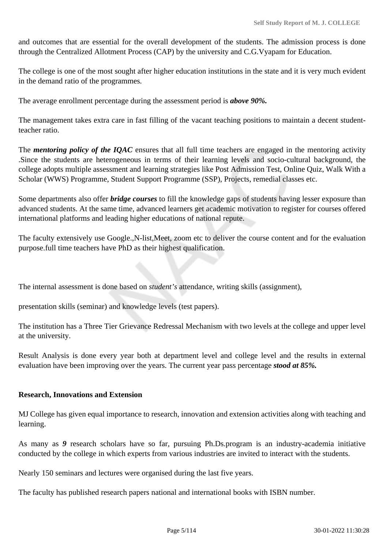and outcomes that are essential for the overall development of the students. The admission process is done through the Centralized Allotment Process (CAP) by the university and C.G.Vyapam for Education.

The college is one of the most sought after higher education institutions in the state and it is very much evident in the demand ratio of the programmes*.*

The average enrollment percentage during the assessment period is *above 90%.*

The management takes extra care in fast filling of the vacant teaching positions to maintain a decent studentteacher ratio.

The *mentoring policy of the IQAC* ensures that all full time teachers are engaged in the mentoring activity .Since the students are heterogeneous in terms of their learning levels and socio-cultural background, the college adopts multiple assessment and learning strategies like Post Admission Test, Online Quiz, Walk With a Scholar (WWS) Programme, Student Support Programme (SSP), Projects, remedial classes etc.

Some departments also offer *bridge courses* to fill the knowledge gaps of students having lesser exposure than advanced students. At the same time, advanced learners get academic motivation to register for courses offered international platforms and leading higher educations of national repute.

The faculty extensively use Google.,N-list,Meet, zoom etc to deliver the course content and for the evaluation purpose.full time teachers have PhD as their highest qualification.

The internal assessment is done based on *student's* attendance, writing skills (assignment),

presentation skills (seminar) and knowledge levels (test papers).

The institution has a Three Tier Grievance Redressal Mechanism with two levels at the college and upper level at the university.

Result Analysis is done every year both at department level and college level and the results in external evaluation have been improving over the years. The current year pass percentage *stood at 85%.*

### **Research, Innovations and Extension**

MJ College has given equal importance to research, innovation and extension activities along with teaching and learning.

As many as *9* research scholars have so far, pursuing Ph.Ds.program is an industry-academia initiative conducted by the college in which experts from various industries are invited to interact with the students.

Nearly 150 seminars and lectures were organised during the last five years.

The faculty has published research papers national and international books with ISBN number.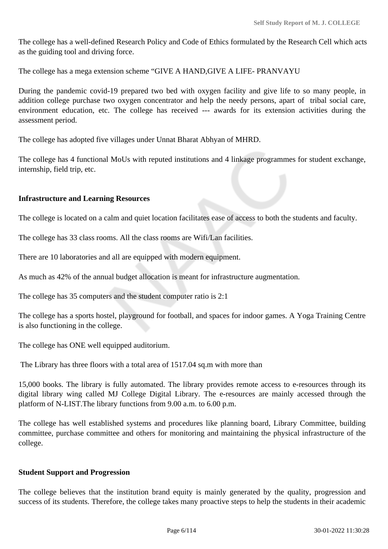The college has a well-defined Research Policy and Code of Ethics formulated by the Research Cell which acts as the guiding tool and driving force.

The college has a mega extension scheme "GIVE A HAND,GIVE A LIFE- PRANVAYU

During the pandemic covid-19 prepared two bed with oxygen facility and give life to so many people, in addition college purchase two oxygen concentrator and help the needy persons, apart of tribal social care, environment education, etc. The college has received --- awards for its extension activities during the assessment period.

The college has adopted five villages under Unnat Bharat Abhyan of MHRD.

The college has 4 functional MoUs with reputed institutions and 4 linkage programmes for student exchange, internship, field trip, etc.

### **Infrastructure and Learning Resources**

The college is located on a calm and quiet location facilitates ease of access to both the students and faculty.

The college has 33 class rooms. All the class rooms are Wifi/Lan facilities.

There are 10 laboratories and all are equipped with modern equipment.

As much as 42% of the annual budget allocation is meant for infrastructure augmentation.

The college has 35 computers and the student computer ratio is 2:1

The college has a sports hostel, playground for football, and spaces for indoor games. A Yoga Training Centre is also functioning in the college.

The college has ONE well equipped auditorium.

The Library has three floors with a total area of 1517.04 sq.m with more than

15,000 books. The library is fully automated. The library provides remote access to e-resources through its digital library wing called MJ College Digital Library. The e-resources are mainly accessed through the platform of N-LIST.The library functions from 9.00 a.m. to 6.00 p.m.

The college has well established systems and procedures like planning board, Library Committee, building committee, purchase committee and others for monitoring and maintaining the physical infrastructure of the college.

### **Student Support and Progression**

The college believes that the institution brand equity is mainly generated by the quality, progression and success of its students. Therefore, the college takes many proactive steps to help the students in their academic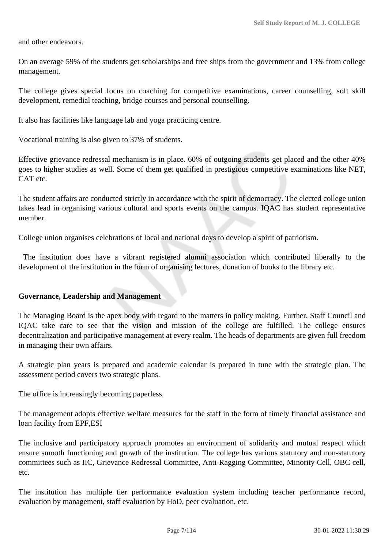and other endeavors.

On an average 59% of the students get scholarships and free ships from the government and 13% from college management.

The college gives special focus on coaching for competitive examinations, career counselling, soft skill development, remedial teaching, bridge courses and personal counselling.

It also has facilities like language lab and yoga practicing centre.

Vocational training is also given to 37% of students.

Effective grievance redressal mechanism is in place. 60% of outgoing students get placed and the other 40% goes to higher studies as well. Some of them get qualified in prestigious competitive examinations like NET, CAT etc.

The student affairs are conducted strictly in accordance with the spirit of democracy. The elected college union takes lead in organising various cultural and sports events on the campus. IQAC has student representative member.

College union organises celebrations of local and national days to develop a spirit of patriotism.

 The institution does have a vibrant registered alumni association which contributed liberally to the development of the institution in the form of organising lectures, donation of books to the library etc.

### **Governance, Leadership and Management**

The Managing Board is the apex body with regard to the matters in policy making. Further, Staff Council and IQAC take care to see that the vision and mission of the college are fulfilled. The college ensures decentralization and participative management at every realm. The heads of departments are given full freedom in managing their own affairs.

A strategic plan years is prepared and academic calendar is prepared in tune with the strategic plan. The assessment period covers two strategic plans.

The office is increasingly becoming paperless.

The management adopts effective welfare measures for the staff in the form of timely financial assistance and loan facility from EPF,ESI

The inclusive and participatory approach promotes an environment of solidarity and mutual respect which ensure smooth functioning and growth of the institution. The college has various statutory and non-statutory committees such as IIC, Grievance Redressal Committee, Anti-Ragging Committee, Minority Cell, OBC cell, etc.

The institution has multiple tier performance evaluation system including teacher performance record, evaluation by management, staff evaluation by HoD, peer evaluation, etc.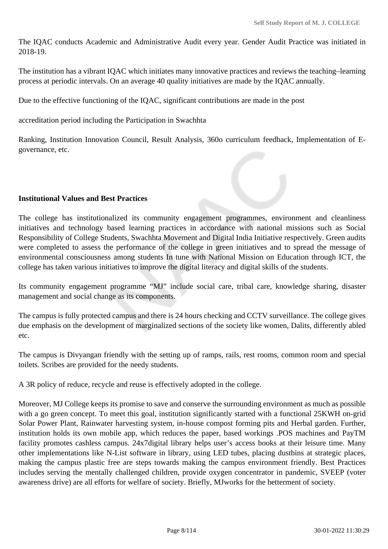The IQAC conducts Academic and Administrative Audit every year. Gender Audit Practice was initiated in 2018-19.

The institution has a vibrant IQAC which initiates many innovative practices and reviews the teaching–learning process at periodic intervals. On an average 40 quality initiatives are made by the IQAC annually.

Due to the effective functioning of the IQAC, significant contributions are made in the post

accreditation period including the Participation in Swachhta

Ranking, Institution Innovation Council, Result Analysis, 360o curriculum feedback, Implementation of Egovernance, etc.

### **Institutional Values and Best Practices**

The college has institutionalized its community engagement programmes, environment and cleanliness initiatives and technology based learning practices in accordance with national missions such as Social Responsibility of College Students, Swachhta Movement and Digital India Initiative respectively. Green audits were completed to assess the performance of the college in green initiatives and to spread the message of environmental consciousness among students In tune with National Mission on Education through ICT, the college has taken various initiatives to improve the digital literacy and digital skills of the students.

Its community engagement programme "MJ" include social care, tribal care, knowledge sharing, disaster management and social change as its components.

The campus is fully protected campus and there is 24 hours checking and CCTV surveillance. The college gives due emphasis on the development of marginalized sections of the society like women, Dalits, differently abled etc.

The campus is Divyangan friendly with the setting up of ramps, rails, rest rooms, common room and special toilets. Scribes are provided for the needy students.

A 3R policy of reduce, recycle and reuse is effectively adopted in the college.

Moreover, MJ College keeps its promise to save and conserve the surrounding environment as much as possible with a go green concept. To meet this goal, institution significantly started with a functional 25KWH on-grid Solar Power Plant, Rainwater harvesting system, in-house compost forming pits and Herbal garden. Further, institution holds its own mobile app, which reduces the paper, based workings .POS machines and PayTM facility promotes cashless campus. 24x7digital library helps user's access books at their leisure time. Many other implementations like N-List software in library, using LED tubes, placing dustbins at strategic places, making the campus plastic free are steps towards making the campus environment friendly. Best Practices includes serving the mentally challenged children, provide oxygen concentrator in pandemic, SVEEP (voter awareness drive) are all efforts for welfare of society. Briefly, MJworks for the betterment of society.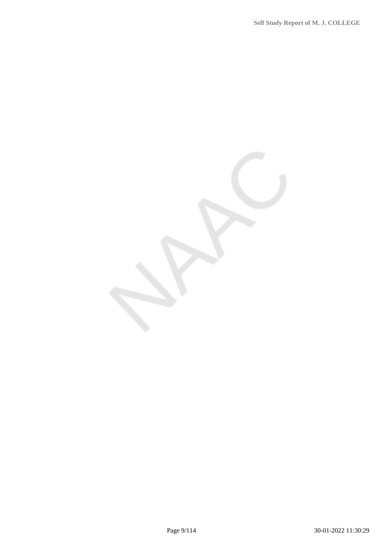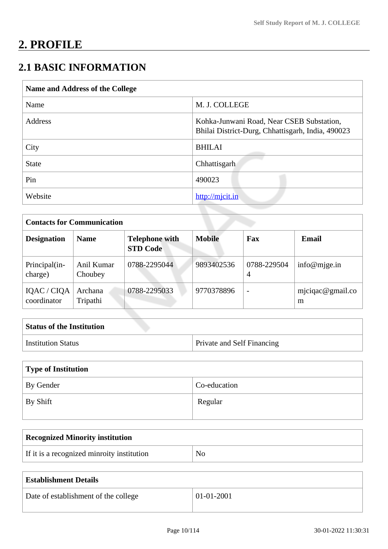# **2. PROFILE**

# **2.1 BASIC INFORMATION**

| Name and Address of the College |                                                                                                |  |
|---------------------------------|------------------------------------------------------------------------------------------------|--|
| Name                            | M. J. COLLEGE                                                                                  |  |
| Address                         | Kohka-Junwani Road, Near CSEB Substation,<br>Bhilai District-Durg, Chhattisgarh, India, 490023 |  |
| City                            | <b>BHILAI</b>                                                                                  |  |
| <b>State</b>                    | Chhattisgarh                                                                                   |  |
| Pin                             | 490023                                                                                         |  |
| Website                         | http://mjcit.in                                                                                |  |

| <b>Contacts for Communication</b> |                       |                                          |               |                               |                       |
|-----------------------------------|-----------------------|------------------------------------------|---------------|-------------------------------|-----------------------|
| <b>Designation</b>                | <b>Name</b>           | <b>Telephone with</b><br><b>STD Code</b> | <b>Mobile</b> | Fax                           | Email                 |
| Principal(in-<br>charge)          | Anil Kumar<br>Choubey | 0788-2295044                             | 9893402536    | 0788-229504<br>$\overline{4}$ | info@mige.in          |
| IQAC / CIQA<br>coordinator        | Archana<br>Tripathi   | 0788-2295033                             | 9770378896    | $\overline{\phantom{a}}$      | mjciqac@gmail.co<br>m |

| <b>Status of the Institution</b> |                                   |
|----------------------------------|-----------------------------------|
| Institution Status               | <b>Private and Self Financing</b> |

| Type of Institution |              |  |
|---------------------|--------------|--|
| By Gender           | Co-education |  |
| By Shift            | Regular      |  |

| Recognized Minority institution            |                |
|--------------------------------------------|----------------|
| If it is a recognized minroity institution | N <sub>O</sub> |

| <b>Establishment Details</b>         |                  |
|--------------------------------------|------------------|
| Date of establishment of the college | $01 - 01 - 2001$ |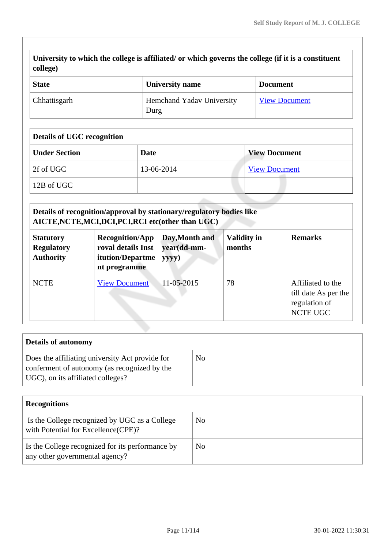**University to which the college is affiliated/ or which governs the college (if it is a constituent college)**

| <b>State</b>        | University name                   | <b>Document</b>      |
|---------------------|-----------------------------------|----------------------|
| <b>Chhattisgarh</b> | Hemchand Yadav University<br>Durg | <b>View Document</b> |

### **Details of UGC recognition**

| <b>Under Section</b> | Date       | <b>View Document</b> |
|----------------------|------------|----------------------|
| 2f of UGC            | 13-06-2014 | <b>View Document</b> |
| 12B of UGC           |            |                      |

| Details of recognition/approval by stationary/regulatory bodies like<br>AICTE, NCTE, MCI, DCI, PCI, RCI etc(other than UGC) |                                                                                  |                                        |                              |                                                                               |
|-----------------------------------------------------------------------------------------------------------------------------|----------------------------------------------------------------------------------|----------------------------------------|------------------------------|-------------------------------------------------------------------------------|
| <b>Statutory</b><br><b>Regulatory</b><br><b>Authority</b>                                                                   | <b>Recognition/App</b><br>roval details Inst<br>itution/Departme<br>nt programme | Day, Month and<br>year(dd-mm-<br>yyyy) | <b>Validity in</b><br>months | <b>Remarks</b>                                                                |
| <b>NCTE</b>                                                                                                                 | <b>View Document</b>                                                             | 11-05-2015                             | 78                           | Affiliated to the<br>till date As per the<br>regulation of<br><b>NCTE UGC</b> |

| <b>Details of autonomy</b>                                                                                                           |    |
|--------------------------------------------------------------------------------------------------------------------------------------|----|
| Does the affiliating university Act provide for<br>conferment of autonomy (as recognized by the<br>UGC), on its affiliated colleges? | No |

| <b>Recognitions</b>                                                                  |     |
|--------------------------------------------------------------------------------------|-----|
| Is the College recognized by UGC as a College<br>with Potential for Excellence(CPE)? | No  |
| Is the College recognized for its performance by<br>any other governmental agency?   | No. |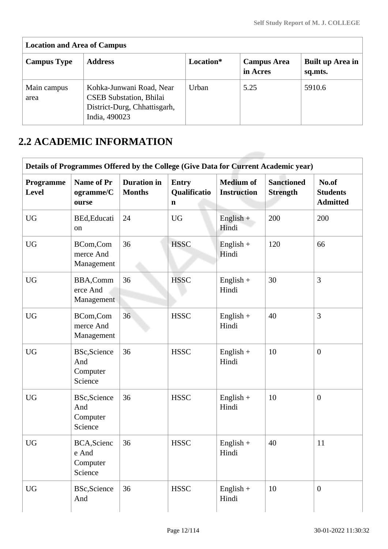| <b>Location and Area of Campus</b> |                                                                                                             |           |                                |                             |
|------------------------------------|-------------------------------------------------------------------------------------------------------------|-----------|--------------------------------|-----------------------------|
| <b>Campus Type</b>                 | <b>Address</b>                                                                                              | Location* | <b>Campus Area</b><br>in Acres | Built up Area in<br>sq.mts. |
| Main campus<br>area                | Kohka-Junwani Road, Near<br><b>CSEB Substation, Bhilai</b><br>District-Durg, Chhattisgarh,<br>India, 490023 | Urban     | 5.25                           | 5910.6                      |

# **2.2 ACADEMIC INFORMATION**

|                    | Details of Programmes Offered by the College (Give Data for Current Academic year) |                                     |                                             |                                        |                                      |                                             |  |  |  |  |  |
|--------------------|------------------------------------------------------------------------------------|-------------------------------------|---------------------------------------------|----------------------------------------|--------------------------------------|---------------------------------------------|--|--|--|--|--|
| Programme<br>Level | <b>Name of Pr</b><br>ogramme/C<br>ourse                                            | <b>Duration</b> in<br><b>Months</b> | <b>Entry</b><br>Qualificatio<br>$\mathbf n$ | <b>Medium of</b><br><b>Instruction</b> | <b>Sanctioned</b><br><b>Strength</b> | No.of<br><b>Students</b><br><b>Admitted</b> |  |  |  |  |  |
| <b>UG</b>          | BEd, Educati<br>on                                                                 | 24                                  | <b>UG</b>                                   | English $+$<br>Hindi                   | 200                                  | 200                                         |  |  |  |  |  |
| <b>UG</b>          | BCom,Com<br>merce And<br>Management                                                | 36                                  | <b>HSSC</b>                                 | $English +$<br>Hindi                   | 120                                  | 66                                          |  |  |  |  |  |
| <b>UG</b>          | BBA,Comm<br>erce And<br>Management                                                 | 36                                  | <b>HSSC</b>                                 | $English +$<br>Hindi                   | 30                                   | 3                                           |  |  |  |  |  |
| <b>UG</b>          | BCom,Com<br>merce And<br>Management                                                | 36                                  | <b>HSSC</b>                                 | $English +$<br>Hindi                   | 40                                   | 3                                           |  |  |  |  |  |
| <b>UG</b>          | <b>BSc,Science</b><br>And<br>Computer<br>Science                                   | 36                                  | <b>HSSC</b>                                 | English $+$<br>Hindi                   | 10                                   | $\boldsymbol{0}$                            |  |  |  |  |  |
| <b>UG</b>          | <b>BSc, Science</b><br>And<br>Computer<br>Science                                  | 36                                  | <b>HSSC</b>                                 | English $+$<br>Hindi                   | 10                                   | $\overline{0}$                              |  |  |  |  |  |
| <b>UG</b>          | BCA, Scienc<br>e And<br>Computer<br>Science                                        | 36                                  | <b>HSSC</b>                                 | $English +$<br>Hindi                   | 40                                   | 11                                          |  |  |  |  |  |
| <b>UG</b>          | <b>BSc,Science</b><br>And                                                          | 36                                  | <b>HSSC</b>                                 | $English +$<br>Hindi                   | 10                                   | $\overline{0}$                              |  |  |  |  |  |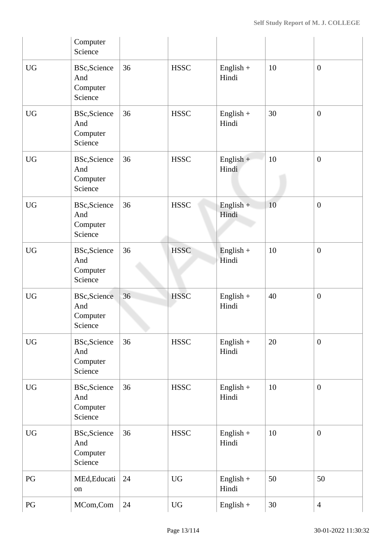|                  | Computer<br>Science                               |    |             |                      |        |                  |
|------------------|---------------------------------------------------|----|-------------|----------------------|--------|------------------|
| <b>UG</b>        | <b>BSc, Science</b><br>And<br>Computer<br>Science | 36 | <b>HSSC</b> | $English +$<br>Hindi | 10     | $\boldsymbol{0}$ |
| <b>UG</b>        | <b>BSc, Science</b><br>And<br>Computer<br>Science | 36 | <b>HSSC</b> | English +<br>Hindi   | 30     | $\boldsymbol{0}$ |
| ${\rm U}{\rm G}$ | <b>BSc,Science</b><br>And<br>Computer<br>Science  | 36 | <b>HSSC</b> | English +<br>Hindi   | $10\,$ | $\mathbf{0}$     |
| <b>UG</b>        | <b>BSc,Science</b><br>And<br>Computer<br>Science  | 36 | <b>HSSC</b> | English +<br>Hindi   | 10     | $\boldsymbol{0}$ |
| <b>UG</b>        | <b>BSc, Science</b><br>And<br>Computer<br>Science | 36 | <b>HSSC</b> | English $+$<br>Hindi | 10     | $\boldsymbol{0}$ |
| <b>UG</b>        | <b>BSc,Science</b><br>And<br>Computer<br>Science  | 36 | <b>HSSC</b> | $English +$<br>Hindi | 40     | $\mathbf{0}$     |
| <b>UG</b>        | <b>BSc,Science</b><br>And<br>Computer<br>Science  | 36 | <b>HSSC</b> | $English +$<br>Hindi | 20     | $\boldsymbol{0}$ |
| <b>UG</b>        | <b>BSc, Science</b><br>And<br>Computer<br>Science | 36 | <b>HSSC</b> | $English +$<br>Hindi | 10     | $\mathbf{0}$     |
| <b>UG</b>        | <b>BSc, Science</b><br>And<br>Computer<br>Science | 36 | <b>HSSC</b> | $English +$<br>Hindi | 10     | $\boldsymbol{0}$ |
| PG               | MEd, Educati<br>on                                | 24 | <b>UG</b>   | $English +$<br>Hindi | 50     | 50               |
| PG               | MCom,Com                                          | 24 | <b>UG</b>   | $English +$          | 30     | $\overline{4}$   |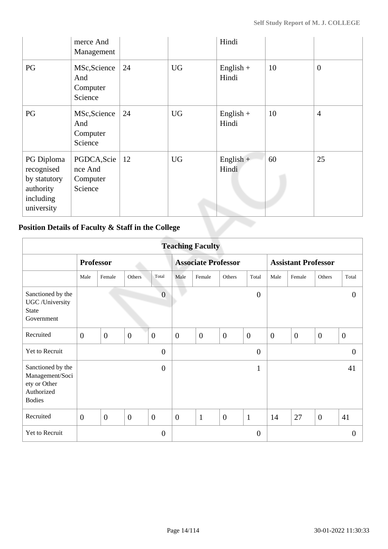|                                                                                  | merce And<br>Management                       |    |           | Hindi                |    |                |
|----------------------------------------------------------------------------------|-----------------------------------------------|----|-----------|----------------------|----|----------------|
| PG                                                                               | MSc, Science<br>And<br>Computer<br>Science    | 24 | <b>UG</b> | $English +$<br>Hindi | 10 | $\mathbf{0}$   |
| PG                                                                               | MSc, Science<br>And<br>Computer<br>Science    | 24 | <b>UG</b> | $English +$<br>Hindi | 10 | $\overline{4}$ |
| PG Diploma<br>recognised<br>by statutory<br>authority<br>including<br>university | PGDCA, Scie<br>nce And<br>Computer<br>Science | 12 | <b>UG</b> | $English +$<br>Hindi | 60 | 25             |

 $\vee$ 

# **Position Details of Faculty & Staff in the College**

|                                                                                     | <b>Teaching Faculty</b> |                  |                |                |                |                            |                |                  |                            |                |                |                |
|-------------------------------------------------------------------------------------|-------------------------|------------------|----------------|----------------|----------------|----------------------------|----------------|------------------|----------------------------|----------------|----------------|----------------|
|                                                                                     |                         | <b>Professor</b> |                |                |                | <b>Associate Professor</b> |                |                  | <b>Assistant Professor</b> |                |                |                |
|                                                                                     | Male                    | Female           | Others         | Total          | Male           | Female                     | Others         | Total            | Male                       | Female         | Others         | Total          |
| Sanctioned by the<br>UGC /University<br><b>State</b><br>Government                  |                         |                  |                | $\overline{0}$ |                |                            |                | $\overline{0}$   |                            |                |                | $\overline{0}$ |
| Recruited                                                                           | $\overline{0}$          | $\mathbf{0}$     | $\mathbf{0}$   | $\overline{0}$ | $\overline{0}$ | $\mathbf{0}$               | $\overline{0}$ | $\mathbf{0}$     | $\overline{0}$             | $\overline{0}$ | $\overline{0}$ | $\mathbf{0}$   |
| Yet to Recruit                                                                      |                         |                  |                | $\overline{0}$ |                |                            |                | $\boldsymbol{0}$ |                            |                |                | $\overline{0}$ |
| Sanctioned by the<br>Management/Soci<br>ety or Other<br>Authorized<br><b>Bodies</b> |                         |                  |                | $\overline{0}$ |                |                            |                | $\mathbf{1}$     |                            |                |                | 41             |
| Recruited                                                                           | $\overline{0}$          | $\overline{0}$   | $\overline{0}$ | $\overline{0}$ | $\overline{0}$ | $\mathbf{1}$               | $\overline{0}$ | $\mathbf{1}$     | 14                         | 27             | $\overline{0}$ | 41             |
| Yet to Recruit                                                                      |                         |                  |                | $\overline{0}$ |                |                            |                | $\overline{0}$   |                            |                |                | $\Omega$       |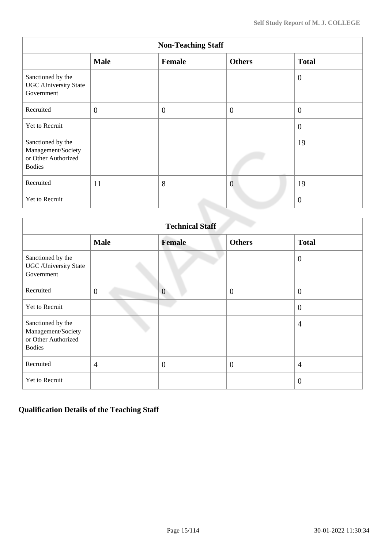|                                                                                 | <b>Non-Teaching Staff</b> |                |                |                |  |  |  |  |  |  |  |
|---------------------------------------------------------------------------------|---------------------------|----------------|----------------|----------------|--|--|--|--|--|--|--|
|                                                                                 | <b>Male</b>               | Female         | <b>Others</b>  | <b>Total</b>   |  |  |  |  |  |  |  |
| Sanctioned by the<br><b>UGC</b> / University State<br>Government                |                           |                |                | $\theta$       |  |  |  |  |  |  |  |
| Recruited                                                                       | $\mathbf{0}$              | $\overline{0}$ | $\overline{0}$ | $\overline{0}$ |  |  |  |  |  |  |  |
| Yet to Recruit                                                                  |                           |                |                | $\overline{0}$ |  |  |  |  |  |  |  |
| Sanctioned by the<br>Management/Society<br>or Other Authorized<br><b>Bodies</b> |                           |                |                | 19             |  |  |  |  |  |  |  |
| Recruited                                                                       | 11                        | 8              | $\overline{0}$ | 19             |  |  |  |  |  |  |  |
| Yet to Recruit                                                                  |                           |                |                | $\mathbf{0}$   |  |  |  |  |  |  |  |

|                                                                                 | <b>Technical Staff</b> |                |                  |                |  |  |  |  |  |  |  |
|---------------------------------------------------------------------------------|------------------------|----------------|------------------|----------------|--|--|--|--|--|--|--|
|                                                                                 | <b>Male</b>            | <b>Female</b>  | <b>Others</b>    | <b>Total</b>   |  |  |  |  |  |  |  |
| Sanctioned by the<br><b>UGC</b> / University State<br>Government                |                        |                |                  | $\overline{0}$ |  |  |  |  |  |  |  |
| Recruited                                                                       | $\overline{0}$         | $\overline{0}$ | $\overline{0}$   | $\overline{0}$ |  |  |  |  |  |  |  |
| Yet to Recruit                                                                  |                        |                |                  | $\overline{0}$ |  |  |  |  |  |  |  |
| Sanctioned by the<br>Management/Society<br>or Other Authorized<br><b>Bodies</b> |                        |                |                  | $\overline{4}$ |  |  |  |  |  |  |  |
| Recruited                                                                       | $\overline{4}$         | $\overline{0}$ | $\boldsymbol{0}$ | $\overline{4}$ |  |  |  |  |  |  |  |
| Yet to Recruit                                                                  |                        |                |                  | $\overline{0}$ |  |  |  |  |  |  |  |

# **Qualification Details of the Teaching Staff**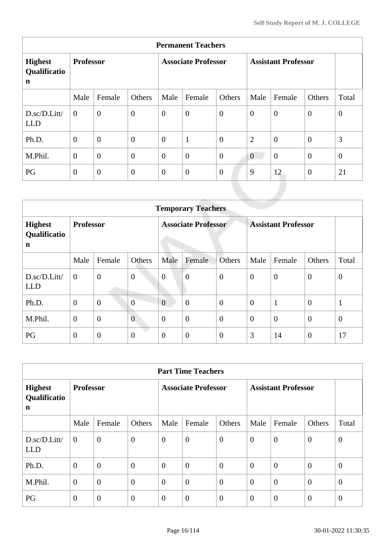| <b>Permanent Teachers</b>                     |                  |                |                |                            |                  |                |                            |                |                |                  |  |
|-----------------------------------------------|------------------|----------------|----------------|----------------------------|------------------|----------------|----------------------------|----------------|----------------|------------------|--|
| <b>Highest</b><br>Qualificatio<br>$\mathbf n$ | <b>Professor</b> |                |                | <b>Associate Professor</b> |                  |                | <b>Assistant Professor</b> |                |                |                  |  |
|                                               | Male             | Female         | Others         | Male                       | Female           | Others         | Male                       | Female         | Others         | Total            |  |
| D.sc/D.Litt/<br><b>LLD</b>                    | $\overline{0}$   | $\overline{0}$ | $\overline{0}$ | $\overline{0}$             | $\boldsymbol{0}$ | $\mathbf{0}$   | $\mathbf{0}$               | $\overline{0}$ | $\overline{0}$ | $\boldsymbol{0}$ |  |
| Ph.D.                                         | $\overline{0}$   | $\overline{0}$ | $\overline{0}$ | $\overline{0}$             | $\mathbf{1}$     | $\overline{0}$ | $\overline{2}$             | $\overline{0}$ | $\overline{0}$ | 3                |  |
| M.Phil.                                       | $\overline{0}$   | $\overline{0}$ | $\theta$       | $\overline{0}$             | $\overline{0}$   | $\overline{0}$ | $\overline{0}$             | $\theta$       | $\overline{0}$ | $\theta$         |  |
| PG                                            | $\overline{0}$   | $\overline{0}$ | $\overline{0}$ | $\overline{0}$             | $\overline{0}$   | $\theta$       | 9                          | 12             | $\mathbf{0}$   | 21               |  |
|                                               |                  |                |                |                            |                  |                |                            |                |                |                  |  |

|                                           | <b>Temporary Teachers</b> |                  |                            |                  |                  |                            |                |                  |                |                  |  |  |
|-------------------------------------------|---------------------------|------------------|----------------------------|------------------|------------------|----------------------------|----------------|------------------|----------------|------------------|--|--|
| <b>Highest</b><br>Qualificatio<br>n       | <b>Professor</b>          |                  | <b>Associate Professor</b> |                  |                  | <b>Assistant Professor</b> |                |                  |                |                  |  |  |
|                                           | Male                      | Female           | <b>Others</b>              | Male             | Female           | Others                     | Male           | Female           | Others         | Total            |  |  |
| $D.\text{sc}/D.\text{Litt}$<br><b>LLD</b> | $\mathbf{0}$              | $\overline{0}$   | $\overline{0}$             | $\overline{0}$   | $\boldsymbol{0}$ | $\overline{0}$             | $\overline{0}$ | $\overline{0}$   | $\overline{0}$ | $\boldsymbol{0}$ |  |  |
| Ph.D.                                     | $\overline{0}$            | $\boldsymbol{0}$ | $\overline{0}$             | $\overline{0}$   | $\boldsymbol{0}$ | $\overline{0}$             | $\theta$       | $\mathbf{1}$     | $\overline{0}$ | $\mathbf{1}$     |  |  |
| M.Phil.                                   | $\overline{0}$            | $\overline{0}$   | $\overline{0}$             | $\boldsymbol{0}$ | $\boldsymbol{0}$ | $\theta$                   | $\theta$       | $\boldsymbol{0}$ | $\overline{0}$ | $\mathbf{0}$     |  |  |
| PG                                        | $\overline{0}$            | $\overline{0}$   | $\theta$                   | $\overline{0}$   | $\boldsymbol{0}$ | $\mathbf{0}$               | 3              | 14               | $\overline{0}$ | 17               |  |  |

|                                     | <b>Part Time Teachers</b> |                |                  |                            |                  |                |                            |                  |                |                |  |
|-------------------------------------|---------------------------|----------------|------------------|----------------------------|------------------|----------------|----------------------------|------------------|----------------|----------------|--|
| <b>Highest</b><br>Qualificatio<br>n | <b>Professor</b>          |                |                  | <b>Associate Professor</b> |                  |                | <b>Assistant Professor</b> |                  |                |                |  |
|                                     | Male                      | Female         | Others           | Male                       | Female           | Others         | Male                       | Female           | Others         | Total          |  |
| D.sc/D.Litt/<br><b>LLD</b>          | $\theta$                  | $\overline{0}$ | $\boldsymbol{0}$ | $\boldsymbol{0}$           | $\boldsymbol{0}$ | $\theta$       | $\overline{0}$             | $\boldsymbol{0}$ | $\overline{0}$ | $\overline{0}$ |  |
| Ph.D.                               | $\overline{0}$            | $\overline{0}$ | $\theta$         | $\overline{0}$             | $\overline{0}$   | $\overline{0}$ | $\overline{0}$             | $\overline{0}$   | $\theta$       | $\overline{0}$ |  |
| M.Phil.                             | $\theta$                  | $\overline{0}$ | $\overline{0}$   | $\overline{0}$             | $\mathbf{0}$     | $\theta$       | $\overline{0}$             | $\overline{0}$   | $\overline{0}$ | $\overline{0}$ |  |
| PG                                  | $\overline{0}$            | $\overline{0}$ | $\overline{0}$   | $\mathbf{0}$               | $\mathbf{0}$     | $\theta$       | $\overline{0}$             | $\overline{0}$   | $\theta$       | $\overline{0}$ |  |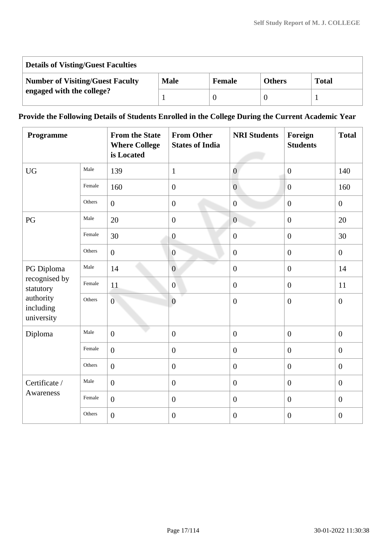| <b>Details of Visting/Guest Faculties</b> |             |               |               |              |  |  |  |  |
|-------------------------------------------|-------------|---------------|---------------|--------------|--|--|--|--|
| <b>Number of Visiting/Guest Faculty</b>   | <b>Male</b> | <b>Female</b> | <b>Others</b> | <b>Total</b> |  |  |  |  |
| engaged with the college?                 |             |               |               |              |  |  |  |  |

### **Provide the Following Details of Students Enrolled in the College During the Current Academic Year**

| Programme                            |        | <b>From the State</b><br><b>Where College</b><br>is Located | <b>From Other</b><br><b>States of India</b> | <b>NRI Students</b> | Foreign<br><b>Students</b> | <b>Total</b>     |
|--------------------------------------|--------|-------------------------------------------------------------|---------------------------------------------|---------------------|----------------------------|------------------|
| <b>UG</b>                            | Male   | 139                                                         | $\mathbf{1}$                                | $\overline{0}$      | $\boldsymbol{0}$           | 140              |
|                                      | Female | 160                                                         | $\overline{0}$                              | $\boldsymbol{0}$    | $\overline{0}$             | 160              |
|                                      | Others | $\overline{0}$                                              | $\overline{0}$                              | $\overline{0}$      | $\overline{0}$             | $\boldsymbol{0}$ |
| PG                                   | Male   | 20                                                          | $\boldsymbol{0}$                            | $\boldsymbol{0}$    | $\boldsymbol{0}$           | 20               |
|                                      | Female | 30                                                          | $\boldsymbol{0}$                            | $\boldsymbol{0}$    | $\boldsymbol{0}$           | 30               |
|                                      | Others | $\boldsymbol{0}$                                            | $\overline{0}$                              | $\overline{0}$      | $\boldsymbol{0}$           | $\boldsymbol{0}$ |
| PG Diploma                           | Male   | 14                                                          | $\overline{0}$                              | $\boldsymbol{0}$    | $\mathbf{0}$               | 14               |
| recognised by<br>statutory           | Female | 11                                                          | $\overline{0}$                              | $\overline{0}$      | $\mathbf{0}$               | 11               |
| authority<br>including<br>university | Others | $\overline{0}$                                              | $\overline{0}$                              | $\overline{0}$      | $\overline{0}$             | $\boldsymbol{0}$ |
| Diploma                              | Male   | $\boldsymbol{0}$                                            | $\overline{0}$                              | $\overline{0}$      | $\overline{0}$             | $\boldsymbol{0}$ |
|                                      | Female | $\overline{0}$                                              | $\overline{0}$                              | $\overline{0}$      | $\mathbf{0}$               | $\overline{0}$   |
|                                      | Others | $\overline{0}$                                              | $\boldsymbol{0}$                            | $\overline{0}$      | $\overline{0}$             | $\overline{0}$   |
| Certificate /                        | Male   | $\boldsymbol{0}$                                            | $\boldsymbol{0}$                            | $\boldsymbol{0}$    | $\boldsymbol{0}$           | $\boldsymbol{0}$ |
| Awareness                            | Female | $\overline{0}$                                              | $\boldsymbol{0}$                            | $\overline{0}$      | $\overline{0}$             | $\boldsymbol{0}$ |
|                                      | Others | $\boldsymbol{0}$                                            | $\boldsymbol{0}$                            | $\mathbf{0}$        | $\boldsymbol{0}$           | $\boldsymbol{0}$ |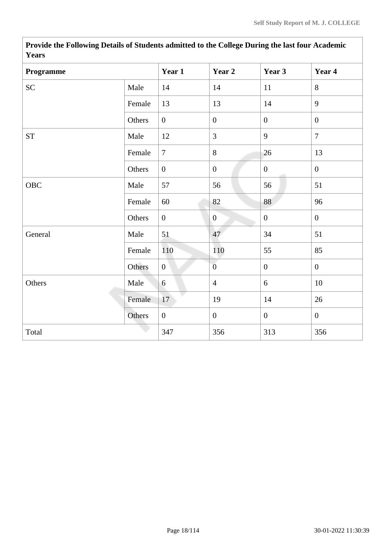| <b>Years</b> |        |                  |                  |                  |                  |
|--------------|--------|------------------|------------------|------------------|------------------|
| Programme    |        | Year 1           | Year 2           | Year 3           | Year 4           |
| <b>SC</b>    | Male   | 14               | 14               | 11               | 8                |
|              | Female | 13               | 13               | 14               | 9                |
|              | Others | $\boldsymbol{0}$ | $\boldsymbol{0}$ | $\overline{0}$   | $\boldsymbol{0}$ |
| ${\cal ST}$  | Male   | 12               | 3                | 9                | $\overline{7}$   |
|              | Female | $\overline{7}$   | 8                | 26               | 13               |
|              | Others | $\overline{0}$   | $\overline{0}$   | $\mathbf{0}$     | $\overline{0}$   |
| OBC          | Male   | 57               | 56               | 56               | 51               |
|              | Female | 60               | 82               | 88               | 96               |
|              | Others | $\overline{0}$   | $\mathbf{0}$     | $\boldsymbol{0}$ | $\overline{0}$   |
| General      | Male   | 51               | 47               | 34               | 51               |
|              | Female | 110              | 110              | 55               | 85               |
|              | Others | $\mathbf{0}$     | $\overline{0}$   | $\overline{0}$   | $\overline{0}$   |
| Others       | Male   | 6                | $\overline{4}$   | 6                | 10               |
|              | Female | 17               | 19               | 14               | 26               |
|              | Others | $\overline{0}$   | $\overline{0}$   | $\overline{0}$   | $\overline{0}$   |
| Total        |        | 347              | 356              | 313              | 356              |

**Provide the Following Details of Students admitted to the College During the last four Academic Years**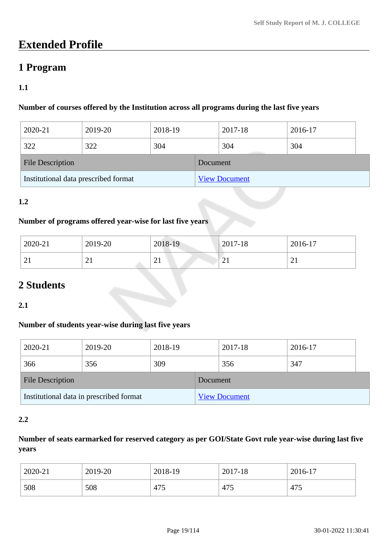# **Extended Profile**

## **1 Program**

### **1.1**

### **Number of courses offered by the Institution across all programs during the last five years**

| 2020-21                              | 2019-20 | 2018-19  |                      | 2017-18 | 2016-17 |  |
|--------------------------------------|---------|----------|----------------------|---------|---------|--|
| 322                                  | 322     | 304      |                      | 304     | 304     |  |
| <b>File Description</b>              |         | Document |                      |         |         |  |
| Institutional data prescribed format |         |          | <b>View Document</b> |         |         |  |

### **1.2**

### **Number of programs offered year-wise for last five years**

| 2020-21                   | 2019-20  | 2018-19       | $2017 - 18$ | 2016-17 |
|---------------------------|----------|---------------|-------------|---------|
| $\sim$<br>$\overline{21}$ | $\sim$ 1 | ⌒<br>$\sim$ 1 | $\sim$ 1    | ◢       |

# **2 Students**

### **2.1**

### **Number of students year-wise during last five years**

| 2020-21                                 | 2019-20 | 2018-19  |                      | 2017-18 | 2016-17 |  |
|-----------------------------------------|---------|----------|----------------------|---------|---------|--|
| 366                                     | 356     | 309      |                      | 356     | 347     |  |
| <b>File Description</b>                 |         | Document |                      |         |         |  |
| Institutional data in prescribed format |         |          | <b>View Document</b> |         |         |  |

### **2.2**

### **Number of seats earmarked for reserved category as per GOI/State Govt rule year-wise during last five years**

| 2020-21 | 2019-20 | 2018-19 | 2017-18 | 2016-17 |
|---------|---------|---------|---------|---------|
| 508     | 508     | 475     | 475     | 475     |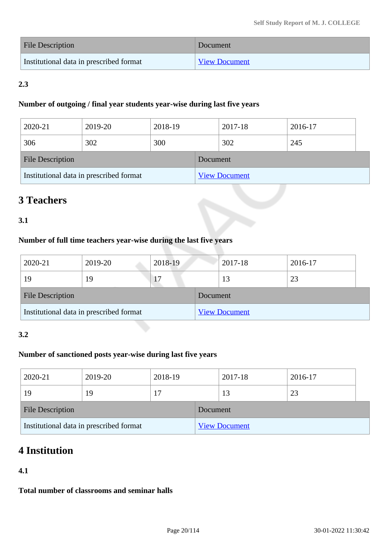| File Description                        | Document             |
|-----------------------------------------|----------------------|
| Institutional data in prescribed format | <b>View Document</b> |

### **2.3**

### **Number of outgoing / final year students year-wise during last five years**

| 2020-21                                 | 2019-20 | 2018-19  |                      | 2017-18 | 2016-17 |  |
|-----------------------------------------|---------|----------|----------------------|---------|---------|--|
| 306                                     | 302     | 300      |                      | 302     | 245     |  |
| <b>File Description</b>                 |         | Document |                      |         |         |  |
| Institutional data in prescribed format |         |          | <b>View Document</b> |         |         |  |

# **3 Teachers**

### **3.1**

### **Number of full time teachers year-wise during the last five years**

| 2020-21                                 | 2019-20 | 2018-19  |                      | 2017-18 | 2016-17 |  |
|-----------------------------------------|---------|----------|----------------------|---------|---------|--|
| 19                                      | 19      |          |                      | 13      | 23      |  |
| <b>File Description</b>                 |         | Document |                      |         |         |  |
| Institutional data in prescribed format |         |          | <b>View Document</b> |         |         |  |

### **3.2**

### **Number of sanctioned posts year-wise during last five years**

| 2020-21                                 | 2019-20 | 2018-19  |                      | 2017-18 | 2016-17 |  |
|-----------------------------------------|---------|----------|----------------------|---------|---------|--|
| 19                                      | 19      |          |                      | 13      | 23      |  |
| <b>File Description</b>                 |         | Document |                      |         |         |  |
| Institutional data in prescribed format |         |          | <b>View Document</b> |         |         |  |

# **4 Institution**

### **4.1**

**Total number of classrooms and seminar halls**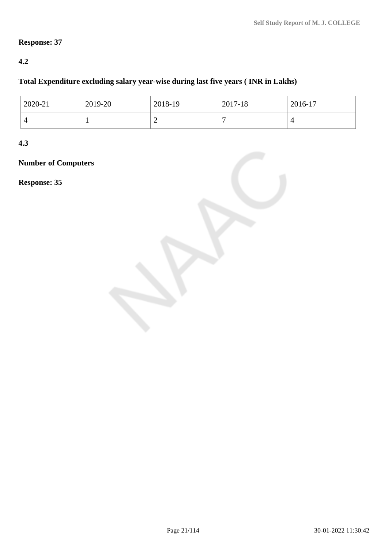### **Response: 37**

### **4.2**

### **Total Expenditure excluding salary year-wise during last five years ( INR in Lakhs)**

| 2020-21 | 2019-20 | 2018-19 | 2017-18 | 2016-17 |
|---------|---------|---------|---------|---------|
| -       |         | ∽       |         |         |

**4.3**

### **Number of Computers**

**Response: 35**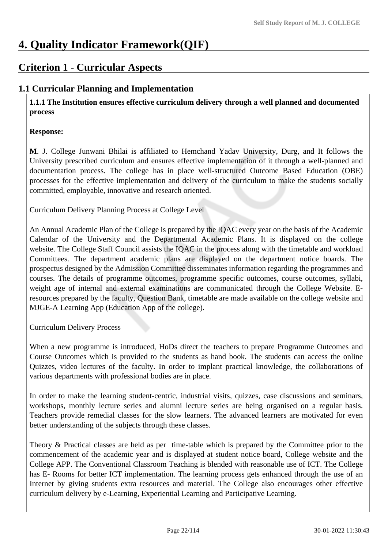# **4. Quality Indicator Framework(QIF)**

## **Criterion 1 - Curricular Aspects**

### **1.1 Curricular Planning and Implementation**

 **1.1.1 The Institution ensures effective curriculum delivery through a well planned and documented process**

### **Response:**

**M**. J. College Junwani Bhilai is affiliated to Hemchand Yadav University, Durg, and It follows the University prescribed curriculum and ensures effective implementation of it through a well-planned and documentation process. The college has in place well-structured Outcome Based Education (OBE) processes for the effective implementation and delivery of the curriculum to make the students socially committed, employable, innovative and research oriented.

Curriculum Delivery Planning Process at College Level

An Annual Academic Plan of the College is prepared by the IQAC every year on the basis of the Academic Calendar of the University and the Departmental Academic Plans. It is displayed on the college website. The College Staff Council assists the IQAC in the process along with the timetable and workload Committees. The department academic plans are displayed on the department notice boards. The prospectus designed by the Admission Committee disseminates information regarding the programmes and courses. The details of programme outcomes, programme specific outcomes, course outcomes, syllabi, weight age of internal and external examinations are communicated through the College Website. Eresources prepared by the faculty, Question Bank, timetable are made available on the college website and MJGE-A Learning App (Education App of the college).

Curriculum Delivery Process

When a new programme is introduced, HoDs direct the teachers to prepare Programme Outcomes and Course Outcomes which is provided to the students as hand book. The students can access the online Quizzes, video lectures of the faculty. In order to implant practical knowledge, the collaborations of various departments with professional bodies are in place.

In order to make the learning student-centric, industrial visits, quizzes, case discussions and seminars, workshops, monthly lecture series and alumni lecture series are being organised on a regular basis. Teachers provide remedial classes for the slow learners. The advanced learners are motivated for even better understanding of the subjects through these classes.

Theory & Practical classes are held as per time-table which is prepared by the Committee prior to the commencement of the academic year and is displayed at student notice board, College website and the College APP. The Conventional Classroom Teaching is blended with reasonable use of ICT. The College has E- Rooms for better ICT implementation. The learning process gets enhanced through the use of an Internet by giving students extra resources and material. The College also encourages other effective curriculum delivery by e-Learning, Experiential Learning and Participative Learning.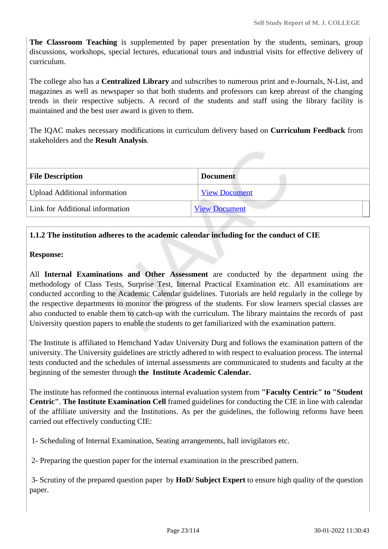**The Classroom Teaching** is supplemented by paper presentation by the students, seminars, group discussions, workshops, special lectures, educational tours and industrial visits for effective delivery of curriculum.

The college also has a **Centralized Library** and subscribes to numerous print and e-Journals, N-List, and magazines as well as newspaper so that both students and professors can keep abreast of the changing trends in their respective subjects. A record of the students and staff using the library facility is maintained and the best user award is given to them.

The IQAC makes necessary modifications in curriculum delivery based on **Curriculum Feedback** from stakeholders and the **Result Analysis**.

| <b>File Description</b>              | <b>Document</b>      |
|--------------------------------------|----------------------|
| <b>Upload Additional information</b> | <b>View Document</b> |
| Link for Additional information      | <b>View Document</b> |

### **1.1.2 The institution adheres to the academic calendar including for the conduct of CIE**

### **Response:**

All **Internal Examinations and Other Assessment** are conducted by the department using the methodology of Class Tests, Surprise Test, Internal Practical Examination etc. All examinations are conducted according to the Academic Calendar guidelines. Tutorials are held regularly in the college by the respective departments to monitor the progress of the students. For slow learners special classes are also conducted to enable them to catch-up with the curriculum. The library maintains the records of past University question papers to enable the students to get familiarized with the examination pattern.

The Institute is affiliated to Hemchand Yadav University Durg and follows the examination pattern of the university. The University guidelines are strictly adhered to with respect to evaluation process. The internal tests conducted and the schedules of internal assessments are communicated to students and faculty at the beginning of the semester through **the Institute Academic Calendar.**

The institute has reformed the continuous internal evaluation system from **"Faculty Centric" to "Student Centric"**. **The Institute Examination Cell** framed guidelines for conducting the CIE in line with calendar of the affiliate university and the Institutions. As per the guidelines, the following reforms have been carried out effectively conducting CIE:

1- Scheduling of Internal Examination, Seating arrangements, hall invigilators etc.

2- Preparing the question paper for the internal examination in the prescribed pattern.

 3- Scrutiny of the prepared question paper by **HoD/ Subject Expert** to ensure high quality of the question paper.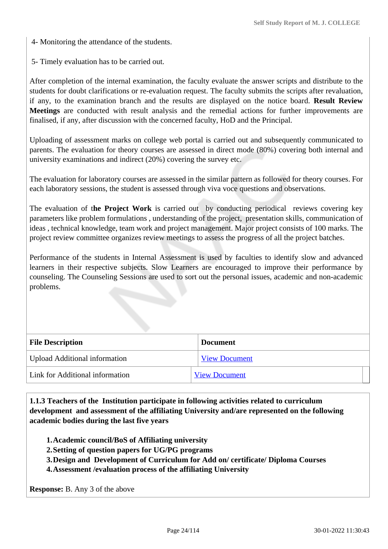4- Monitoring the attendance of the students.

5- Timely evaluation has to be carried out.

After completion of the internal examination, the faculty evaluate the answer scripts and distribute to the students for doubt clarifications or re-evaluation request. The faculty submits the scripts after revaluation, if any, to the examination branch and the results are displayed on the notice board. **Result Review Meetings** are conducted with result analysis and the remedial actions for further improvements are finalised, if any, after discussion with the concerned faculty, HoD and the Principal.

Uploading of assessment marks on college web portal is carried out and subsequently communicated to parents. The evaluation for theory courses are assessed in direct mode (80%) covering both internal and university examinations and indirect (20%) covering the survey etc.

The evaluation for laboratory courses are assessed in the similar pattern as followed for theory courses. For each laboratory sessions, the student is assessed through viva voce questions and observations.

The evaluation of t**he Project Work** is carried out by conducting periodical reviews covering key parameters like problem formulations , understanding of the project, presentation skills, communication of ideas , technical knowledge, team work and project management. Major project consists of 100 marks. The project review committee organizes review meetings to assess the progress of all the project batches.

Performance of the students in Internal Assessment is used by faculties to identify slow and advanced learners in their respective subjects. Slow Learners are encouraged to improve their performance by counseling. The Counseling Sessions are used to sort out the personal issues, academic and non-academic problems.

| <b>File Description</b>              | Document             |  |
|--------------------------------------|----------------------|--|
| <b>Upload Additional information</b> | <b>View Document</b> |  |
| Link for Additional information      | <b>View Document</b> |  |

 **1.1.3 Teachers of the Institution participate in following activities related to curriculum development and assessment of the affiliating University and/are represented on the following academic bodies during the last five years** 

- **1.Academic council/BoS of Affiliating university**
- **2.Setting of question papers for UG/PG programs**
- **3.Design and Development of Curriculum for Add on/ certificate/ Diploma Courses**
- **4.Assessment /evaluation process of the affiliating University**

**Response:** B. Any 3 of the above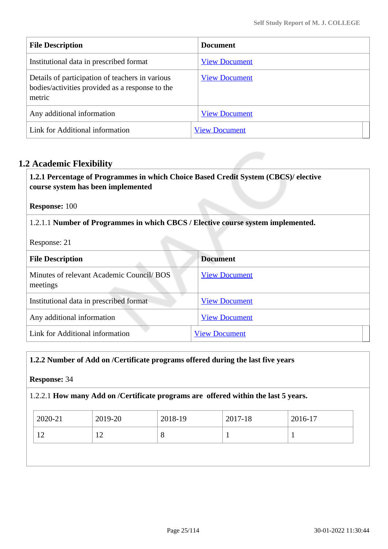| <b>File Description</b>                                                                                      | Document             |
|--------------------------------------------------------------------------------------------------------------|----------------------|
| Institutional data in prescribed format                                                                      | <b>View Document</b> |
| Details of participation of teachers in various<br>bodies/activities provided as a response to the<br>metric | <b>View Document</b> |
| Any additional information                                                                                   | <b>View Document</b> |
| Link for Additional information                                                                              | <b>View Document</b> |

### **1.2 Academic Flexibility**

 **1.2.1 Percentage of Programmes in which Choice Based Credit System (CBCS)/ elective course system has been implemented** 

**Response:** 100

1.2.1.1 **Number of Programmes in which CBCS / Elective course system implemented.**

Response: 21

| <b>File Description</b>                              | <b>Document</b>      |
|------------------------------------------------------|----------------------|
| Minutes of relevant Academic Council/BOS<br>meetings | <b>View Document</b> |
| Institutional data in prescribed format              | <b>View Document</b> |
| Any additional information                           | <b>View Document</b> |
| Link for Additional information                      | <b>View Document</b> |

### **1.2.2 Number of Add on /Certificate programs offered during the last five years**

**Response:** 34

### 1.2.2.1 **How many Add on /Certificate programs are offered within the last 5 years.**

| 2020-21   | 2019-20        | 2018-19 | 2017-18 | $2016-17$ |
|-----------|----------------|---------|---------|-----------|
| 1 ∩<br>14 | $\overline{1}$ | О       |         |           |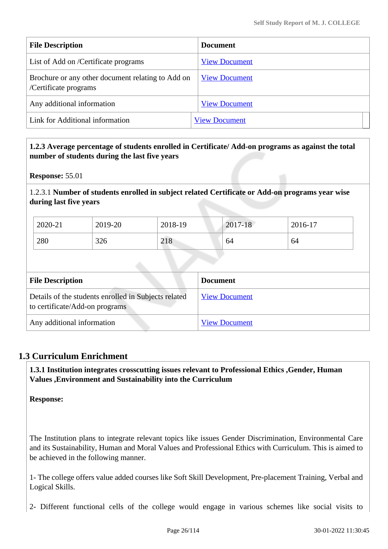| <b>File Description</b>                                                    | <b>Document</b>      |
|----------------------------------------------------------------------------|----------------------|
| List of Add on /Certificate programs                                       | <b>View Document</b> |
| Brochure or any other document relating to Add on<br>/Certificate programs | <b>View Document</b> |
| Any additional information                                                 | <b>View Document</b> |
| Link for Additional information                                            | <b>View Document</b> |

### **1.2.3 Average percentage of students enrolled in Certificate/ Add-on programs as against the total number of students during the last five years**

#### **Response:** 55.01

### 1.2.3.1 **Number of students enrolled in subject related Certificate or Add-on programs year wise during last five years**

| 2020-21 | 2019-20 | 2018-19 | 2017-18 | $2016-17$ |
|---------|---------|---------|---------|-----------|
| 280     | 326     | 218     | 64      | 64        |

| <b>File Description</b>                                                                | <b>Document</b>      |
|----------------------------------------------------------------------------------------|----------------------|
| Details of the students enrolled in Subjects related<br>to certificate/Add-on programs | <b>View Document</b> |
| Any additional information                                                             | <b>View Document</b> |

### **1.3 Curriculum Enrichment**

 **1.3.1 Institution integrates crosscutting issues relevant to Professional Ethics ,Gender, Human Values ,Environment and Sustainability into the Curriculum**

### **Response:**

The Institution plans to integrate relevant topics like issues Gender Discrimination, Environmental Care and its Sustainability, Human and Moral Values and Professional Ethics with Curriculum. This is aimed to be achieved in the following manner.

1- The college offers value added courses like Soft Skill Development, Pre-placement Training, Verbal and Logical Skills.

2- Different functional cells of the college would engage in various schemes like social visits to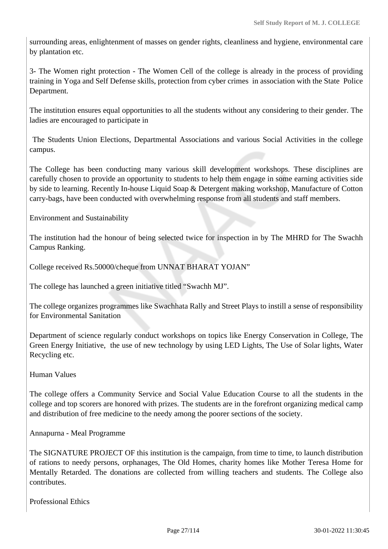surrounding areas, enlightenment of masses on gender rights, cleanliness and hygiene, environmental care by plantation etc.

3- The Women right protection - The Women Cell of the college is already in the process of providing training in Yoga and Self Defense skills, protection from cyber crimes in association with the State Police Department.

The institution ensures equal opportunities to all the students without any considering to their gender. The ladies are encouraged to participate in

 The Students Union Elections, Departmental Associations and various Social Activities in the college campus.

The College has been conducting many various skill development workshops. These disciplines are carefully chosen to provide an opportunity to students to help them engage in some earning activities side by side to learning. Recently In-house Liquid Soap & Detergent making workshop, Manufacture of Cotton carry-bags, have been conducted with overwhelming response from all students and staff members.

Environment and Sustainability

The institution had the honour of being selected twice for inspection in by The MHRD for The Swachh Campus Ranking.

College received Rs.50000/cheque from UNNAT BHARAT YOJAN"

The college has launched a green initiative titled "Swachh MJ".

The college organizes programmes like Swachhata Rally and Street Plays to instill a sense of responsibility for Environmental Sanitation

Department of science regularly conduct workshops on topics like Energy Conservation in College, The Green Energy Initiative, the use of new technology by using LED Lights, The Use of Solar lights, Water Recycling etc.

Human Values

The college offers a Community Service and Social Value Education Course to all the students in the college and top scorers are honored with prizes. The students are in the forefront organizing medical camp and distribution of free medicine to the needy among the poorer sections of the society.

Annapurna - Meal Programme

The SIGNATURE PROJECT OF this institution is the campaign, from time to time, to launch distribution of rations to needy persons, orphanages, The Old Homes, charity homes like Mother Teresa Home for Mentally Retarded. The donations are collected from willing teachers and students. The College also contributes.

Professional Ethics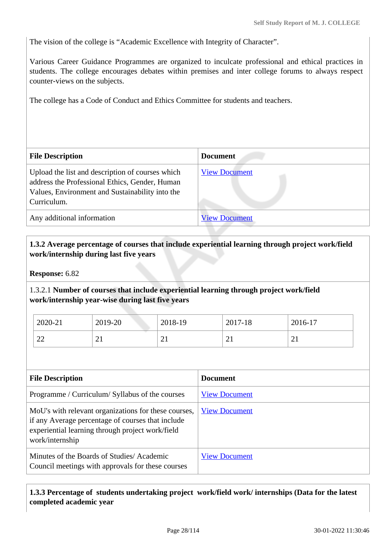The vision of the college is "Academic Excellence with Integrity of Character".

Various Career Guidance Programmes are organized to inculcate professional and ethical practices in students. The college encourages debates within premises and inter college forums to always respect counter-views on the subjects.

The college has a Code of Conduct and Ethics Committee for students and teachers.

| <b>File Description</b>                                                                                                                                              | <b>Document</b>      |
|----------------------------------------------------------------------------------------------------------------------------------------------------------------------|----------------------|
| Upload the list and description of courses which<br>address the Professional Ethics, Gender, Human<br>Values, Environment and Sustainability into the<br>Curriculum. | <b>View Document</b> |
| Any additional information                                                                                                                                           | <b>View Document</b> |

### **1.3.2 Average percentage of courses that include experiential learning through project work/field work/internship during last five years**

**Response:** 6.82

1.3.2.1 **Number of courses that include experiential learning through project work/field work/internship year-wise during last five years**

| 2020-21                            | 2019-20  | 2018-19              | 2017-18                  | 2016-17            |
|------------------------------------|----------|----------------------|--------------------------|--------------------|
| $\cap$<br>$\overline{\phantom{a}}$ | $\sim$ 1 | $\sim$ 1<br>$\sim$ 1 | $\sim$<br>$\overline{a}$ | $\sim$<br>$\sim$ 1 |

| <b>File Description</b>                                                                                                                                                          | <b>Document</b>      |
|----------------------------------------------------------------------------------------------------------------------------------------------------------------------------------|----------------------|
| Programme / Curriculum/ Syllabus of the courses                                                                                                                                  | <b>View Document</b> |
| MoU's with relevant organizations for these courses,<br>if any Average percentage of courses that include<br>experiential learning through project work/field<br>work/internship | <b>View Document</b> |
| Minutes of the Boards of Studies/Academic<br>Council meetings with approvals for these courses                                                                                   | <b>View Document</b> |

 **1.3.3 Percentage of students undertaking project work/field work/ internships (Data for the latest completed academic year**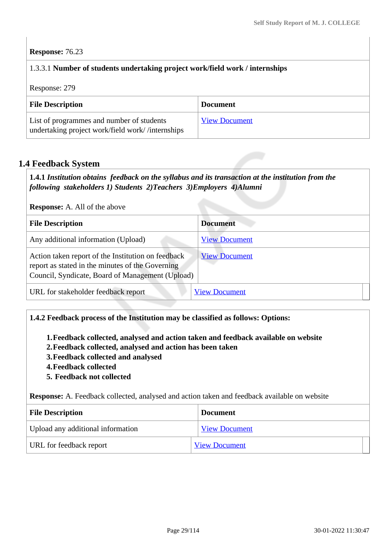### **Response:** 76.23

### 1.3.3.1 **Number of students undertaking project work/field work / internships**

Response: 279

| <b>File Description</b>                                                                       | <b>Document</b>      |
|-----------------------------------------------------------------------------------------------|----------------------|
| List of programmes and number of students<br>undertaking project work/field work//internships | <b>View Document</b> |

### **1.4 Feedback System**

 **1.4.1** *Institution obtains feedback on the syllabus and its transaction at the institution from the following stakeholders 1) Students 2)Teachers 3)Employers 4)Alumni* 

**Response:** A. All of the above

| <b>File Description</b>                                                                                                                                    | <b>Document</b>      |
|------------------------------------------------------------------------------------------------------------------------------------------------------------|----------------------|
| Any additional information (Upload)                                                                                                                        | <b>View Document</b> |
| Action taken report of the Institution on feedback<br>report as stated in the minutes of the Governing<br>Council, Syndicate, Board of Management (Upload) | <b>View Document</b> |
| URL for stakeholder feedback report                                                                                                                        | <b>View Document</b> |

### **1.4.2 Feedback process of the Institution may be classified as follows: Options:**

**1.Feedback collected, analysed and action taken and feedback available on website**

- **2.Feedback collected, analysed and action has been taken**
- **3.Feedback collected and analysed**
- **4.Feedback collected**
- **5. Feedback not collected**

**Response:** A. Feedback collected, analysed and action taken and feedback available on website

| <b>File Description</b>           | <b>Document</b>      |
|-----------------------------------|----------------------|
| Upload any additional information | <b>View Document</b> |
| URL for feedback report           | <b>View Document</b> |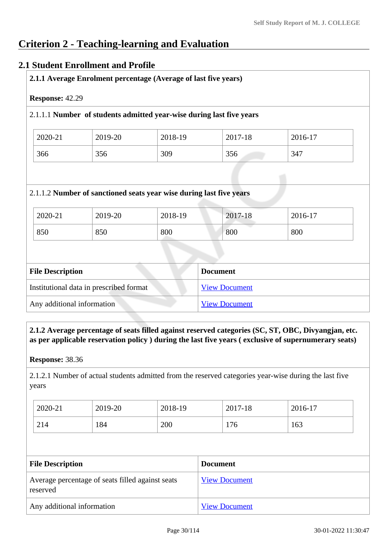# **Criterion 2 - Teaching-learning and Evaluation**

### **2.1 Student Enrollment and Profile**

| 2.1.1 Average Enrolment percentage (Average of last five years) |                                                                      |                      |                 |         |  |
|-----------------------------------------------------------------|----------------------------------------------------------------------|----------------------|-----------------|---------|--|
| Response: 42.29                                                 |                                                                      |                      |                 |         |  |
|                                                                 | 2.1.1.1 Number of students admitted year-wise during last five years |                      |                 |         |  |
| 2020-21                                                         | 2018-19<br>2016-17<br>2019-20<br>2017-18                             |                      |                 |         |  |
| 366                                                             | 356                                                                  | 309                  | 356             | 347     |  |
| 2020-21                                                         | 2019-20                                                              | 2018-19              | 2017-18         | 2016-17 |  |
|                                                                 |                                                                      |                      |                 |         |  |
| 850                                                             | 850                                                                  | 800<br>800           |                 | 800     |  |
|                                                                 |                                                                      |                      |                 |         |  |
| <b>File Description</b>                                         |                                                                      |                      | <b>Document</b> |         |  |
| Institutional data in prescribed format                         |                                                                      | <b>View Document</b> |                 |         |  |
| Any additional information<br><b>View Document</b>              |                                                                      |                      |                 |         |  |

### **2.1.2 Average percentage of seats filled against reserved categories (SC, ST, OBC, Divyangjan, etc. as per applicable reservation policy ) during the last five years ( exclusive of supernumerary seats)**

**Response:** 38.36

2.1.2.1 Number of actual students admitted from the reserved categories year-wise during the last five years

| 2020-21 | 2019-20 | 2018-19 | 2017-18 | 2016-17 |
|---------|---------|---------|---------|---------|
| 214     | 184     | 200     | 176     | 163     |

| <b>File Description</b>                                      | <b>Document</b>      |
|--------------------------------------------------------------|----------------------|
| Average percentage of seats filled against seats<br>reserved | <b>View Document</b> |
| Any additional information                                   | <b>View Document</b> |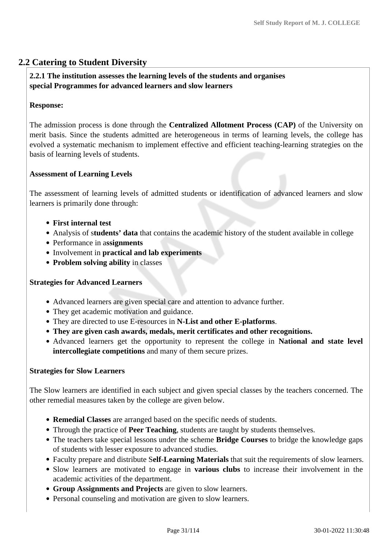### **2.2 Catering to Student Diversity**

### **2.2.1 The institution assesses the learning levels of the students and organises special Programmes for advanced learners and slow learners**

### **Response:**

The admission process is done through the **Centralized Allotment Process (CAP)** of the University on merit basis. Since the students admitted are heterogeneous in terms of learning levels, the college has evolved a systematic mechanism to implement effective and efficient teaching-learning strategies on the basis of learning levels of students.

### **Assessment of Learning Levels**

The assessment of learning levels of admitted students or identification of advanced learners and slow learners is primarily done through:

- **First internal test**
- Analysis of s**tudents' data** that contains the academic history of the student available in college
- Performance in a**ssignments**
- Involvement in **practical and lab experiments**
- **Problem solving ability** in classes

### **Strategies for Advanced Learners**

- Advanced learners are given special care and attention to advance further.
- They get academic motivation and guidance.
- They are directed to use E-resources in **N-List and other E-platforms**.
- **They are given cash awards, medals, merit certificates and other recognitions.**
- Advanced learners get the opportunity to represent the college in **National and state level intercollegiate competitions** and many of them secure prizes.

### **Strategies for Slow Learners**

The Slow learners are identified in each subject and given special classes by the teachers concerned. The other remedial measures taken by the college are given below.

- **Remedial Classes** are arranged based on the specific needs of students.
- Through the practice of **Peer Teaching**, students are taught by students themselves.
- The teachers take special lessons under the scheme **Bridge Courses** to bridge the knowledge gaps of students with lesser exposure to advanced studies.
- Faculty prepare and distribute S**elf-Learning Materials** that suit the requirements of slow learners.
- Slow learners are motivated to engage in **various clubs** to increase their involvement in the academic activities of the department.
- **Group Assignments and Projects** are given to slow learners.
- Personal counseling and motivation are given to slow learners.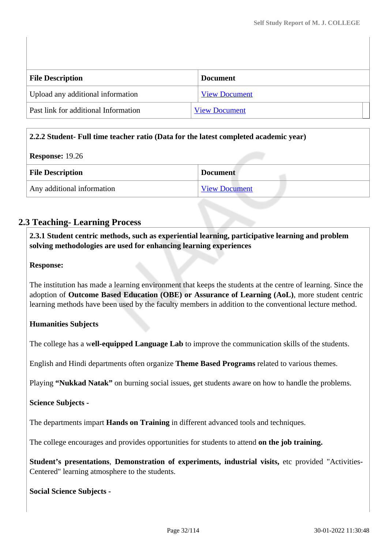| <b>File Description</b><br><b>Document</b>                   |  |
|--------------------------------------------------------------|--|
| Upload any additional information<br><b>View Document</b>    |  |
| Past link for additional Information<br><b>View Document</b> |  |

### **2.2.2 Student- Full time teacher ratio (Data for the latest completed academic year)**

| <b>Response: 19.26</b> |  |
|------------------------|--|
|------------------------|--|

| -                          |                      |  |
|----------------------------|----------------------|--|
| <b>File Description</b>    | <b>Document</b>      |  |
| Any additional information | <b>View Document</b> |  |
|                            |                      |  |

### **2.3 Teaching- Learning Process**

 **2.3.1 Student centric methods, such as experiential learning, participative learning and problem solving methodologies are used for enhancing learning experiences**

### **Response:**

The institution has made a learning environment that keeps the students at the centre of learning. Since the adoption of **Outcome Based Education (OBE) or Assurance of Learning (AoL)**, more student centric learning methods have been used by the faculty members in addition to the conventional lecture method.

### **Humanities Subjects**

The college has a w**ell-equipped Language Lab** to improve the communication skills of the students.

English and Hindi departments often organize **Theme Based Programs** related to various themes.

Playing **"Nukkad Natak"** on burning social issues, get students aware on how to handle the problems.

### **Science Subjects -**

The departments impart **Hands on Training** in different advanced tools and techniques.

The college encourages and provides opportunities for students to attend **on the job training.**

**Student's presentations**, **Demonstration of experiments, industrial visits,** etc provided "Activities-Centered" learning atmosphere to the students.

**Social Science Subjects -**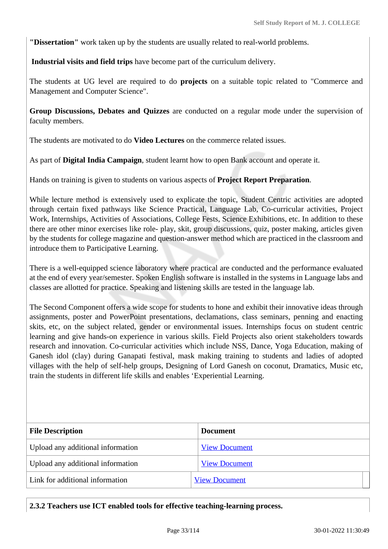**"Dissertation"** work taken up by the students are usually related to real-world problems.

**Industrial visits and field trips** have become part of the curriculum delivery.

The students at UG level are required to do **projects** on a suitable topic related to "Commerce and Management and Computer Science".

**Group Discussions, Debates and Quizzes** are conducted on a regular mode under the supervision of faculty members.

The students are motivated to do **Video Lectures** on the commerce related issues.

As part of **Digital India Campaign**, student learnt how to open Bank account and operate it.

Hands on training is given to students on various aspects of **Project Report Preparation**.

While lecture method is extensively used to explicate the topic, Student Centric activities are adopted through certain fixed pathways like Science Practical, Language Lab, Co-curricular activities, Project Work, Internships, Activities of Associations, College Fests, Science Exhibitions, etc. In addition to these there are other minor exercises like role- play, skit, group discussions, quiz, poster making, articles given by the students for college magazine and question-answer method which are practiced in the classroom and introduce them to Participative Learning.

There is a well-equipped science laboratory where practical are conducted and the performance evaluated at the end of every year/semester. Spoken English software is installed in the systems in Language labs and classes are allotted for practice. Speaking and listening skills are tested in the language lab.

The Second Component offers a wide scope for students to hone and exhibit their innovative ideas through assignments, poster and PowerPoint presentations, declamations, class seminars, penning and enacting skits, etc, on the subject related, gender or environmental issues. Internships focus on student centric learning and give hands-on experience in various skills. Field Projects also orient stakeholders towards research and innovation. Co-curricular activities which include NSS, Dance, Yoga Education, making of Ganesh idol (clay) during Ganapati festival, mask making training to students and ladies of adopted villages with the help of self-help groups, Designing of Lord Ganesh on coconut, Dramatics, Music etc, train the students in different life skills and enables 'Experiential Learning.

| <b>File Description</b>           | <b>Document</b>      |  |
|-----------------------------------|----------------------|--|
| Upload any additional information | <b>View Document</b> |  |
| Upload any additional information | <b>View Document</b> |  |
| Link for additional information   | <b>View Document</b> |  |

**2.3.2 Teachers use ICT enabled tools for effective teaching-learning process.**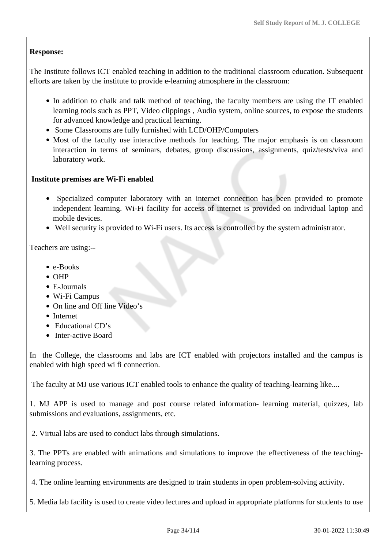### **Response:**

The Institute follows ICT enabled teaching in addition to the traditional classroom education. Subsequent efforts are taken by the institute to provide e-learning atmosphere in the classroom:

- In addition to chalk and talk method of teaching, the faculty members are using the IT enabled learning tools such as PPT, Video clippings , Audio system, online sources, to expose the students for advanced knowledge and practical learning.
- Some Classrooms are fully furnished with LCD/OHP/Computers
- Most of the faculty use interactive methods for teaching. The major emphasis is on classroom interaction in terms of seminars, debates, group discussions, assignments, quiz/tests/viva and laboratory work.

### **Institute premises are Wi-Fi enabled**

- Specialized computer laboratory with an internet connection has been provided to promote independent learning. Wi-Fi facility for access of internet is provided on individual laptop and mobile devices.
- Well security is provided to Wi-Fi users. Its access is controlled by the system administrator.

Teachers are using:--

- e-Books
- $\bullet$  OHP
- E-Journals
- Wi-Fi Campus
- On line and Off line Video's
- Internet
- Educational CD's
- Inter-active Board

In the College, the classrooms and labs are ICT enabled with projectors installed and the campus is enabled with high speed wi fi connection.

The faculty at MJ use various ICT enabled tools to enhance the quality of teaching-learning like....

1. MJ APP is used to manage and post course related information- learning material, quizzes, lab submissions and evaluations, assignments, etc.

2. Virtual labs are used to conduct labs through simulations.

3. The PPTs are enabled with animations and simulations to improve the effectiveness of the teachinglearning process.

4. The online learning environments are designed to train students in open problem-solving activity.

5. Media lab facility is used to create video lectures and upload in appropriate platforms for students to use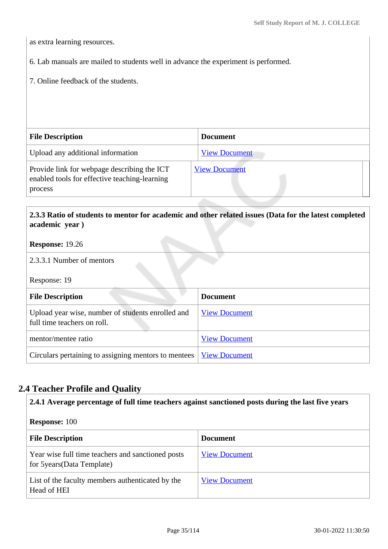as extra learning resources.

6. Lab manuals are mailed to students well in advance the experiment is performed.

7. Online feedback of the students.

| <b>File Description</b>                                                                                 | <b>Document</b>      |
|---------------------------------------------------------------------------------------------------------|----------------------|
| Upload any additional information                                                                       | <b>View Document</b> |
| Provide link for webpage describing the ICT<br>enabled tools for effective teaching-learning<br>process | <b>View Document</b> |

### **2.3.3 Ratio of students to mentor for academic and other related issues (Data for the latest completed academic year )**

### **Response:** 19.26

2.3.3.1 Number of mentors

Response: 19

| <b>File Description</b>                                                          | <b>Document</b>      |
|----------------------------------------------------------------------------------|----------------------|
| Upload year wise, number of students enrolled and<br>full time teachers on roll. | <b>View Document</b> |
| mentor/mentee ratio                                                              | <b>View Document</b> |
| Circulars pertaining to assigning mentors to mentees   <u>View Document</u>      |                      |

### **2.4 Teacher Profile and Quality**

**2.4.1 Average percentage of full time teachers against sanctioned posts during the last five years**

### **Response:** 100

| <b>File Description</b>                                                          | <b>Document</b>      |
|----------------------------------------------------------------------------------|----------------------|
| Year wise full time teachers and sanctioned posts<br>for 5 years (Data Template) | <b>View Document</b> |
| List of the faculty members authenticated by the<br>Head of HEI                  | <b>View Document</b> |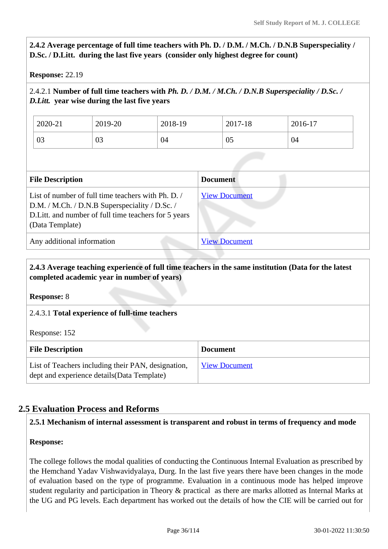**2.4.2 Average percentage of full time teachers with Ph. D. / D.M. / M.Ch. / D.N.B Superspeciality / D.Sc. / D.Litt. during the last five years (consider only highest degree for count)**

**Response:** 22.19

2.4.2.1 **Number of full time teachers with** *Ph. D. / D.M. / M.Ch. / D.N.B Superspeciality / D.Sc. / D.Litt.* **year wise during the last five years**

| 2020-21        | 2019-20 | 2018-19 | 2017-18 | 2016-17 |
|----------------|---------|---------|---------|---------|
| $\Omega$<br>U3 | 03      | 04      | 05      | 04      |

| <b>File Description</b>                                                                                                                                                          | <b>Document</b>      |
|----------------------------------------------------------------------------------------------------------------------------------------------------------------------------------|----------------------|
| List of number of full time teachers with Ph. D. /<br>D.M. / M.Ch. / D.N.B Superspeciality / D.Sc. /<br>D. Litt. and number of full time teachers for 5 years<br>(Data Template) | <b>View Document</b> |
| Any additional information                                                                                                                                                       | <b>View Document</b> |

### **2.4.3 Average teaching experience of full time teachers in the same institution (Data for the latest completed academic year in number of years)**

**Response:** 8

### 2.4.3.1 **Total experience of full-time teachers**

Response: 152

| <b>File Description</b>                                                                           | <b>Document</b>      |
|---------------------------------------------------------------------------------------------------|----------------------|
| List of Teachers including their PAN, designation,<br>dept and experience details (Data Template) | <b>View Document</b> |

### **2.5 Evaluation Process and Reforms**

### **2.5.1 Mechanism of internal assessment is transparent and robust in terms of frequency and mode**

### **Response:**

The college follows the modal qualities of conducting the Continuous Internal Evaluation as prescribed by the Hemchand Yadav Vishwavidyalaya, Durg. In the last five years there have been changes in the mode of evaluation based on the type of programme. Evaluation in a continuous mode has helped improve student regularity and participation in Theory & practical as there are marks allotted as Internal Marks at the UG and PG levels. Each department has worked out the details of how the CIE will be carried out for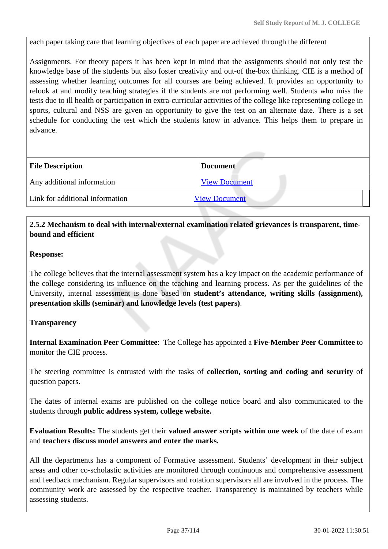each paper taking care that learning objectives of each paper are achieved through the different

Assignments. For theory papers it has been kept in mind that the assignments should not only test the knowledge base of the students but also foster creativity and out-of the-box thinking. CIE is a method of assessing whether learning outcomes for all courses are being achieved. It provides an opportunity to relook at and modify teaching strategies if the students are not performing well. Students who miss the tests due to ill health or participation in extra-curricular activities of the college like representing college in sports, cultural and NSS are given an opportunity to give the test on an alternate date. There is a set schedule for conducting the test which the students know in advance. This helps them to prepare in advance.

| <b>File Description</b>         | <b>Document</b>      |
|---------------------------------|----------------------|
| Any additional information      | <b>View Document</b> |
| Link for additional information | <b>View Document</b> |

## **2.5.2 Mechanism to deal with internal/external examination related grievances is transparent, timebound and efficient**

#### **Response:**

The college believes that the internal assessment system has a key impact on the academic performance of the college considering its influence on the teaching and learning process. As per the guidelines of the University, internal assessment is done based on **student's attendance, writing skills (assignment), presentation skills (seminar) and knowledge levels (test papers)**.

#### **Transparency**

**Internal Examination Peer Committee**: The College has appointed a **Five-Member Peer Committee** to monitor the CIE process.

The steering committee is entrusted with the tasks of **collection, sorting and coding and security** of question papers.

The dates of internal exams are published on the college notice board and also communicated to the students through **public address system, college website.**

**Evaluation Results:** The students get their **valued answer scripts within one week** of the date of exam and **teachers discuss model answers and enter the marks.**

All the departments has a component of Formative assessment. Students' development in their subject areas and other co-scholastic activities are monitored through continuous and comprehensive assessment and feedback mechanism. Regular supervisors and rotation supervisors all are involved in the process. The community work are assessed by the respective teacher. Transparency is maintained by teachers while assessing students.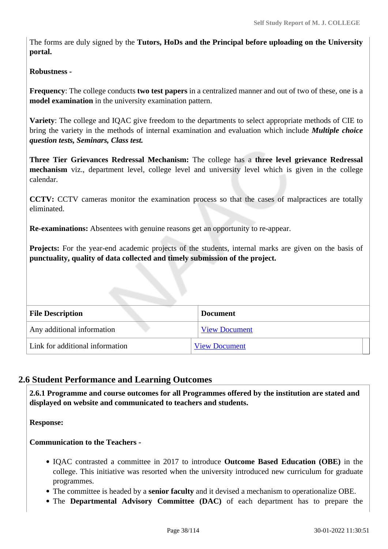The forms are duly signed by the **Tutors, HoDs and the Principal before uploading on the University portal.**

#### **Robustness -**

**Frequency**: The college conducts **two test papers** in a centralized manner and out of two of these, one is a **model examination** in the university examination pattern.

**Variety**: The college and IQAC give freedom to the departments to select appropriate methods of CIE to bring the variety in the methods of internal examination and evaluation which include *Multiple choice question tests, Seminars, Class test.*

**Three Tier Grievances Redressal Mechanism:** The college has a **three level grievance Redressal mechanism** viz., department level, college level and university level which is given in the college calendar.

**CCTV:** CCTV cameras monitor the examination process so that the cases of malpractices are totally eliminated.

**Re-examinations:** Absentees with genuine reasons get an opportunity to re-appear.

**Projects:** For the year-end academic projects of the students, internal marks are given on the basis of **punctuality, quality of data collected and timely submission of the project.**

| <b>File Description</b>         | <b>Document</b>      |
|---------------------------------|----------------------|
| Any additional information      | <b>View Document</b> |
| Link for additional information | <b>View Document</b> |

## **2.6 Student Performance and Learning Outcomes**

 **2.6.1 Programme and course outcomes for all Programmes offered by the institution are stated and displayed on website and communicated to teachers and students.**

**Response:** 

#### **Communication to the Teachers -**

- IQAC contrasted a committee in 2017 to introduce **Outcome Based Education (OBE)** in the college. This initiative was resorted when the university introduced new curriculum for graduate programmes.
- The committee is headed by a **senior faculty** and it devised a mechanism to operationalize OBE.
- The **Departmental Advisory Committee (DAC)** of each department has to prepare the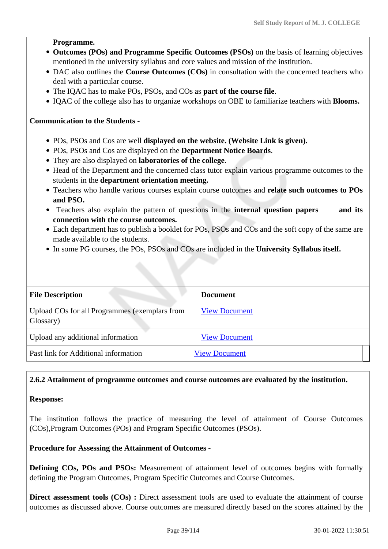#### **Programme.**

- **Outcomes (POs) and Programme Specific Outcomes (PSOs)** on the basis of learning objectives mentioned in the university syllabus and core values and mission of the institution.
- DAC also outlines the **Course Outcomes (COs)** in consultation with the concerned teachers who deal with a particular course.
- The IQAC has to make POs, PSOs, and COs as **part of the course file**.
- IQAC of the college also has to organize workshops on OBE to familiarize teachers with **Blooms.**

#### **Communication to the Students -**

- POs, PSOs and Cos are well **displayed on the website. (Website Link is given).**
- POs, PSOs and Cos are displayed on the **Department Notice Boards**.
- They are also displayed on **laboratories of the college**.
- Head of the Department and the concerned class tutor explain various programme outcomes to the students in the **department orientation meeting.**
- Teachers who handle various courses explain course outcomes and **relate such outcomes to POs and PSO.**
- Teachers also explain the pattern of questions in the **internal question papers and its connection with the course outcomes.**
- Each department has to publish a booklet for POs, PSOs and COs and the soft copy of the same are made available to the students.
- In some PG courses, the POs, PSOs and COs are included in the **University Syllabus itself.**

| <b>File Description</b>                                    | <b>Document</b>      |
|------------------------------------------------------------|----------------------|
| Upload COs for all Programmes (exemplars from<br>Glossary) | <b>View Document</b> |
| Upload any additional information                          | <b>View Document</b> |
| Past link for Additional information                       | <b>View Document</b> |

#### **2.6.2 Attainment of programme outcomes and course outcomes are evaluated by the institution.**

#### **Response:**

The institution follows the practice of measuring the level of attainment of Course Outcomes (COs),Program Outcomes (POs) and Program Specific Outcomes (PSOs).

**Procedure for Assessing the Attainment of Outcomes -**

**Defining COs, POs and PSOs:** Measurement of attainment level of outcomes begins with formally defining the Program Outcomes, Program Specific Outcomes and Course Outcomes.

**Direct assessment tools (COs) :** Direct assessment tools are used to evaluate the attainment of course outcomes as discussed above. Course outcomes are measured directly based on the scores attained by the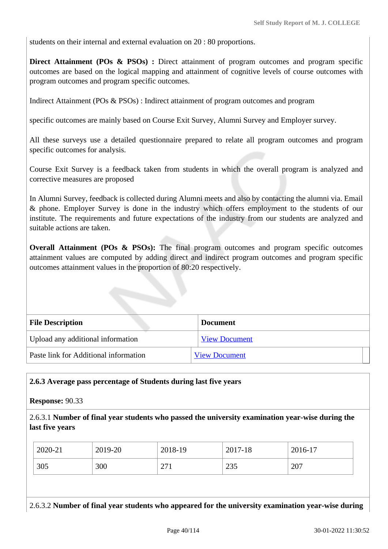students on their internal and external evaluation on 20 : 80 proportions.

**Direct Attainment (POs & PSOs):** Direct attainment of program outcomes and program specific outcomes are based on the logical mapping and attainment of cognitive levels of course outcomes with program outcomes and program specific outcomes.

Indirect Attainment (POs & PSOs) : Indirect attainment of program outcomes and program

specific outcomes are mainly based on Course Exit Survey, Alumni Survey and Employer survey.

All these surveys use a detailed questionnaire prepared to relate all program outcomes and program specific outcomes for analysis.

Course Exit Survey is a feedback taken from students in which the overall program is analyzed and corrective measures are proposed

In Alumni Survey, feedback is collected during Alumni meets and also by contacting the alumni via. Email & phone. Employer Survey is done in the industry which offers employment to the students of our institute. The requirements and future expectations of the industry from our students are analyzed and suitable actions are taken.

**Overall Attainment (POs & PSOs):** The final program outcomes and program specific outcomes attainment values are computed by adding direct and indirect program outcomes and program specific outcomes attainment values in the proportion of 80:20 respectively.

| <b>File Description</b>               | <b>Document</b>      |
|---------------------------------------|----------------------|
| Upload any additional information     | <b>View Document</b> |
| Paste link for Additional information | <b>View Document</b> |

#### **2.6.3 Average pass percentage of Students during last five years**

**Response:** 90.33

2.6.3.1 **Number of final year students who passed the university examination year-wise during the last five years**

| 2020-21 | 2019-20 | 2018-19 | 2017-18 | 2016-17                                                                                           |
|---------|---------|---------|---------|---------------------------------------------------------------------------------------------------|
| 305     | 300     | 271     | 235     | 207                                                                                               |
|         |         |         |         |                                                                                                   |
|         |         |         |         |                                                                                                   |
|         |         |         |         | $2622$ Number of final wear students who appeared for the university examination year wise during |

2.6.3.2 **Number of final year students who appeared for the university examination year-wise during**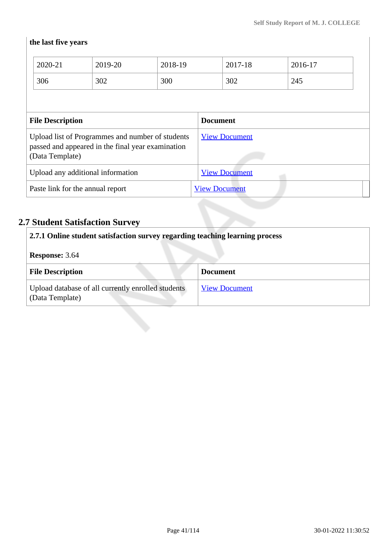# **the last five years**

|                                                                                                                          | 2020-21                          | 2019-20              | 2018-19              |                      | 2017-18 | 2016-17 |  |
|--------------------------------------------------------------------------------------------------------------------------|----------------------------------|----------------------|----------------------|----------------------|---------|---------|--|
|                                                                                                                          | 306                              | 302                  | 300                  |                      | 302     | 245     |  |
|                                                                                                                          |                                  |                      |                      |                      |         |         |  |
|                                                                                                                          | <b>File Description</b>          |                      |                      | <b>Document</b>      |         |         |  |
| Upload list of Programmes and number of students<br>passed and appeared in the final year examination<br>(Data Template) |                                  |                      | <b>View Document</b> |                      |         |         |  |
| Upload any additional information                                                                                        |                                  | <b>View Document</b> |                      |                      |         |         |  |
|                                                                                                                          | Paste link for the annual report |                      |                      | <b>View Document</b> |         |         |  |

# **2.7 Student Satisfaction Survey**

| 2.7.1 Online student satisfaction survey regarding teaching learning process |                      |
|------------------------------------------------------------------------------|----------------------|
| <b>Response: 3.64</b>                                                        |                      |
| <b>File Description</b>                                                      | <b>Document</b>      |
| Upload database of all currently enrolled students<br>(Data Template)        | <b>View Document</b> |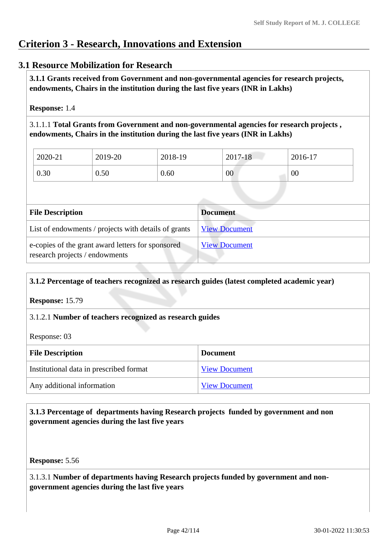# **Criterion 3 - Research, Innovations and Extension**

## **3.1 Resource Mobilization for Research**

 **3.1.1 Grants received from Government and non-governmental agencies for research projects, endowments, Chairs in the institution during the last five years (INR in Lakhs)** 

**Response:** 1.4

3.1.1.1 **Total Grants from Government and non-governmental agencies for research projects , endowments, Chairs in the institution during the last five years (INR in Lakhs)**

| 2020-21 | 2019-20 | 2018-19 | 2017-18 | 2016-17 |
|---------|---------|---------|---------|---------|
| 0.30    | 0.50    | 0.60    | 00      | 00      |

| <b>File Description</b>                                                             | <b>Document</b>      |
|-------------------------------------------------------------------------------------|----------------------|
| List of endowments / projects with details of grants                                | <b>View Document</b> |
| e-copies of the grant award letters for sponsored<br>research projects / endowments | <b>View Document</b> |

#### **3.1.2 Percentage of teachers recognized as research guides (latest completed academic year)**

**Response:** 15.79

#### 3.1.2.1 **Number of teachers recognized as research guides**

Response: 03

| <b>File Description</b>                 | <b>Document</b>      |
|-----------------------------------------|----------------------|
| Institutional data in prescribed format | <b>View Document</b> |
| Any additional information              | <b>View Document</b> |

## **3.1.3 Percentage of departments having Research projects funded by government and non government agencies during the last five years**

**Response:** 5.56

3.1.3.1 **Number of departments having Research projects funded by government and nongovernment agencies during the last five years**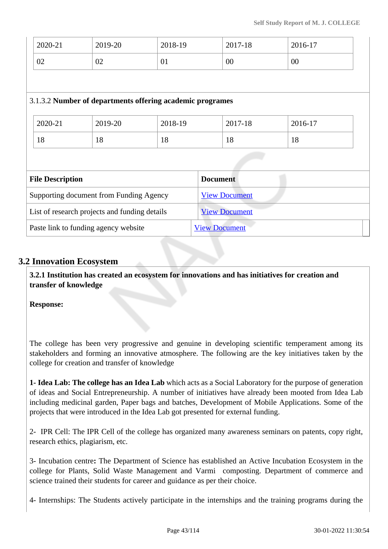| 2020-21                                       | 2019-20                                                   | 2018-19 | 2017-18              | 2016-17 |
|-----------------------------------------------|-----------------------------------------------------------|---------|----------------------|---------|
| 02                                            | 02                                                        | 01      | 00                   | 00      |
|                                               |                                                           |         |                      |         |
|                                               | 3.1.3.2 Number of departments offering academic programes |         |                      |         |
| 2020-21                                       | 2019-20                                                   | 2018-19 | 2017-18              | 2016-17 |
| 18                                            | 18                                                        | 18      | 18                   | 18      |
|                                               |                                                           |         |                      |         |
| <b>File Description</b>                       |                                                           |         | <b>Document</b>      |         |
| Supporting document from Funding Agency       |                                                           |         | <b>View Document</b> |         |
| List of research projects and funding details |                                                           |         | <b>View Document</b> |         |
| Paste link to funding agency website          |                                                           |         | <b>View Document</b> |         |

## **3.2 Innovation Ecosystem**

 **3.2.1 Institution has created an ecosystem for innovations and has initiatives for creation and transfer of knowledge**

**Response:** 

The college has been very progressive and genuine in developing scientific temperament among its stakeholders and forming an innovative atmosphere. The following are the key initiatives taken by the college for creation and transfer of knowledge

**1- Idea Lab: The college has an Idea Lab** which acts as a Social Laboratory for the purpose of generation of ideas and Social Entrepreneurship. A number of initiatives have already been mooted from Idea Lab including medicinal garden, Paper bags and batches, Development of Mobile Applications. Some of the projects that were introduced in the Idea Lab got presented for external funding.

2- IPR Cell: The IPR Cell of the college has organized many awareness seminars on patents, copy right, research ethics, plagiarism, etc.

3- Incubation centre**:** The Department of Science has established an Active Incubation Ecosystem in the college for Plants, Solid Waste Management and Varmi composting. Department of commerce and science trained their students for career and guidance as per their choice.

4- Internships: The Students actively participate in the internships and the training programs during the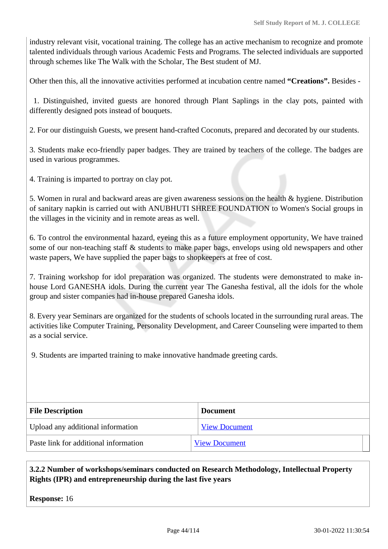industry relevant visit, vocational training. The college has an active mechanism to recognize and promote talented individuals through various Academic Fests and Programs. The selected individuals are supported through schemes like The Walk with the Scholar, The Best student of MJ.

Other then this, all the innovative activities performed at incubation centre named **"Creations".** Besides -

 1. Distinguished, invited guests are honored through Plant Saplings in the clay pots, painted with differently designed pots instead of bouquets.

2. For our distinguish Guests, we present hand-crafted Coconuts, prepared and decorated by our students.

3. Students make eco-friendly paper badges. They are trained by teachers of the college. The badges are used in various programmes.

4. Training is imparted to portray on clay pot.

5. Women in rural and backward areas are given awareness sessions on the health & hygiene. Distribution of sanitary napkin is carried out with ANUBHUTI SHREE FOUNDATION to Women's Social groups in the villages in the vicinity and in remote areas as well.

6. To control the environmental hazard, eyeing this as a future employment opportunity, We have trained some of our non-teaching staff & students to make paper bags, envelops using old newspapers and other waste papers, We have supplied the paper bags to shopkeepers at free of cost.

7. Training workshop for idol preparation was organized. The students were demonstrated to make inhouse Lord GANESHA idols. During the current year The Ganesha festival, all the idols for the whole group and sister companies had in-house prepared Ganesha idols.

8. Every year Seminars are organized for the students of schools located in the surrounding rural areas. The activities like Computer Training, Personality Development, and Career Counseling were imparted to them as a social service.

9. Students are imparted training to make innovative handmade greeting cards.

| <b>File Description</b>               | <b>Document</b>      |
|---------------------------------------|----------------------|
| Upload any additional information     | <b>View Document</b> |
| Paste link for additional information | <b>View Document</b> |

 **3.2.2 Number of workshops/seminars conducted on Research Methodology, Intellectual Property Rights (IPR) and entrepreneurship during the last five years**

**Response:** 16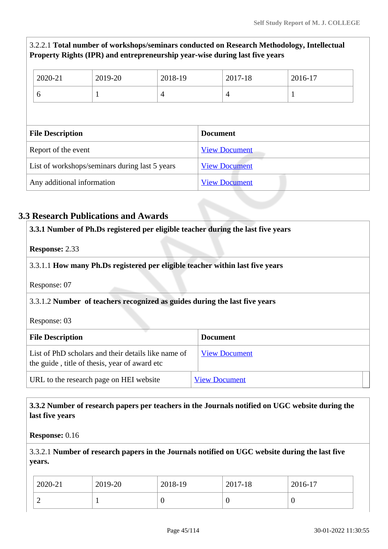## 3.2.2.1 **Total number of workshops/seminars conducted on Research Methodology, Intellectual Property Rights (IPR) and entrepreneurship year-wise during last five years**

|                                                | 2020-21 | 2019-20 | 2018-19              |                      | 2017-18        | 2016-17 |  |
|------------------------------------------------|---------|---------|----------------------|----------------------|----------------|---------|--|
|                                                | 6       |         | $\overline{4}$       |                      | $\overline{4}$ | 1       |  |
|                                                |         |         |                      |                      |                |         |  |
| <b>File Description</b>                        |         |         | <b>Document</b>      |                      |                |         |  |
| Report of the event                            |         |         | <b>View Document</b> |                      |                |         |  |
| List of workshops/seminars during last 5 years |         |         | <b>View Document</b> |                      |                |         |  |
| Any additional information                     |         |         |                      | <b>View Document</b> |                |         |  |

## **3.3 Research Publications and Awards**

| 3.3.1 Number of Ph.Ds registered per eligible teacher during the last five years                     |                                                                            |  |  |  |  |  |
|------------------------------------------------------------------------------------------------------|----------------------------------------------------------------------------|--|--|--|--|--|
| <b>Response: 2.33</b>                                                                                |                                                                            |  |  |  |  |  |
| 3.3.1.1 How many Ph.Ds registered per eligible teacher within last five years                        |                                                                            |  |  |  |  |  |
| Response: 07                                                                                         |                                                                            |  |  |  |  |  |
|                                                                                                      | 3.3.1.2 Number of teachers recognized as guides during the last five years |  |  |  |  |  |
| Response: 03                                                                                         |                                                                            |  |  |  |  |  |
| <b>File Description</b>                                                                              | <b>Document</b>                                                            |  |  |  |  |  |
| List of PhD scholars and their details like name of<br>the guide, title of thesis, year of award etc | <b>View Document</b>                                                       |  |  |  |  |  |
| URL to the research page on HEI website                                                              | <b>View Document</b>                                                       |  |  |  |  |  |

## **3.3.2 Number of research papers per teachers in the Journals notified on UGC website during the last five years**

**Response:** 0.16

3.3.2.1 **Number of research papers in the Journals notified on UGC website during the last five years.**

| 2020-21 | 2019-20 | 2018-19 | 2017-18 | 2016-17 |
|---------|---------|---------|---------|---------|
| ∼       |         |         |         | ◡       |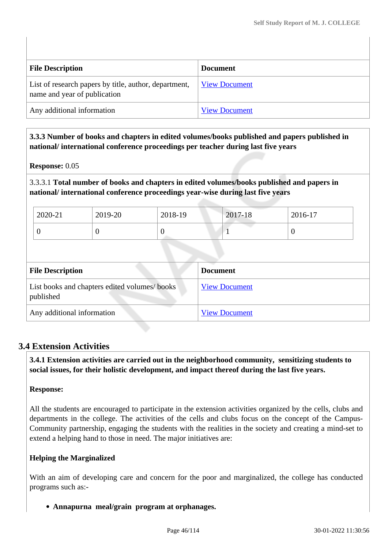| <b>File Description</b>                                                               | <b>Document</b>      |
|---------------------------------------------------------------------------------------|----------------------|
| List of research papers by title, author, department,<br>name and year of publication | <b>View Document</b> |
| Any additional information                                                            | <b>View Document</b> |

 **3.3.3 Number of books and chapters in edited volumes/books published and papers published in national/ international conference proceedings per teacher during last five years**

#### **Response:** 0.05

3.3.3.1 **Total number of books and chapters in edited volumes/books published and papers in national/ international conference proceedings year-wise during last five years**

| 2020-21 | 2019-20 | 2018-19 | $2017 - 18$ | 2016-17 |
|---------|---------|---------|-------------|---------|
|         |         |         |             |         |

| <b>File Description</b>                                    | <b>Document</b>      |
|------------------------------------------------------------|----------------------|
| List books and chapters edited volumes/ books<br>published | <b>View Document</b> |
| Any additional information                                 | <b>View Document</b> |

#### **3.4 Extension Activities**

 **3.4.1 Extension activities are carried out in the neighborhood community, sensitizing students to social issues, for their holistic development, and impact thereof during the last five years.**

#### **Response:**

All the students are encouraged to participate in the extension activities organized by the cells, clubs and departments in the college. The activities of the cells and clubs focus on the concept of the Campus-Community partnership, engaging the students with the realities in the society and creating a mind-set to extend a helping hand to those in need. The major initiatives are:

#### **Helping the Marginalized**

With an aim of developing care and concern for the poor and marginalized, the college has conducted programs such as:-

**Annapurna meal/grain program at orphanages.**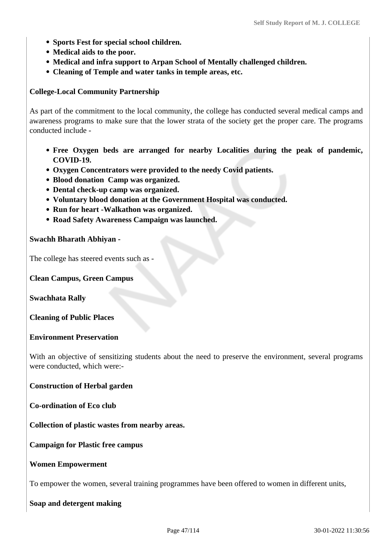- **Sports Fest for special school children.**
- **Medical aids to the poor.**
- **Medical and infra support to Arpan School of Mentally challenged children.**
- **Cleaning of Temple and water tanks in temple areas, etc.**

#### **College-Local Community Partnership**

As part of the commitment to the local community, the college has conducted several medical camps and awareness programs to make sure that the lower strata of the society get the proper care. The programs conducted include -

- **Free Oxygen beds are arranged for nearby Localities during the peak of pandemic, COVID-19.**
- **Oxygen Concentrators were provided to the needy Covid patients.**
- **Blood donation Camp was organized.**
- **Dental check-up camp was organized.**
- **Voluntary blood donation at the Government Hospital was conducted.**
- **Run for heart -Walkathon was organized.**
- **Road Safety Awareness Campaign was launched.**

#### **Swachh Bharath Abhiyan -**

The college has steered events such as -

**Clean Campus, Green Campus**

**Swachhata Rally**

**Cleaning of Public Places** 

#### **Environment Preservation**

With an objective of sensitizing students about the need to preserve the environment, several programs were conducted, which were:-

#### **Construction of Herbal garden**

**Co-ordination of Eco club** 

**Collection of plastic wastes from nearby areas.**

**Campaign for Plastic free campus**

#### **Women Empowerment**

To empower the women, several training programmes have been offered to women in different units,

#### **Soap and detergent making**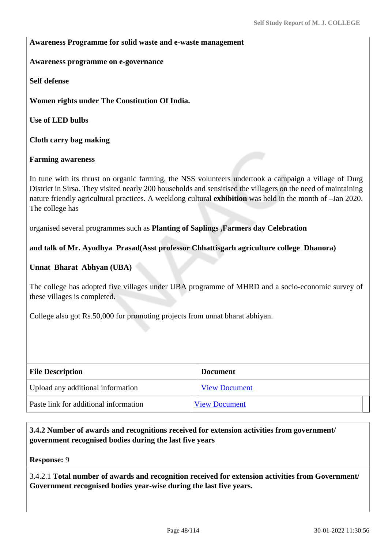#### **Awareness Programme for solid waste and e-waste management**

#### **Awareness programme on e-governance**

**Self defense**

**Women rights under The Constitution Of India.**

**Use of LED bulbs**

**Cloth carry bag making**

#### **Farming awareness**

In tune with its thrust on organic farming, the NSS volunteers undertook a campaign a village of Durg District in Sirsa. They visited nearly 200 households and sensitised the villagers on the need of maintaining nature friendly agricultural practices. A weeklong cultural **exhibition** was held in the month of –Jan 2020. The college has

organised several programmes such as **Planting of Saplings ,Farmers day Celebration**

**and talk of Mr. Ayodhya Prasad(Asst professor Chhattisgarh agriculture college Dhanora)**

#### **Unnat Bharat Abhyan (UBA)**

The college has adopted five villages under UBA programme of MHRD and a socio-economic survey of these villages is completed.

College also got Rs.50,000 for promoting projects from unnat bharat abhiyan.

| <b>File Description</b>               | <b>Document</b>      |
|---------------------------------------|----------------------|
| Upload any additional information     | <b>View Document</b> |
| Paste link for additional information | <b>View Document</b> |

## **3.4.2 Number of awards and recognitions received for extension activities from government/ government recognised bodies during the last five years**

**Response:** 9

3.4.2.1 **Total number of awards and recognition received for extension activities from Government/ Government recognised bodies year-wise during the last five years.**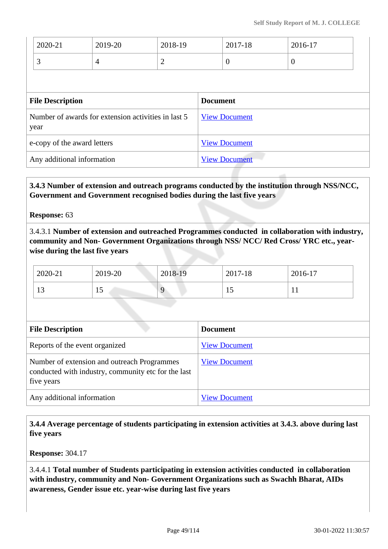|                             | 2020-21                                                     | 2019-20              | 2018-19         |  | 2017-18              | 2016-17  |
|-----------------------------|-------------------------------------------------------------|----------------------|-----------------|--|----------------------|----------|
|                             | 3                                                           | 4                    | $\overline{2}$  |  | $\theta$             | $\theta$ |
|                             |                                                             |                      |                 |  |                      |          |
| <b>File Description</b>     |                                                             |                      | <b>Document</b> |  |                      |          |
|                             | Number of awards for extension activities in last 5<br>year |                      |                 |  | <b>View Document</b> |          |
| e-copy of the award letters |                                                             | <b>View Document</b> |                 |  |                      |          |
|                             | Any additional information                                  |                      |                 |  | <b>View Document</b> |          |
|                             |                                                             |                      |                 |  |                      |          |

 **3.4.3 Number of extension and outreach programs conducted by the institution through NSS/NCC, Government and Government recognised bodies during the last five years**

**Response:** 63

3.4.3.1 **Number of extension and outreached Programmes conducted in collaboration with industry, community and Non- Government Organizations through NSS/ NCC/ Red Cross/ YRC etc., yearwise during the last five years**

| 2020-21              | 2019-20 | 2018-19  | 2017-18 | 2016-17 |
|----------------------|---------|----------|---------|---------|
| 1 <sub>2</sub><br>⊥⊃ | ⊥ J     | $\Omega$ | ⊥ັ      | . .     |

| <b>File Description</b>                                                                                          | <b>Document</b>      |
|------------------------------------------------------------------------------------------------------------------|----------------------|
| Reports of the event organized                                                                                   | <b>View Document</b> |
| Number of extension and outreach Programmes<br>conducted with industry, community etc for the last<br>five years | <b>View Document</b> |
| Any additional information                                                                                       | <b>View Document</b> |

 **3.4.4 Average percentage of students participating in extension activities at 3.4.3. above during last five years**

**Response:** 304.17

3.4.4.1 **Total number of Students participating in extension activities conducted in collaboration with industry, community and Non- Government Organizations such as Swachh Bharat, AIDs awareness, Gender issue etc. year-wise during last five years**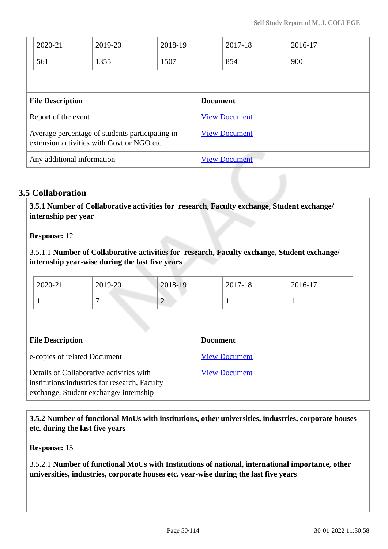|                                                                                              | 2020-21<br>561 | 2019-20<br>1355 | 2018-19<br>1507      |                      | 2017-18<br>854 | 2016-17<br>900 |  |
|----------------------------------------------------------------------------------------------|----------------|-----------------|----------------------|----------------------|----------------|----------------|--|
| <b>File Description</b>                                                                      |                |                 | <b>Document</b>      |                      |                |                |  |
| Report of the event                                                                          |                |                 | <b>View Document</b> |                      |                |                |  |
| Average percentage of students participating in<br>extension activities with Govt or NGO etc |                |                 | <b>View Document</b> |                      |                |                |  |
| Any additional information                                                                   |                |                 |                      | <b>View Document</b> |                |                |  |

## **3.5 Collaboration**

 **3.5.1 Number of Collaborative activities for research, Faculty exchange, Student exchange/ internship per year**

**Response:** 12

3.5.1.1 **Number of Collaborative activities for research, Faculty exchange, Student exchange/ internship year-wise during the last five years**

| 2020-21 | 2019-20 | 2018-19                                              | 2017-18 | 2016-17 |
|---------|---------|------------------------------------------------------|---------|---------|
|         |         | $\overline{\phantom{0}}$<br>$\overline{\phantom{0}}$ |         |         |

| <b>File Description</b>                                                                                                            | <b>Document</b>      |
|------------------------------------------------------------------------------------------------------------------------------------|----------------------|
| e-copies of related Document                                                                                                       | <b>View Document</b> |
| Details of Collaborative activities with<br>institutions/industries for research, Faculty<br>exchange, Student exchange/internship | <b>View Document</b> |

 **3.5.2 Number of functional MoUs with institutions, other universities, industries, corporate houses etc. during the last five years** 

#### **Response:** 15

3.5.2.1 **Number of functional MoUs with Institutions of national, international importance, other universities, industries, corporate houses etc. year-wise during the last five years**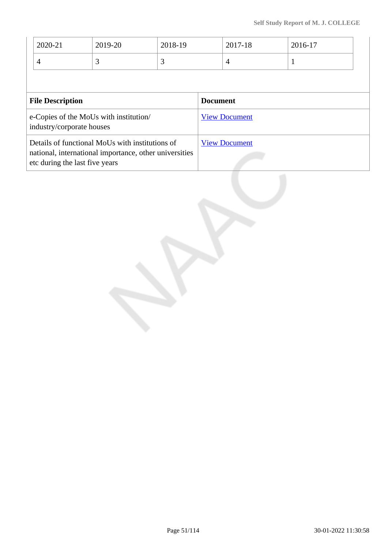| 2020-21                                                                                                                                     | 2019-20 | 2018-19 |                      | 2017-18 | 2016-17 |
|---------------------------------------------------------------------------------------------------------------------------------------------|---------|---------|----------------------|---------|---------|
| $\overline{4}$                                                                                                                              | 3       | 3       |                      | 4       | 1       |
|                                                                                                                                             |         |         |                      |         |         |
| <b>File Description</b>                                                                                                                     |         |         | <b>Document</b>      |         |         |
| e-Copies of the MoUs with institution/<br>industry/corporate houses                                                                         |         |         | <b>View Document</b> |         |         |
| Details of functional MoUs with institutions of<br>national, international importance, other universities<br>etc during the last five years |         |         | <b>View Document</b> |         |         |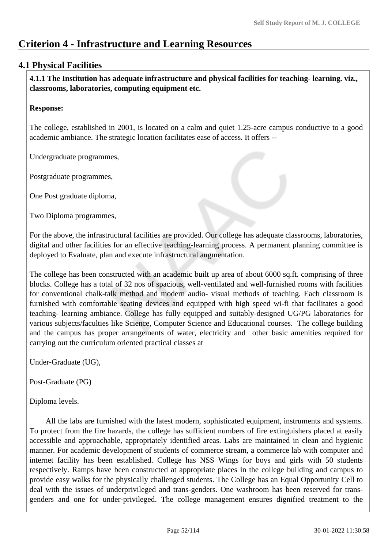# **Criterion 4 - Infrastructure and Learning Resources**

## **4.1 Physical Facilities**

 **4.1.1 The Institution has adequate infrastructure and physical facilities for teaching- learning. viz., classrooms, laboratories, computing equipment etc.** 

#### **Response:**

The college, established in 2001, is located on a calm and quiet 1.25-acre campus conductive to a good academic ambiance. The strategic location facilitates ease of access. It offers --

Undergraduate programmes,

Postgraduate programmes,

One Post graduate diploma,

Two Diploma programmes,

For the above, the infrastructural facilities are provided. Our college has adequate classrooms, laboratories, digital and other facilities for an effective teaching-learning process. A permanent planning committee is deployed to Evaluate, plan and execute infrastructural augmentation.

The college has been constructed with an academic built up area of about 6000 sq.ft. comprising of three blocks. College has a total of 32 nos of spacious, well-ventilated and well-furnished rooms with facilities for conventional chalk-talk method and modern audio- visual methods of teaching. Each classroom is furnished with comfortable seating devices and equipped with high speed wi-fi that facilitates a good teaching- learning ambiance. College has fully equipped and suitably-designed UG/PG laboratories for various subjects/faculties like Science, Computer Science and Educational courses. The college building and the campus has proper arrangements of water, electricity and other basic amenities required for carrying out the curriculum oriented practical classes at

Under-Graduate (UG),

Post-Graduate (PG)

Diploma levels.

 All the labs are furnished with the latest modern, sophisticated equipment, instruments and systems. To protect from the fire hazards, the college has sufficient numbers of fire extinguishers placed at easily accessible and approachable, appropriately identified areas. Labs are maintained in clean and hygienic manner. For academic development of students of commerce stream, a commerce lab with computer and internet facility has been established. College has NSS Wings for boys and girls with 50 students respectively. Ramps have been constructed at appropriate places in the college building and campus to provide easy walks for the physically challenged students. The College has an Equal Opportunity Cell to deal with the issues of underprivileged and trans-genders. One washroom has been reserved for transgenders and one for under-privileged. The college management ensures dignified treatment to the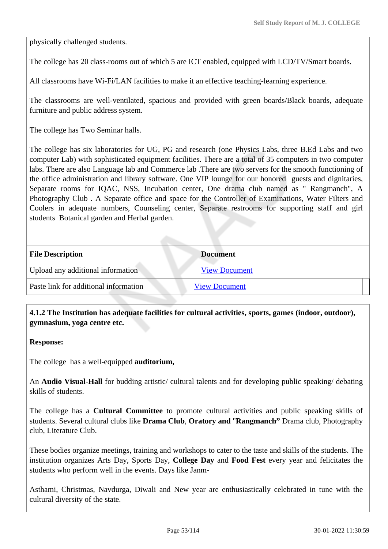physically challenged students.

The college has 20 class-rooms out of which 5 are ICT enabled, equipped with LCD/TV/Smart boards.

All classrooms have Wi-Fi/LAN facilities to make it an effective teaching-learning experience.

The classrooms are well-ventilated, spacious and provided with green boards/Black boards, adequate furniture and public address system.

The college has Two Seminar halls.

The college has six laboratories for UG, PG and research (one Physics Labs, three B.Ed Labs and two computer Lab) with sophisticated equipment facilities. There are a total of 35 computers in two computer labs. There are also Language lab and Commerce lab .There are two servers for the smooth functioning of the office administration and library software. One VIP lounge for our honored guests and dignitaries, Separate rooms for IQAC, NSS, Incubation center, One drama club named as " Rangmanch", A Photography Club . A Separate office and space for the Controller of Examinations, Water Filters and Coolers in adequate numbers, Counseling center, Separate restrooms for supporting staff and girl students Botanical garden and Herbal garden.

| <b>File Description</b>               | <b>Document</b>      |
|---------------------------------------|----------------------|
| Upload any additional information     | <b>View Document</b> |
| Paste link for additional information | <b>View Document</b> |

## **4.1.2 The Institution has adequate facilities for cultural activities, sports, games (indoor, outdoor), gymnasium, yoga centre etc.**

#### **Response:**

The college has a well-equipped **auditorium,**

An **Audio Visual-Hall** for budding artistic/ cultural talents and for developing public speaking/ debating skills of students.

The college has a **Cultural Committee** to promote cultural activities and public speaking skills of students. Several cultural clubs like **Drama Club**, **Oratory and** "**Rangmanch"** Drama club, Photography club, Literature Club.

These bodies organize meetings, training and workshops to cater to the taste and skills of the students. The institution organizes Arts Day, Sports Day, **College Day** and **Food Fest** every year and felicitates the students who perform well in the events. Days like Janm-

Asthami, Christmas, Navdurga, Diwali and New year are enthusiastically celebrated in tune with the cultural diversity of the state.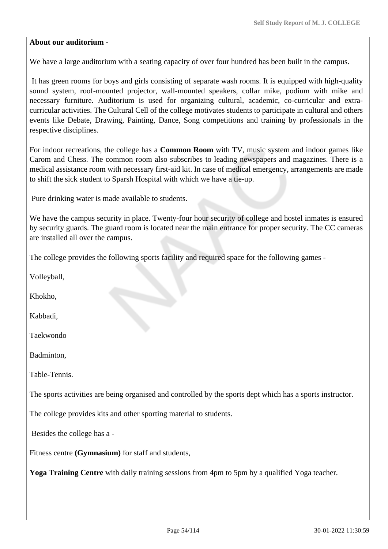## **About our auditorium -**

We have a large auditorium with a seating capacity of over four hundred has been built in the campus.

 It has green rooms for boys and girls consisting of separate wash rooms. It is equipped with high-quality sound system, roof-mounted projector, wall-mounted speakers, collar mike, podium with mike and necessary furniture. Auditorium is used for organizing cultural, academic, co-curricular and extracurricular activities. The Cultural Cell of the college motivates students to participate in cultural and others events like Debate, Drawing, Painting, Dance, Song competitions and training by professionals in the respective disciplines.

For indoor recreations, the college has a **Common Room** with TV, music system and indoor games like Carom and Chess. The common room also subscribes to leading newspapers and magazines. There is a medical assistance room with necessary first-aid kit. In case of medical emergency, arrangements are made to shift the sick student to Sparsh Hospital with which we have a tie-up.

Pure drinking water is made available to students.

We have the campus security in place. Twenty-four hour security of college and hostel inmates is ensured by security guards. The guard room is located near the main entrance for proper security. The CC cameras are installed all over the campus.

The college provides the following sports facility and required space for the following games -

Volleyball,

Khokho,

Kabbadi,

Taekwondo

Badminton,

Table-Tennis.

The sports activities are being organised and controlled by the sports dept which has a sports instructor.

The college provides kits and other sporting material to students.

Besides the college has a -

Fitness centre **(Gymnasium)** for staff and students,

**Yoga Training Centre** with daily training sessions from 4pm to 5pm by a qualified Yoga teacher.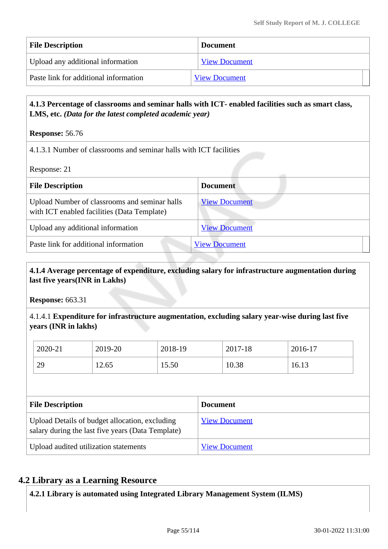| <b>File Description</b>               | <b>Document</b>      |
|---------------------------------------|----------------------|
| Upload any additional information     | <b>View Document</b> |
| Paste link for additional information | <b>View Document</b> |

## **4.1.3 Percentage of classrooms and seminar halls with ICT- enabled facilities such as smart class, LMS, etc.** *(Data for the latest completed academic year)*

**Response:** 56.76

4.1.3.1 Number of classrooms and seminar halls with ICT facilities

Response: 21

| <b>File Description</b>                                                                      | <b>Document</b>      |
|----------------------------------------------------------------------------------------------|----------------------|
| Upload Number of classrooms and seminar halls<br>with ICT enabled facilities (Data Template) | <b>View Document</b> |
| Upload any additional information                                                            | <b>View Document</b> |
| Paste link for additional information                                                        | <b>View Document</b> |

## **4.1.4 Average percentage of expenditure, excluding salary for infrastructure augmentation during last five years(INR in Lakhs)**

**Response:** 663.31

4.1.4.1 **Expenditure for infrastructure augmentation, excluding salary year-wise during last five years (INR in lakhs)**

| 2020-21 | 2019-20 | 2018-19 | 2017-18 | 2016-17 |
|---------|---------|---------|---------|---------|
| 29      | 12.65   | 15.50   | 10.38   | 16.13   |

| <b>File Description</b>                                                                             | <b>Document</b>      |
|-----------------------------------------------------------------------------------------------------|----------------------|
| Upload Details of budget allocation, excluding<br>salary during the last five years (Data Template) | <b>View Document</b> |
| Upload audited utilization statements                                                               | <b>View Document</b> |

## **4.2 Library as a Learning Resource**

**4.2.1 Library is automated using Integrated Library Management System (ILMS)**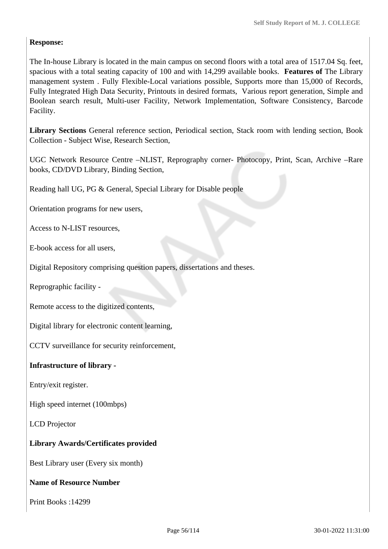#### **Response:**

The In-house Library is located in the main campus on second floors with a total area of 1517.04 Sq. feet, spacious with a total seating capacity of 100 and with 14,299 available books. **Features of** The Library management system . Fully Flexible-Local variations possible, Supports more than 15,000 of Records, Fully Integrated High Data Security, Printouts in desired formats, Various report generation, Simple and Boolean search result, Multi-user Facility, Network Implementation, Software Consistency, Barcode Facility.

**Library Sections** General reference section, Periodical section, Stack room with lending section, Book Collection - Subject Wise, Research Section,

UGC Network Resource Centre –NLIST, Reprography corner- Photocopy, Print, Scan, Archive –Rare books, CD/DVD Library, Binding Section,

Reading hall UG, PG & General, Special Library for Disable people

Orientation programs for new users,

Access to N-LIST resources,

E-book access for all users,

Digital Repository comprising question papers, dissertations and theses.

Reprographic facility -

Remote access to the digitized contents,

Digital library for electronic content learning,

CCTV surveillance for security reinforcement,

#### **Infrastructure of library -**

Entry/exit register.

High speed internet (100mbps)

LCD Projector

#### **Library Awards/Certificates provided**

Best Library user (Every six month)

#### **Name of Resource Number**

Print Books :14299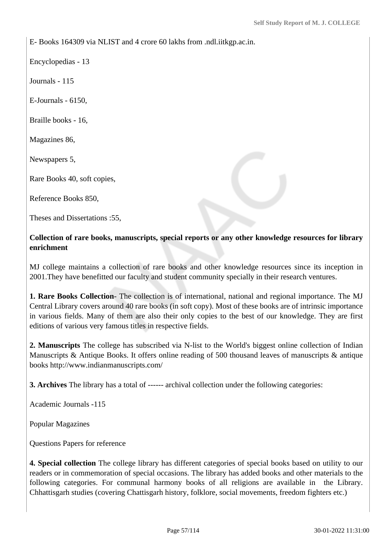E- Books 164309 via NLIST and 4 crore 60 lakhs from .ndl.iitkgp.ac.in.

Encyclopedias - 13

Journals - 115

E-Journals - 6150,

Braille books - 16,

Magazines 86,

Newspapers 5,

Rare Books 40, soft copies,

Reference Books 850,

Theses and Dissertations :55,

**Collection of rare books, manuscripts, special reports or any other knowledge resources for library enrichment**

MJ college maintains a collection of rare books and other knowledge resources since its inception in 2001.They have benefitted our faculty and student community specially in their research ventures.

**1. Rare Books Collection**- The collection is of international, national and regional importance. The MJ Central Library covers around 40 rare books (in soft copy). Most of these books are of intrinsic importance in various fields. Many of them are also their only copies to the best of our knowledge. They are first editions of various very famous titles in respective fields.

**2. Manuscripts** The college has subscribed via N-list to the World's biggest online collection of Indian Manuscripts & Antique Books. It offers online reading of 500 thousand leaves of manuscripts & antique books http://www.indianmanuscripts.com/

**3. Archives** The library has a total of ------ archival collection under the following categories:

Academic Journals -115

Popular Magazines

Questions Papers for reference

**4. Special collection** The college library has different categories of special books based on utility to our readers or in commemoration of special occasions. The library has added books and other materials to the following categories. For communal harmony books of all religions are available in the Library. Chhattisgarh studies (covering Chattisgarh history, folklore, social movements, freedom fighters etc.)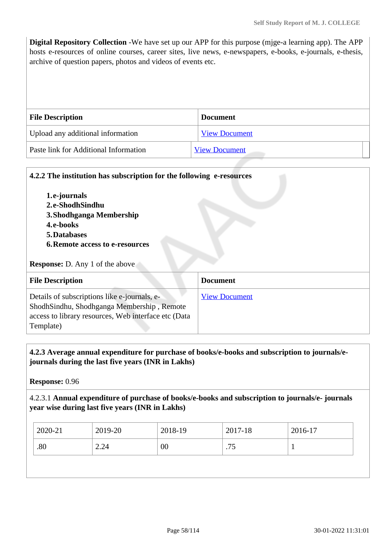**Digital Repository Collection** -We have set up our APP for this purpose (mjge-a learning app). The APP hosts e-resources of online courses, career sites, live news, e-newspapers, e-books, e-journals, e-thesis, archive of question papers, photos and videos of events etc.

| <b>File Description</b>               | <b>Document</b>      |
|---------------------------------------|----------------------|
| Upload any additional information     | <b>View Document</b> |
| Paste link for Additional Information | <b>View Document</b> |

| 1.e-journals                                                                               |                      |
|--------------------------------------------------------------------------------------------|----------------------|
| 2.e-ShodhSindhu                                                                            |                      |
| 3. Shodhganga Membership                                                                   |                      |
| 4.e-books                                                                                  |                      |
| <b>5.Databases</b>                                                                         |                      |
| <b>6. Remote access to e-resources</b>                                                     |                      |
|                                                                                            |                      |
|                                                                                            |                      |
| <b>Response:</b> D. Any 1 of the above                                                     |                      |
| <b>File Description</b>                                                                    | <b>Document</b>      |
|                                                                                            | <b>View Document</b> |
| Details of subscriptions like e-journals, e-<br>ShodhSindhu, Shodhganga Membership, Remote |                      |

## **4.2.3 Average annual expenditure for purchase of books/e-books and subscription to journals/ejournals during the last five years (INR in Lakhs)**

**Response:** 0.96

Template)

4.2.3.1 **Annual expenditure of purchase of books/e-books and subscription to journals/e- journals year wise during last five years (INR in Lakhs)**

| 2020-21<br>2019-20<br>2018-19 | 2017-18                                             | 2016-17 |
|-------------------------------|-----------------------------------------------------|---------|
| .80<br>00<br>2.24             | $\overline{\phantom{a}}$<br>$\cdot$ $\cdot$ $\cdot$ | ÷       |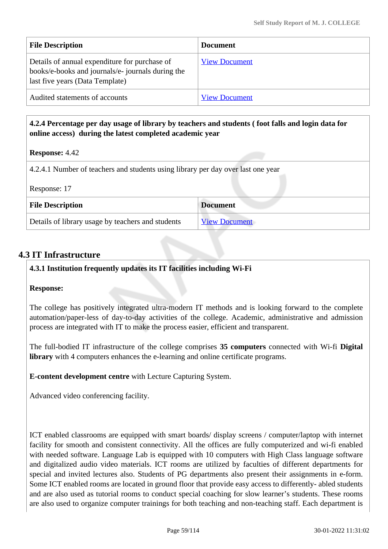| <b>File Description</b>                                                                                                              | <b>Document</b>      |
|--------------------------------------------------------------------------------------------------------------------------------------|----------------------|
| Details of annual expenditure for purchase of<br>books/e-books and journals/e-journals during the<br>last five years (Data Template) | <b>View Document</b> |
| Audited statements of accounts                                                                                                       | <b>View Document</b> |

#### **4.2.4 Percentage per day usage of library by teachers and students ( foot falls and login data for online access) during the latest completed academic year**

#### **Response:** 4.42

4.2.4.1 Number of teachers and students using library per day over last one year

#### Response: 17

| <b>File Description</b>                           | <b>Document</b>      |
|---------------------------------------------------|----------------------|
| Details of library usage by teachers and students | <b>View Document</b> |

## **4.3 IT Infrastructure**

## **4.3.1 Institution frequently updates its IT facilities including Wi-Fi**

#### **Response:**

The college has positively integrated ultra-modern IT methods and is looking forward to the complete automation/paper-less of day-to-day activities of the college. Academic, administrative and admission process are integrated with IT to make the process easier, efficient and transparent.

The full-bodied IT infrastructure of the college comprises **35 computers** connected with Wi-fi **Digital library** with 4 computers enhances the e-learning and online certificate programs.

**E-content development centre** with Lecture Capturing System.

Advanced video conferencing facility.

ICT enabled classrooms are equipped with smart boards/ display screens / computer/laptop with internet facility for smooth and consistent connectivity. All the offices are fully computerized and wi-fi enabled with needed software. Language Lab is equipped with 10 computers with High Class language software and digitalized audio video materials. ICT rooms are utilized by faculties of different departments for special and invited lectures also. Students of PG departments also present their assignments in e-form. Some ICT enabled rooms are located in ground floor that provide easy access to differently- abled students and are also used as tutorial rooms to conduct special coaching for slow learner's students. These rooms are also used to organize computer trainings for both teaching and non-teaching staff. Each department is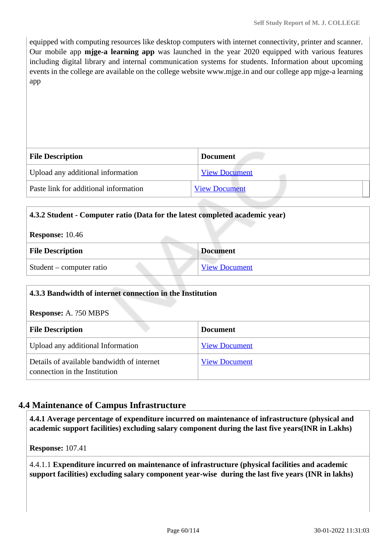equipped with computing resources like desktop computers with internet connectivity, printer and scanner. Our mobile app **mjge-a learning app** was launched in the year 2020 equipped with various features including digital library and internal communication systems for students. Information about upcoming events in the college are available on the college website www.mjge.in and our college app mjge-a learning app

| <b>File Description</b>               | <b>Document</b>      |
|---------------------------------------|----------------------|
| Upload any additional information     | <b>View Document</b> |
| Paste link for additional information | <b>View Document</b> |

# **4.3.2 Student - Computer ratio (Data for the latest completed academic year) Response:** 10.46 **File Description Document** Student – computer ratio [View Document](https://assessmentonline.naac.gov.in/storage/app/hei/SSR/106322/4.3.2_1636823367_4955.pdf)

| 4.3.3 Bandwidth of internet connection in the Institution                   |                      |  |
|-----------------------------------------------------------------------------|----------------------|--|
| <b>Response:</b> A. ?50 MBPS                                                |                      |  |
| <b>File Description</b><br><b>Document</b>                                  |                      |  |
| Upload any additional Information                                           | <b>View Document</b> |  |
| Details of available bandwidth of internet<br>connection in the Institution | <b>View Document</b> |  |

## **4.4 Maintenance of Campus Infrastructure**

 **4.4.1 Average percentage of expenditure incurred on maintenance of infrastructure (physical and academic support facilities) excluding salary component during the last five years(INR in Lakhs)**

#### **Response:** 107.41

4.4.1.1 **Expenditure incurred on maintenance of infrastructure (physical facilities and academic support facilities) excluding salary component year-wise during the last five years (INR in lakhs)**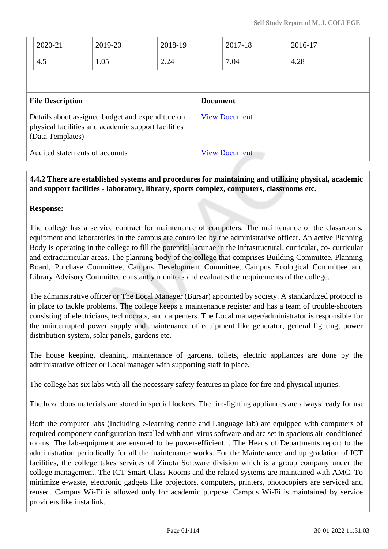|                                                                                                                             | 2020-21 | 2019-20 | 2018-19              |                 | 2017-18 | 2016-17 |  |
|-----------------------------------------------------------------------------------------------------------------------------|---------|---------|----------------------|-----------------|---------|---------|--|
|                                                                                                                             | 4.5     | 1.05    | 2.24                 |                 | 7.04    | 4.28    |  |
|                                                                                                                             |         |         |                      |                 |         |         |  |
| <b>File Description</b>                                                                                                     |         |         |                      | <b>Document</b> |         |         |  |
| Details about assigned budget and expenditure on<br>physical facilities and academic support facilities<br>(Data Templates) |         |         | <b>View Document</b> |                 |         |         |  |
| Audited statements of accounts                                                                                              |         |         | <b>View Document</b> |                 |         |         |  |

## **4.4.2 There are established systems and procedures for maintaining and utilizing physical, academic and support facilities - laboratory, library, sports complex, computers, classrooms etc.**

#### **Response:**

The college has a service contract for maintenance of computers. The maintenance of the classrooms, equipment and laboratories in the campus are controlled by the administrative officer. An active Planning Body is operating in the college to fill the potential lacunae in the infrastructural, curricular, co- curricular and extracurricular areas. The planning body of the college that comprises Building Committee, Planning Board, Purchase Committee, Campus Development Committee, Campus Ecological Committee and Library Advisory Committee constantly monitors and evaluates the requirements of the college.

The administrative officer or The Local Manager (Bursar) appointed by society. A standardized protocol is in place to tackle problems. The college keeps a maintenance register and has a team of trouble-shooters consisting of electricians, technocrats, and carpenters. The Local manager/administrator is responsible for the uninterrupted power supply and maintenance of equipment like generator, general lighting, power distribution system, solar panels, gardens etc.

The house keeping, cleaning, maintenance of gardens, toilets, electric appliances are done by the administrative officer or Local manager with supporting staff in place.

The college has six labs with all the necessary safety features in place for fire and physical injuries.

The hazardous materials are stored in special lockers. The fire-fighting appliances are always ready for use.

Both the computer labs (Including e-learning centre and Language lab) are equipped with computers of required component configuration installed with anti-virus software and are set in spacious air-conditioned rooms. The lab-equipment are ensured to be power-efficient. . The Heads of Departments report to the administration periodically for all the maintenance works. For the Maintenance and up gradation of ICT facilities, the college takes services of Zinota Software division which is a group company under the college management. The ICT Smart-Class-Rooms and the related systems are maintained with AMC. To minimize e-waste, electronic gadgets like projectors, computers, printers, photocopiers are serviced and reused. Campus Wi-Fi is allowed only for academic purpose. Campus Wi-Fi is maintained by service providers like insta link.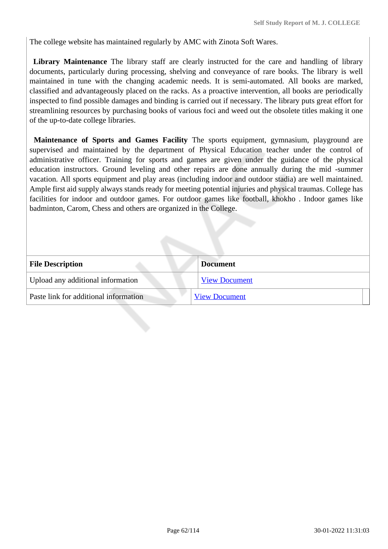The college website has maintained regularly by AMC with Zinota Soft Wares.

 **Library Maintenance** The library staff are clearly instructed for the care and handling of library documents, particularly during processing, shelving and conveyance of rare books. The library is well maintained in tune with the changing academic needs. It is semi-automated. All books are marked, classified and advantageously placed on the racks. As a proactive intervention, all books are periodically inspected to find possible damages and binding is carried out if necessary. The library puts great effort for streamlining resources by purchasing books of various foci and weed out the obsolete titles making it one of the up-to-date college libraries.

 **Maintenance of Sports and Games Facility** The sports equipment, gymnasium, playground are supervised and maintained by the department of Physical Education teacher under the control of administrative officer. Training for sports and games are given under the guidance of the physical education instructors. Ground leveling and other repairs are done annually during the mid -summer vacation. All sports equipment and play areas (including indoor and outdoor stadia) are well maintained. Ample first aid supply always stands ready for meeting potential injuries and physical traumas. College has facilities for indoor and outdoor games. For outdoor games like football, khokho . Indoor games like badminton, Carom, Chess and others are organized in the College.

| <b>File Description</b>               | <b>Document</b>      |
|---------------------------------------|----------------------|
| Upload any additional information     | <b>View Document</b> |
| Paste link for additional information | <b>View Document</b> |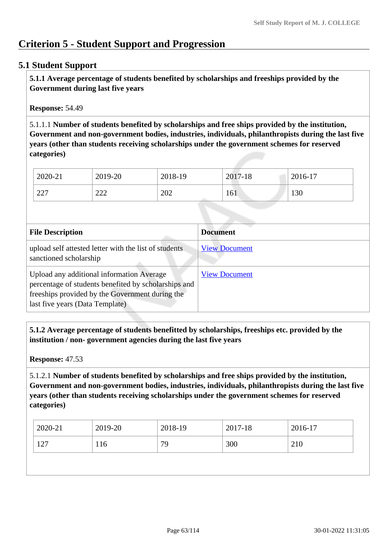# **Criterion 5 - Student Support and Progression**

## **5.1 Student Support**

 **5.1.1 Average percentage of students benefited by scholarships and freeships provided by the Government during last five years** 

**Response:** 54.49

5.1.1.1 **Number of students benefited by scholarships and free ships provided by the institution, Government and non-government bodies, industries, individuals, philanthropists during the last five years (other than students receiving scholarships under the government schemes for reserved categories)** 

| 2020-21           | 2019-20    | 2018-19 | 2017<br>1 Q<br>$1 - 10$ | 2016-17 |
|-------------------|------------|---------|-------------------------|---------|
| $\cap$<br>ا ساسلہ | റററ<br>444 | 202     | 161                     | 130     |

| <b>File Description</b>                                                                                                                                                                 | <b>Document</b>      |
|-----------------------------------------------------------------------------------------------------------------------------------------------------------------------------------------|----------------------|
| upload self attested letter with the list of students<br>sanctioned scholarship                                                                                                         | <b>View Document</b> |
| Upload any additional information Average<br>percentage of students benefited by scholarships and<br>freeships provided by the Government during the<br>last five years (Data Template) | <b>View Document</b> |

 **5.1.2 Average percentage of students benefitted by scholarships, freeships etc. provided by the institution / non- government agencies during the last five years**

**Response:** 47.53

5.1.2.1 **Number of students benefited by scholarships and free ships provided by the institution, Government and non-government bodies, industries, individuals, philanthropists during the last five years (other than students receiving scholarships under the government schemes for reserved categories)** 

| 2020-21 | 2019-20 | 2018-19 | 2017-18 | 2016-17 |
|---------|---------|---------|---------|---------|
| 127     | 116     | 70      | 300     | 210     |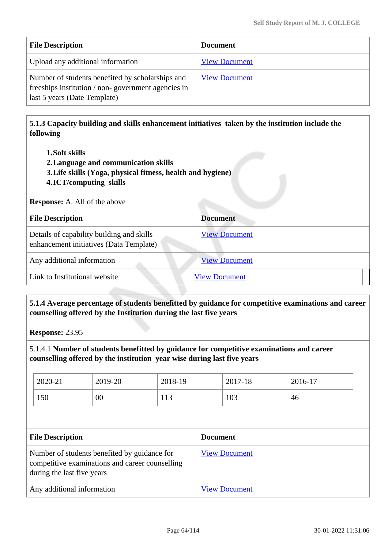| <b>File Description</b>                                                                                                                | <b>Document</b>      |
|----------------------------------------------------------------------------------------------------------------------------------------|----------------------|
| Upload any additional information                                                                                                      | <b>View Document</b> |
| Number of students benefited by scholarships and<br>freeships institution / non-government agencies in<br>last 5 years (Date Template) | <b>View Document</b> |

 **5.1.3 Capacity building and skills enhancement initiatives taken by the institution include the following**

- **1.Soft skills**
- **2.Language and communication skills**
- **3.Life skills (Yoga, physical fitness, health and hygiene)**
- **4.ICT/computing skills**

**Response:** A. All of the above

| <b>File Description</b>                                                              | <b>Document</b>      |
|--------------------------------------------------------------------------------------|----------------------|
| Details of capability building and skills<br>enhancement initiatives (Data Template) | <b>View Document</b> |
| Any additional information                                                           | <b>View Document</b> |
| Link to Institutional website                                                        | <b>View Document</b> |

 **5.1.4 Average percentage of students benefitted by guidance for competitive examinations and career counselling offered by the Institution during the last five years**

**Response:** 23.95

5.1.4.1 **Number of students benefitted by guidance for competitive examinations and career counselling offered by the institution year wise during last five years**

| 2020-21 | 2019-20 | 2018-19                | 2017<br>$7 - 18$ | 2016-17 |
|---------|---------|------------------------|------------------|---------|
| 150     | 00      | $\overline{10}$<br>11J | 103              | 46      |

| <b>File Description</b>                                                                                                       | <b>Document</b>      |
|-------------------------------------------------------------------------------------------------------------------------------|----------------------|
| Number of students benefited by guidance for<br>competitive examinations and career counselling<br>during the last five years | <b>View Document</b> |
| Any additional information                                                                                                    | <b>View Document</b> |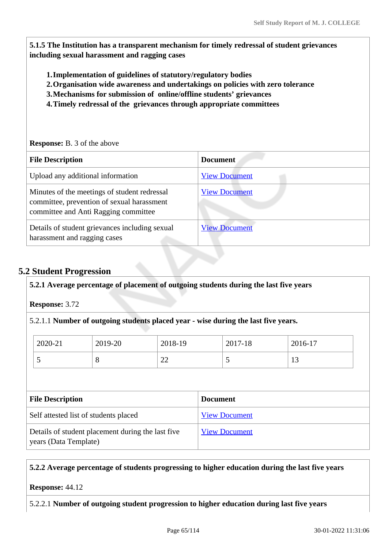**5.1.5 The Institution has a transparent mechanism for timely redressal of student grievances including sexual harassment and ragging cases**

- **1.Implementation of guidelines of statutory/regulatory bodies**
- **2.Organisation wide awareness and undertakings on policies with zero tolerance**
- **3.Mechanisms for submission of online/offline students' grievances**
- **4.Timely redressal of the grievances through appropriate committees**

#### **Response:** B. 3 of the above

| <b>File Description</b>                                                                                                            | <b>Document</b>      |
|------------------------------------------------------------------------------------------------------------------------------------|----------------------|
| Upload any additional information                                                                                                  | <b>View Document</b> |
| Minutes of the meetings of student redressal<br>committee, prevention of sexual harassment<br>committee and Anti Ragging committee | <b>View Document</b> |
| Details of student grievances including sexual<br>harassment and ragging cases                                                     | <b>View Document</b> |

## **5.2 Student Progression**

#### **5.2.1 Average percentage of placement of outgoing students during the last five years**

**Response:** 3.72

#### 5.2.1.1 **Number of outgoing students placed year - wise during the last five years.**

| 2020-21 | 2019-20 | 2018-19      | 2017-18 | 2016-17 |
|---------|---------|--------------|---------|---------|
| ັ       | u       | $\sim$<br>∠∠ | ັ       | $\sim$  |

| <b>File Description</b>                                                    | <b>Document</b>      |
|----------------------------------------------------------------------------|----------------------|
| Self attested list of students placed                                      | <b>View Document</b> |
| Details of student placement during the last five<br>years (Data Template) | <b>View Document</b> |

#### **5.2.2 Average percentage of students progressing to higher education during the last five years**

**Response:** 44.12

#### 5.2.2.1 **Number of outgoing student progression to higher education during last five years**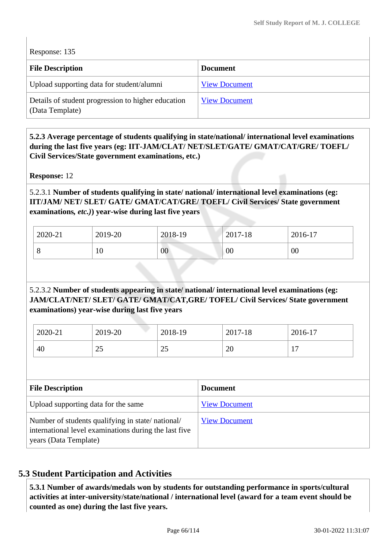Response: 135

| <b>File Description</b>                                               | <b>Document</b>      |
|-----------------------------------------------------------------------|----------------------|
| Upload supporting data for student/alumni                             | <b>View Document</b> |
| Details of student progression to higher education<br>(Data Template) | <b>View Document</b> |

 **5.2.3 Average percentage of students qualifying in state/national/ international level examinations during the last five years (eg: IIT-JAM/CLAT/ NET/SLET/GATE/ GMAT/CAT/GRE/ TOEFL/ Civil Services/State government examinations, etc.)**

**Response:** 12

5.2.3.1 **Number of students qualifying in state/ national/ international level examinations (eg: IIT/JAM/ NET/ SLET/ GATE/ GMAT/CAT/GRE/ TOEFL/ Civil Services/ State government examinations***, etc.)***) year-wise during last five years**

| 2020-21 | 2019-20 | 2018-19 | $2017 - 18$ | 2016-17 |
|---------|---------|---------|-------------|---------|
|         | 10      | 00      | 00          | 00      |

## 5.2.3.2 **Number of students appearing in state/ national/ international level examinations (eg: JAM/CLAT/NET/ SLET/ GATE/ GMAT/CAT,GRE/ TOFEL/ Civil Services/ State government examinations) year-wise during last five years**

| 2020-21 | 2019-20              | 2018-19  | 2017-18 | 2016-17          |
|---------|----------------------|----------|---------|------------------|
| 40      | $\cap \subset$<br>رے | へく<br>ن∠ | 20      | $1 -$<br>$\perp$ |

| <b>File Description</b>                                                                                                            | <b>Document</b>      |
|------------------------------------------------------------------------------------------------------------------------------------|----------------------|
| Upload supporting data for the same                                                                                                | <b>View Document</b> |
| Number of students qualifying in state/national/<br>international level examinations during the last five<br>years (Data Template) | <b>View Document</b> |

# **5.3 Student Participation and Activities**

 **5.3.1 Number of awards/medals won by students for outstanding performance in sports/cultural activities at inter-university/state/national / international level (award for a team event should be counted as one) during the last five years.**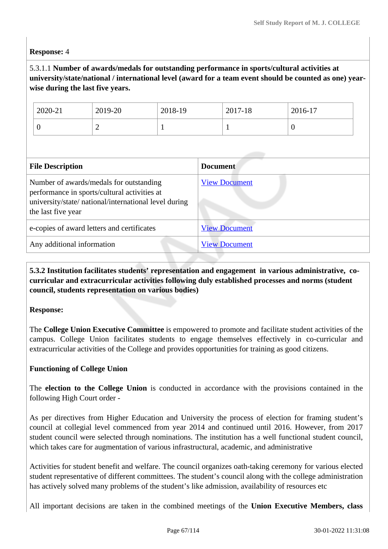#### **Response:** 4

## 5.3.1.1 **Number of awards/medals for outstanding performance in sports/cultural activities at university/state/national / international level (award for a team event should be counted as one) yearwise during the last five years.**

| 2020-21 | 2019-20 | 2018-19 | 2017-18  | 2016-17 |
|---------|---------|---------|----------|---------|
| v       | -       | л.      | <b>.</b> | ν       |

| <b>File Description</b>                                                                                                                                                | <b>Document</b>      |
|------------------------------------------------------------------------------------------------------------------------------------------------------------------------|----------------------|
| Number of awards/medals for outstanding<br>performance in sports/cultural activities at<br>university/state/ national/international level during<br>the last five year | <b>View Document</b> |
| e-copies of award letters and certificates                                                                                                                             | <b>View Document</b> |
| Any additional information                                                                                                                                             | <b>View Document</b> |

## **5.3.2 Institution facilitates students' representation and engagement in various administrative, cocurricular and extracurricular activities following duly established processes and norms (student council, students representation on various bodies)**

#### **Response:**

The **College Union Executive Committee** is empowered to promote and facilitate student activities of the campus. College Union facilitates students to engage themselves effectively in co-curricular and extracurricular activities of the College and provides opportunities for training as good citizens.

#### **Functioning of College Union**

The **election to the College Union** is conducted in accordance with the provisions contained in the following High Court order -

As per directives from Higher Education and University the process of election for framing student's council at collegial level commenced from year 2014 and continued until 2016. However, from 2017 student council were selected through nominations. The institution has a well functional student council, which takes care for augmentation of various infrastructural, academic, and administrative

Activities for student benefit and welfare. The council organizes oath-taking ceremony for various elected student representative of different committees. The student's council along with the college administration has actively solved many problems of the student's like admission, availability of resources etc

All important decisions are taken in the combined meetings of the **Union Executive Members, class**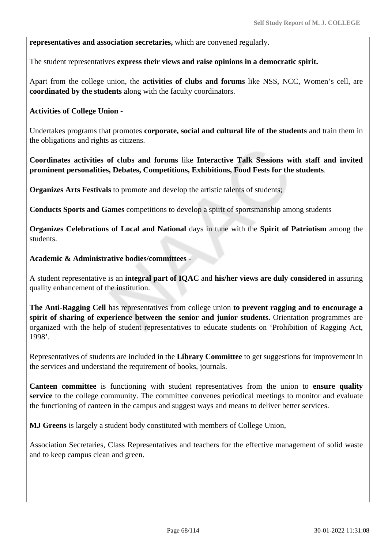**representatives and association secretaries,** which are convened regularly.

The student representatives **express their views and raise opinions in a democratic spirit.**

Apart from the college union, the **activities of clubs and forums** like NSS, NCC, Women's cell, are **coordinated by the students** along with the faculty coordinators.

#### **Activities of College Union -**

Undertakes programs that promotes **corporate, social and cultural life of the students** and train them in the obligations and rights as citizens.

**Coordinates activities of clubs and forums** like **Interactive Talk Sessions with staff and invited prominent personalities, Debates, Competitions, Exhibitions, Food Fests for the students**.

**Organizes Arts Festivals** to promote and develop the artistic talents of students;

**Conducts Sports and Games** competitions to develop a spirit of sportsmanship among students

**Organizes Celebrations of Local and National** days in tune with the **Spirit of Patriotism** among the students.

#### **Academic & Administrative bodies/committees -**

A student representative is an **integral part of IQAC** and **his/her views are duly considered** in assuring quality enhancement of the institution.

**The Anti-Ragging Cell** has representatives from college union **to prevent ragging and to encourage a spirit of sharing of experience between the senior and junior students.** Orientation programmes are organized with the help of student representatives to educate students on 'Prohibition of Ragging Act, 1998'.

Representatives of students are included in the **Library Committee** to get suggestions for improvement in the services and understand the requirement of books, journals.

**Canteen committee** is functioning with student representatives from the union to **ensure quality service** to the college community. The committee convenes periodical meetings to monitor and evaluate the functioning of canteen in the campus and suggest ways and means to deliver better services.

**MJ Greens** is largely a student body constituted with members of College Union,

Association Secretaries, Class Representatives and teachers for the effective management of solid waste and to keep campus clean and green.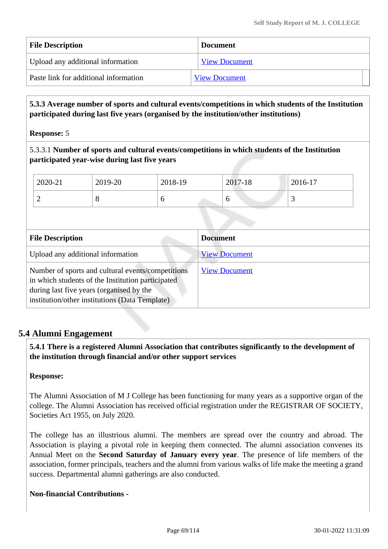| <b>File Description</b>               | <b>Document</b>      |
|---------------------------------------|----------------------|
| Upload any additional information     | <b>View Document</b> |
| Paste link for additional information | <b>View Document</b> |

 **5.3.3 Average number of sports and cultural events/competitions in which students of the Institution participated during last five years (organised by the institution/other institutions)**

**Response:** 5

5.3.3.1 **Number of sports and cultural events/competitions in which students of the Institution participated year-wise during last five years**

| 2020-21 | 2019-20 | 2018-19 | 2017-18 | $2016 - 17$ |
|---------|---------|---------|---------|-------------|
| ∼       |         | ν       | O       |             |

| <b>File Description</b>                                                                                                                                                                              | <b>Document</b>      |
|------------------------------------------------------------------------------------------------------------------------------------------------------------------------------------------------------|----------------------|
| Upload any additional information                                                                                                                                                                    | <b>View Document</b> |
| Number of sports and cultural events/competitions<br>in which students of the Institution participated<br>during last five years (organised by the<br>institution/other institutions (Data Template) | <b>View Document</b> |

## **5.4 Alumni Engagement**

 **5.4.1 There is a registered Alumni Association that contributes significantly to the development of the institution through financial and/or other support services**

## **Response:**

The Alumni Association of M J College has been functioning for many years as a supportive organ of the college. The Alumni Association has received official registration under the REGISTRAR OF SOCIETY, Societies Act 1955, on July 2020.

The college has an illustrious alumni. The members are spread over the country and abroad. The Association is playing a pivotal role in keeping them connected. The alumni association convenes its Annual Meet on the **Second Saturday of January every year**. The presence of life members of the association, former principals, teachers and the alumni from various walks of life make the meeting a grand success. Departmental alumni gatherings are also conducted.

## **Non-financial Contributions -**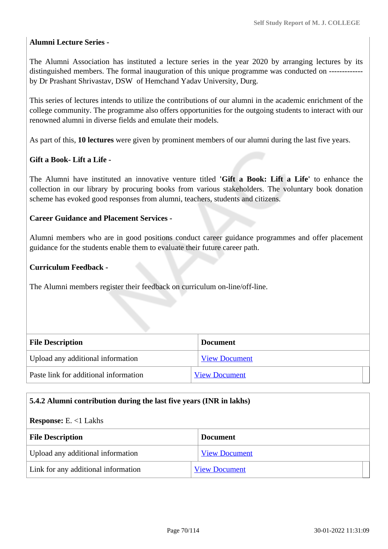## **Alumni Lecture Series -**

The Alumni Association has instituted a lecture series in the year 2020 by arranging lectures by its distinguished members. The formal inauguration of this unique programme was conducted on --------------------by Dr Prashant Shrivastav, DSW of Hemchand Yadav University, Durg.

This series of lectures intends to utilize the contributions of our alumni in the academic enrichment of the college community. The programme also offers opportunities for the outgoing students to interact with our renowned alumni in diverse fields and emulate their models.

As part of this, **10 lectures** were given by prominent members of our alumni during the last five years.

## **Gift a Book- Lift a Life -**

The Alumni have instituted an innovative venture titled **'Gift a Book: Lift a Life'** to enhance the collection in our library by procuring books from various stakeholders. The voluntary book donation scheme has evoked good responses from alumni, teachers, students and citizens.

#### **Career Guidance and Placement Services -**

Alumni members who are in good positions conduct career guidance programmes and offer placement guidance for the students enable them to evaluate their future career path.

#### **Curriculum Feedback -**

The Alumni members register their feedback on curriculum on-line/off-line.

| <b>File Description</b>               | <b>Document</b>      |  |  |
|---------------------------------------|----------------------|--|--|
| Upload any additional information     | <b>View Document</b> |  |  |
| Paste link for additional information | <b>View Document</b> |  |  |

#### **5.4.2 Alumni contribution during the last five years (INR in lakhs)**

#### **Response:** E. <1 Lakhs

| <b>File Description</b>             | <b>Document</b>      |
|-------------------------------------|----------------------|
| Upload any additional information   | <b>View Document</b> |
| Link for any additional information | <b>View Document</b> |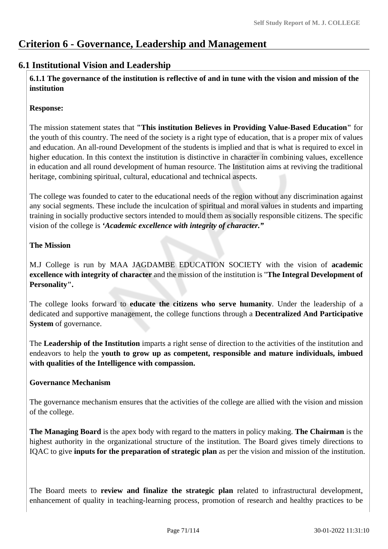# **Criterion 6 - Governance, Leadership and Management**

## **6.1 Institutional Vision and Leadership**

 **6.1.1 The governance of the institution is reflective of and in tune with the vision and mission of the institution**

## **Response:**

The mission statement states that **"This institution Believes in Providing Value-Based Education"** for the youth of this country. The need of the society is a right type of education, that is a proper mix of values and education. An all-round Development of the students is implied and that is what is required to excel in higher education. In this context the institution is distinctive in character in combining values, excellence in education and all round development of human resource. The Institution aims at reviving the traditional heritage, combining spiritual, cultural, educational and technical aspects.

The college was founded to cater to the educational needs of the region without any discrimination against any social segments. These include the inculcation of spiritual and moral values in students and imparting training in socially productive sectors intended to mould them as socially responsible citizens. The specific vision of the college is *'Academic excellence with integrity of character."*

## **The Mission**

M.J College is run by MAA JAGDAMBE EDUCATION SOCIETY with the vision of **academic excellence with integrity of character** and the mission of the institution is "**The Integral Development of Personality".** 

The college looks forward to **educate the citizens who serve humanity**. Under the leadership of a dedicated and supportive management, the college functions through a **Decentralized And Participative System** of governance.

The **Leadership of the Institution** imparts a right sense of direction to the activities of the institution and endeavors to help the **youth to grow up as competent, responsible and mature individuals, imbued with qualities of the Intelligence with compassion.**

#### **Governance Mechanism**

The governance mechanism ensures that the activities of the college are allied with the vision and mission of the college.

**The Managing Board** is the apex body with regard to the matters in policy making. **The Chairman** is the highest authority in the organizational structure of the institution. The Board gives timely directions to IQAC to give **inputs for the preparation of strategic plan** as per the vision and mission of the institution.

The Board meets to **review and finalize the strategic plan** related to infrastructural development, enhancement of quality in teaching-learning process, promotion of research and healthy practices to be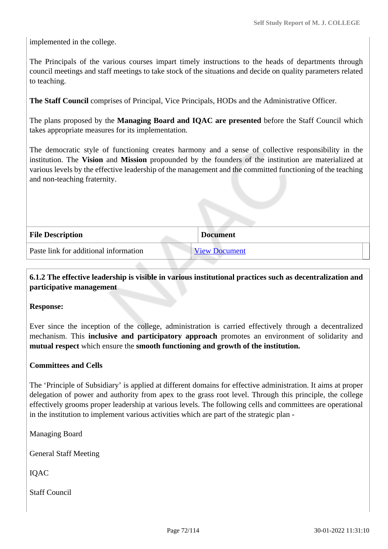implemented in the college.

The Principals of the various courses impart timely instructions to the heads of departments through council meetings and staff meetings to take stock of the situations and decide on quality parameters related to teaching.

**The Staff Council** comprises of Principal, Vice Principals, HODs and the Administrative Officer.

The plans proposed by the **Managing Board and IQAC are presented** before the Staff Council which takes appropriate measures for its implementation.

The democratic style of functioning creates harmony and a sense of collective responsibility in the institution. The **Vision** and **Mission** propounded by the founders of the institution are materialized at various levels by the effective leadership of the management and the committed functioning of the teaching and non-teaching fraternity.

| <b>File Description</b>               | <b>Document</b>      |  |
|---------------------------------------|----------------------|--|
| Paste link for additional information | <b>View Document</b> |  |

 **6.1.2 The effective leadership is visible in various institutional practices such as decentralization and participative management**

#### **Response:**

Ever since the inception of the college, administration is carried effectively through a decentralized mechanism. This **inclusive and participatory approach** promotes an environment of solidarity and **mutual respect** which ensure the **smooth functioning and growth of the institution.**

#### **Committees and Cells**

The 'Principle of Subsidiary' is applied at different domains for effective administration. It aims at proper delegation of power and authority from apex to the grass root level. Through this principle, the college effectively grooms proper leadership at various levels. The following cells and committees are operational in the institution to implement various activities which are part of the strategic plan -

Managing Board

General Staff Meeting

IQAC

Staff Council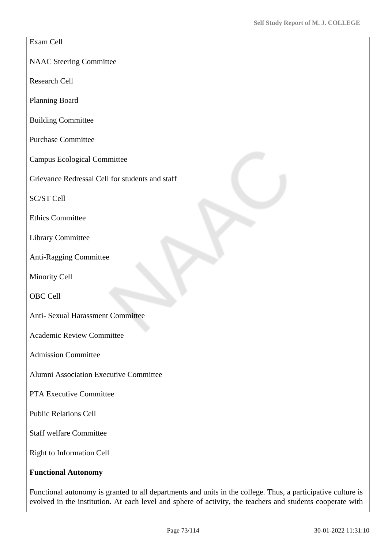# Exam Cell

NAAC Steering Committee

Research Cell

Planning Board

Building Committee

Purchase Committee

Campus Ecological Committee

Grievance Redressal Cell for students and staff

SC/ST Cell

Ethics Committee

Library Committee

Anti-Ragging Committee

Minority Cell

OBC Cell

Anti- Sexual Harassment Committee

Academic Review Committee

Admission Committee

Alumni Association Executive Committee

PTA Executive Committee

Public Relations Cell

Staff welfare Committee

Right to Information Cell

#### **Functional Autonomy**

Functional autonomy is granted to all departments and units in the college. Thus, a participative culture is evolved in the institution. At each level and sphere of activity, the teachers and students cooperate with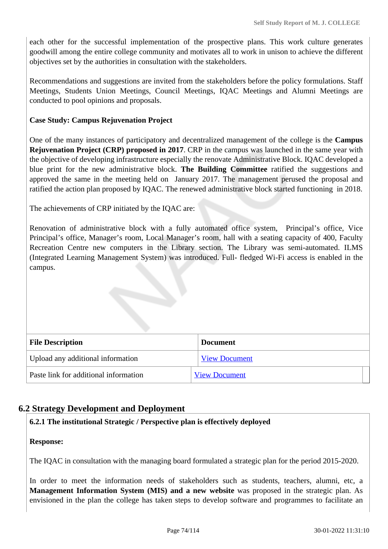each other for the successful implementation of the prospective plans. This work culture generates goodwill among the entire college community and motivates all to work in unison to achieve the different objectives set by the authorities in consultation with the stakeholders.

Recommendations and suggestions are invited from the stakeholders before the policy formulations. Staff Meetings, Students Union Meetings, Council Meetings, IQAC Meetings and Alumni Meetings are conducted to pool opinions and proposals.

# **Case Study: Campus Rejuvenation Project**

One of the many instances of participatory and decentralized management of the college is the **Campus Rejuvenation Project (CRP) proposed in 2017**. CRP in the campus was launched in the same year with the objective of developing infrastructure especially the renovate Administrative Block. IQAC developed a blue print for the new administrative block. **The Building Committee** ratified the suggestions and approved the same in the meeting held on January 2017. The management perused the proposal and ratified the action plan proposed by IQAC. The renewed administrative block started functioning in 2018.

The achievements of CRP initiated by the IQAC are:

Renovation of administrative block with a fully automated office system, Principal's office, Vice Principal's office, Manager's room, Local Manager's room, hall with a seating capacity of 400, Faculty Recreation Centre new computers in the Library section. The Library was semi-automated. ILMS (Integrated Learning Management System) was introduced. Full- fledged Wi-Fi access is enabled in the campus.

| <b>File Description</b>               | <b>Document</b>      |
|---------------------------------------|----------------------|
| Upload any additional information     | <b>View Document</b> |
| Paste link for additional information | <b>View Document</b> |

# **6.2 Strategy Development and Deployment**

#### **6.2.1 The institutional Strategic / Perspective plan is effectively deployed**

#### **Response:**

The IQAC in consultation with the managing board formulated a strategic plan for the period 2015-2020.

In order to meet the information needs of stakeholders such as students, teachers, alumni, etc, a **Management Information System (MIS) and a new website** was proposed in the strategic plan. As envisioned in the plan the college has taken steps to develop software and programmes to facilitate an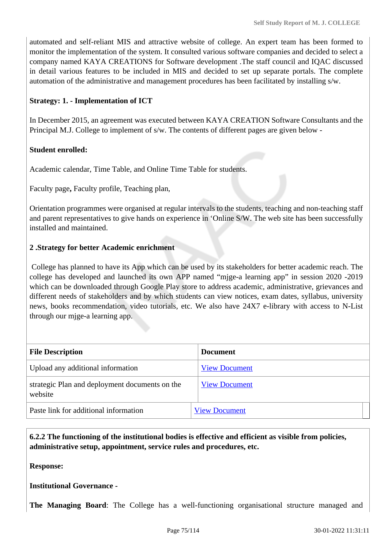automated and self-reliant MIS and attractive website of college. An expert team has been formed to monitor the implementation of the system. It consulted various software companies and decided to select a company named KAYA CREATIONS for Software development .The staff council and IQAC discussed in detail various features to be included in MIS and decided to set up separate portals. The complete automation of the administrative and management procedures has been facilitated by installing s/w.

### **Strategy: 1. - Implementation of ICT**

In December 2015, an agreement was executed between KAYA CREATION Software Consultants and the Principal M.J. College to implement of s/w. The contents of different pages are given below -

#### **Student enrolled:**

Academic calendar, Time Table, and Online Time Table for students.

Faculty page**,** Faculty profile, Teaching plan,

Orientation programmes were organised at regular intervals to the students, teaching and non-teaching staff and parent representatives to give hands on experience in 'Online S/W. The web site has been successfully installed and maintained.

#### **2 .Strategy for better Academic enrichment**

 College has planned to have its App which can be used by its stakeholders for better academic reach. The college has developed and launched its own APP named "mjge-a learning app" in session 2020 -2019 which can be downloaded through Google Play store to address academic, administrative, grievances and different needs of stakeholders and by which students can view notices, exam dates, syllabus, university news, books recommendation, video tutorials, etc. We also have 24X7 e-library with access to N-List through our mjge-a learning app.

| <b>File Description</b>                                   | <b>Document</b>      |
|-----------------------------------------------------------|----------------------|
| Upload any additional information                         | <b>View Document</b> |
| strategic Plan and deployment documents on the<br>website | <b>View Document</b> |
| Paste link for additional information                     | <b>View Document</b> |

 **6.2.2 The functioning of the institutional bodies is effective and efficient as visible from policies, administrative setup, appointment, service rules and procedures, etc.**

**Response:** 

**Institutional Governance -**

**The Managing Board**: The College has a well-functioning organisational structure managed and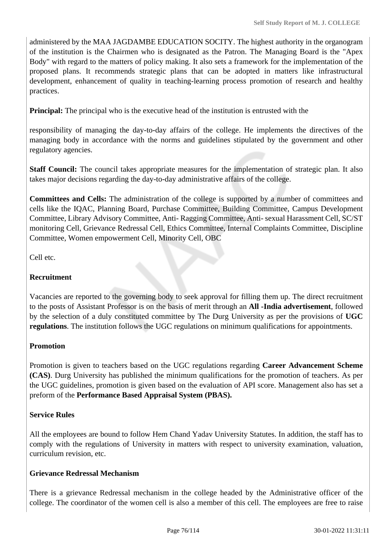administered by the MAA JAGDAMBE EDUCATION SOCITY. The highest authority in the organogram of the institution is the Chairmen who is designated as the Patron. The Managing Board is the "Apex Body" with regard to the matters of policy making. It also sets a framework for the implementation of the proposed plans. It recommends strategic plans that can be adopted in matters like infrastructural development, enhancement of quality in teaching-learning process promotion of research and healthy practices.

**Principal:** The principal who is the executive head of the institution is entrusted with the

responsibility of managing the day-to-day affairs of the college. He implements the directives of the managing body in accordance with the norms and guidelines stipulated by the government and other regulatory agencies.

**Staff Council:** The council takes appropriate measures for the implementation of strategic plan. It also takes major decisions regarding the day-to-day administrative affairs of the college.

**Committees and Cells:** The administration of the college is supported by a number of committees and cells like the IQAC, Planning Board, Purchase Committee, Building Committee, Campus Development Committee, Library Advisory Committee, Anti- Ragging Committee, Anti- sexual Harassment Cell, SC/ST monitoring Cell, Grievance Redressal Cell, Ethics Committee, Internal Complaints Committee, Discipline Committee, Women empowerment Cell, Minority Cell, OBC

Cell etc.

# **Recruitment**

Vacancies are reported to the governing body to seek approval for filling them up. The direct recruitment to the posts of Assistant Professor is on the basis of merit through an **All -India advertisement**, followed by the selection of a duly constituted committee by The Durg University as per the provisions of **UGC regulations**. The institution follows the UGC regulations on minimum qualifications for appointments.

#### **Promotion**

Promotion is given to teachers based on the UGC regulations regarding **Career Advancement Scheme (CAS)**. Durg University has published the minimum qualifications for the promotion of teachers. As per the UGC guidelines, promotion is given based on the evaluation of API score. Management also has set a preform of the **Performance Based Appraisal System (PBAS).**

#### **Service Rules**

All the employees are bound to follow Hem Chand Yadav University Statutes. In addition, the staff has to comply with the regulations of University in matters with respect to university examination, valuation, curriculum revision, etc.

#### **Grievance Redressal Mechanism**

There is a grievance Redressal mechanism in the college headed by the Administrative officer of the college. The coordinator of the women cell is also a member of this cell. The employees are free to raise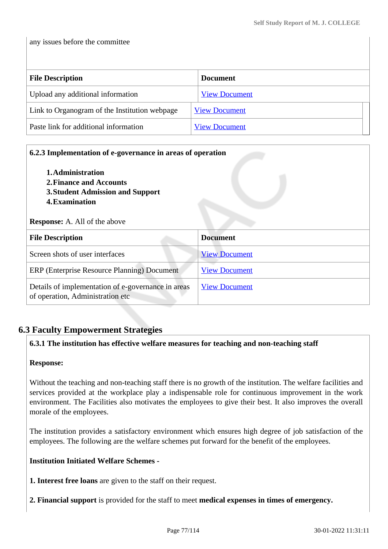any issues before the committee

| <b>File Description</b>                       | Document             |
|-----------------------------------------------|----------------------|
| Upload any additional information             | <b>View Document</b> |
| Link to Organogram of the Institution webpage | <b>View Document</b> |
| Paste link for additional information         | <b>View Document</b> |

#### **6.2.3 Implementation of e-governance in areas of operation**

- **1.Administration**
- **2.Finance and Accounts**
- **3.Student Admission and Support**
- **4.Examination**

**Response:** A. All of the above

| <b>File Description</b>                                                                | <b>Document</b>      |
|----------------------------------------------------------------------------------------|----------------------|
| Screen shots of user interfaces                                                        | <b>View Document</b> |
| ERP (Enterprise Resource Planning) Document                                            | <b>View Document</b> |
| Details of implementation of e-governance in areas<br>of operation, Administration etc | <b>View Document</b> |

# **6.3 Faculty Empowerment Strategies**

#### **6.3.1 The institution has effective welfare measures for teaching and non-teaching staff**

#### **Response:**

Without the teaching and non-teaching staff there is no growth of the institution. The welfare facilities and services provided at the workplace play a indispensable role for continuous improvement in the work environment. The Facilities also motivates the employees to give their best. It also improves the overall morale of the employees.

The institution provides a satisfactory environment which ensures high degree of job satisfaction of the employees. The following are the welfare schemes put forward for the benefit of the employees.

#### **Institution Initiated Welfare Schemes -**

**1. Interest free loans** are given to the staff on their request.

**2. Financial support** is provided for the staff to meet **medical expenses in times of emergency.**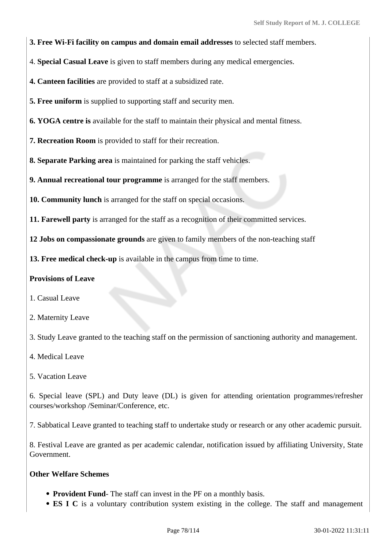**3. Free Wi-Fi facility on campus and domain email addresses** to selected staff members.

4. **Special Casual Leave** is given to staff members during any medical emergencies.

**4. Canteen facilities** are provided to staff at a subsidized rate.

**5. Free uniform** is supplied to supporting staff and security men.

**6. YOGA centre is** available for the staff to maintain their physical and mental fitness.

**7. Recreation Room** is provided to staff for their recreation.

**8. Separate Parking area** is maintained for parking the staff vehicles.

**9. Annual recreational tour programme** is arranged for the staff members.

**10. Community lunch** is arranged for the staff on special occasions.

**11. Farewell party** is arranged for the staff as a recognition of their committed services.

**12 Jobs on compassionate grounds** are given to family members of the non-teaching staff

**13. Free medical check-up** is available in the campus from time to time.

#### **Provisions of Leave**

1. Casual Leave

2. Maternity Leave

3. Study Leave granted to the teaching staff on the permission of sanctioning authority and management.

4. Medical Leave

5. Vacation Leave

6. Special leave (SPL) and Duty leave (DL) is given for attending orientation programmes/refresher courses/workshop /Seminar/Conference, etc.

7. Sabbatical Leave granted to teaching staff to undertake study or research or any other academic pursuit.

8. Festival Leave are granted as per academic calendar, notification issued by affiliating University, State Government.

#### **Other Welfare Schemes**

- **Provident Fund** The staff can invest in the PF on a monthly basis.
- **ES I C** is a voluntary contribution system existing in the college. The staff and management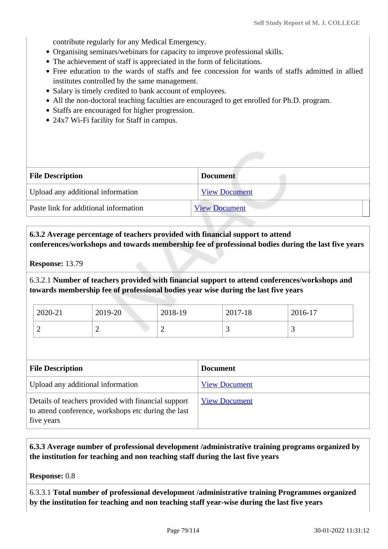contribute regularly for any Medical Emergency.

- Organising seminars/webinars for capacity to improve professional skills.
- The achievement of staff is appreciated in the form of felicitations.
- Free education to the wards of staffs and fee concession for wards of staffs admitted in allied institutes controlled by the same management.
- Salary is timely credited to bank account of employees.
- All the non-doctoral teaching faculties are encouraged to get enrolled for Ph.D. program.
- Staffs are encouraged for higher progression.
- 24x7 Wi-Fi facility for Staff in campus.

| <b>File Description</b>               | <b>Document</b>      |
|---------------------------------------|----------------------|
| Upload any additional information     | <b>View Document</b> |
| Paste link for additional information | <b>View Document</b> |

 **6.3.2 Average percentage of teachers provided with financial support to attend conferences/workshops and towards membership fee of professional bodies during the last five years**

**Response:** 13.79

6.3.2.1 **Number of teachers provided with financial support to attend conferences/workshops and towards membership fee of professional bodies year wise during the last five years**

| 2020-21 | 2019-20 | 2018-19 | 2017-18 | 2016-17 |
|---------|---------|---------|---------|---------|
| ∼       | ∼       | ∽       | ت       | ັ       |

| <b>File Description</b>                                                                                                  | <b>Document</b>      |
|--------------------------------------------------------------------------------------------------------------------------|----------------------|
| Upload any additional information                                                                                        | <b>View Document</b> |
| Details of teachers provided with financial support<br>to attend conference, workshops etc during the last<br>five years | <b>View Document</b> |

 **6.3.3 Average number of professional development /administrative training programs organized by the institution for teaching and non teaching staff during the last five years**

**Response:** 0.8

6.3.3.1 **Total number of professional development /administrative training Programmes organized by the institution for teaching and non teaching staff year-wise during the last five years**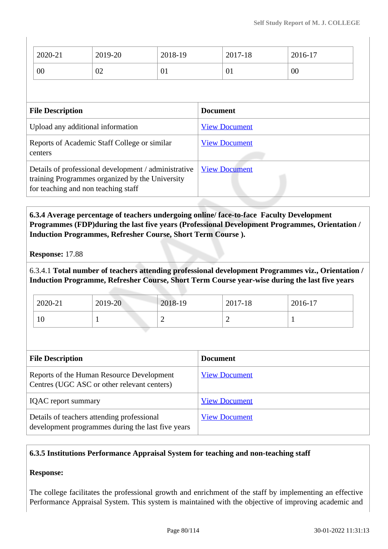$\overline{\phantom{a}}$ 

|                                                         | 2020-21                                                                                                                                        | 2019-20 | 2018-19              |                 | 2017-18              | 2016-17        |  |
|---------------------------------------------------------|------------------------------------------------------------------------------------------------------------------------------------------------|---------|----------------------|-----------------|----------------------|----------------|--|
|                                                         | 00                                                                                                                                             | 02      | 01                   |                 | 01                   | 0 <sup>0</sup> |  |
|                                                         |                                                                                                                                                |         |                      |                 |                      |                |  |
|                                                         | <b>File Description</b>                                                                                                                        |         |                      | <b>Document</b> |                      |                |  |
| Upload any additional information                       |                                                                                                                                                |         | <b>View Document</b> |                 |                      |                |  |
| Reports of Academic Staff College or similar<br>centers |                                                                                                                                                |         | <b>View Document</b> |                 |                      |                |  |
|                                                         | Details of professional development / administrative<br>training Programmes organized by the University<br>for teaching and non teaching staff |         |                      |                 | <b>View Document</b> |                |  |
|                                                         |                                                                                                                                                |         |                      |                 |                      |                |  |

 **6.3.4 Average percentage of teachers undergoing online/ face-to-face Faculty Development Programmes (FDP)during the last five years (Professional Development Programmes, Orientation / Induction Programmes, Refresher Course, Short Term Course ).**

#### **Response:** 17.88

6.3.4.1 **Total number of teachers attending professional development Programmes viz., Orientation / Induction Programme, Refresher Course, Short Term Course year-wise during the last five years**

| 2020-21 | 2019-20 | 2018-19 | 2017-18 | 2016-17 |
|---------|---------|---------|---------|---------|
| 10      |         | -       | ∽       |         |

| <b>File Description</b>                                                                         | <b>Document</b>      |
|-------------------------------------------------------------------------------------------------|----------------------|
| Reports of the Human Resource Development<br>Centres (UGC ASC or other relevant centers)        | <b>View Document</b> |
| <b>IQAC</b> report summary                                                                      | <b>View Document</b> |
| Details of teachers attending professional<br>development programmes during the last five years | <b>View Document</b> |

# **6.3.5 Institutions Performance Appraisal System for teaching and non-teaching staff**

# **Response:**

The college facilitates the professional growth and enrichment of the staff by implementing an effective Performance Appraisal System. This system is maintained with the objective of improving academic and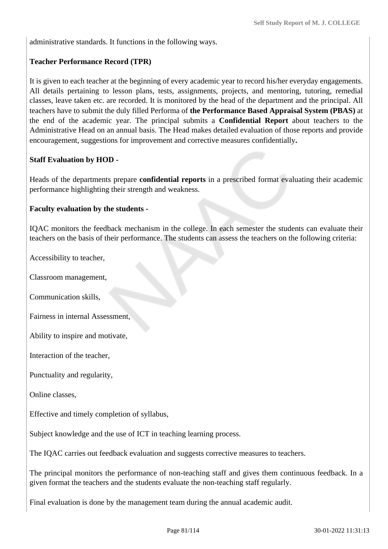administrative standards. It functions in the following ways.

# **Teacher Performance Record (TPR)**

It is given to each teacher at the beginning of every academic year to record his/her everyday engagements. All details pertaining to lesson plans, tests, assignments, projects, and mentoring, tutoring, remedial classes, leave taken etc. are recorded. It is monitored by the head of the department and the principal. All teachers have to submit the duly filled Performa of **the Performance Based Appraisal System (PBAS)** at the end of the academic year. The principal submits a **Confidential Report** about teachers to the Administrative Head on an annual basis. The Head makes detailed evaluation of those reports and provide encouragement, suggestions for improvement and corrective measures confidentially**.**

# **Staff Evaluation by HOD -**

Heads of the departments prepare **confidential reports** in a prescribed format evaluating their academic performance highlighting their strength and weakness.

#### **Faculty evaluation by the students -**

IQAC monitors the feedback mechanism in the college. In each semester the students can evaluate their teachers on the basis of their performance. The students can assess the teachers on the following criteria:

Accessibility to teacher,

Classroom management,

Communication skills,

Fairness in internal Assessment,

Ability to inspire and motivate,

Interaction of the teacher,

Punctuality and regularity,

Online classes,

Effective and timely completion of syllabus,

Subject knowledge and the use of ICT in teaching learning process.

The IQAC carries out feedback evaluation and suggests corrective measures to teachers.

The principal monitors the performance of non-teaching staff and gives them continuous feedback. In a given format the teachers and the students evaluate the non-teaching staff regularly.

Final evaluation is done by the management team during the annual academic audit.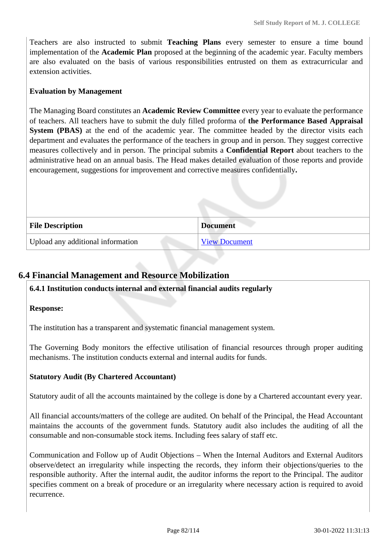Teachers are also instructed to submit **Teaching Plans** every semester to ensure a time bound implementation of the **Academic Plan** proposed at the beginning of the academic year. Faculty members are also evaluated on the basis of various responsibilities entrusted on them as extracurricular and extension activities.

#### **Evaluation by Management**

The Managing Board constitutes an **Academic Review Committee** every year to evaluate the performance of teachers. All teachers have to submit the duly filled proforma of **the Performance Based Appraisal System (PBAS)** at the end of the academic year. The committee headed by the director visits each department and evaluates the performance of the teachers in group and in person. They suggest corrective measures collectively and in person. The principal submits a **Confidential Report** about teachers to the administrative head on an annual basis. The Head makes detailed evaluation of those reports and provide encouragement, suggestions for improvement and corrective measures confidentially**.**

| <b>File Description</b>           | <b>Document</b>      |
|-----------------------------------|----------------------|
| Upload any additional information | <b>View Document</b> |

# **6.4 Financial Management and Resource Mobilization**

#### **6.4.1 Institution conducts internal and external financial audits regularly**

#### **Response:**

The institution has a transparent and systematic financial management system.

The Governing Body monitors the effective utilisation of financial resources through proper auditing mechanisms. The institution conducts external and internal audits for funds.

#### **Statutory Audit (By Chartered Accountant)**

Statutory audit of all the accounts maintained by the college is done by a Chartered accountant every year.

All financial accounts/matters of the college are audited. On behalf of the Principal, the Head Accountant maintains the accounts of the government funds. Statutory audit also includes the auditing of all the consumable and non-consumable stock items. Including fees salary of staff etc.

Communication and Follow up of Audit Objections – When the Internal Auditors and External Auditors observe/detect an irregularity while inspecting the records, they inform their objections/queries to the responsible authority. After the internal audit, the auditor informs the report to the Principal. The auditor specifies comment on a break of procedure or an irregularity where necessary action is required to avoid recurrence.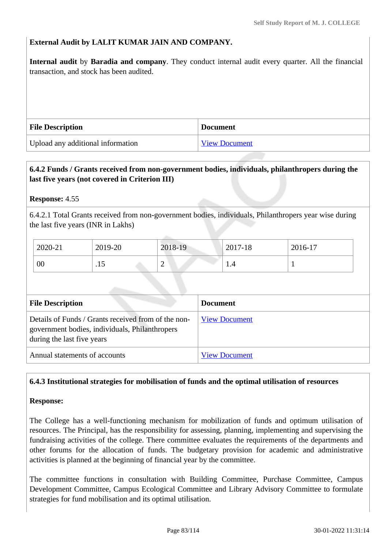# **External Audit by LALIT KUMAR JAIN AND COMPANY.**

**Internal audit** by **Baradia and company**. They conduct internal audit every quarter. All the financial transaction, and stock has been audited.

| <b>File Description</b>           | <b>Document</b>      |
|-----------------------------------|----------------------|
| Upload any additional information | <b>View Document</b> |

# **6.4.2 Funds / Grants received from non-government bodies, individuals, philanthropers during the last five years (not covered in Criterion III)**

#### **Response:** 4.55

6.4.2.1 Total Grants received from non-government bodies, individuals, Philanthropers year wise during the last five years (INR in Lakhs)

| 2020-21 | 2019-20          | 2018-19 | 2017-18         | 2016-17 |
|---------|------------------|---------|-----------------|---------|
| 00      | $\cdot$ . $\cup$ | ∼       | 1. <del>4</del> |         |

| <b>File Description</b>                                                                                                             | <b>Document</b>      |
|-------------------------------------------------------------------------------------------------------------------------------------|----------------------|
| Details of Funds / Grants received from of the non-<br>government bodies, individuals, Philanthropers<br>during the last five years | <b>View Document</b> |
| Annual statements of accounts                                                                                                       | <b>View Document</b> |

#### **6.4.3 Institutional strategies for mobilisation of funds and the optimal utilisation of resources**

#### **Response:**

The College has a well-functioning mechanism for mobilization of funds and optimum utilisation of resources. The Principal, has the responsibility for assessing, planning, implementing and supervising the fundraising activities of the college. There committee evaluates the requirements of the departments and other forums for the allocation of funds. The budgetary provision for academic and administrative activities is planned at the beginning of financial year by the committee.

The committee functions in consultation with Building Committee, Purchase Committee, Campus Development Committee, Campus Ecological Committee and Library Advisory Committee to formulate strategies for fund mobilisation and its optimal utilisation.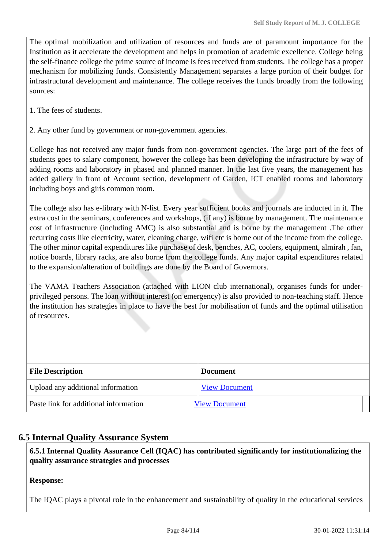The optimal mobilization and utilization of resources and funds are of paramount importance for the Institution as it accelerate the development and helps in promotion of academic excellence. College being the self-finance college the prime source of income is fees received from students. The college has a proper mechanism for mobilizing funds. Consistently Management separates a large portion of their budget for infrastructural development and maintenance. The college receives the funds broadly from the following sources:

- 1. The fees of students.
- 2. Any other fund by government or non-government agencies.

College has not received any major funds from non-government agencies. The large part of the fees of students goes to salary component, however the college has been developing the infrastructure by way of adding rooms and laboratory in phased and planned manner. In the last five years, the management has added gallery in front of Account section, development of Garden, ICT enabled rooms and laboratory including boys and girls common room.

The college also has e-library with N-list. Every year sufficient books and journals are inducted in it. The extra cost in the seminars, conferences and workshops, (if any) is borne by management. The maintenance cost of infrastructure (including AMC) is also substantial and is borne by the management .The other recurring costs like electricity, water, cleaning charge, wifi etc is borne out of the income from the college. The other minor capital expenditures like purchase of desk, benches, AC, coolers, equipment, almirah , fan, notice boards, library racks, are also borne from the college funds. Any major capital expenditures related to the expansion/alteration of buildings are done by the Board of Governors.

The VAMA Teachers Association (attached with LION club international), organises funds for underprivileged persons. The loan without interest (on emergency) is also provided to non-teaching staff. Hence the institution has strategies in place to have the best for mobilisation of funds and the optimal utilisation of resources.

| <b>File Description</b>               | <b>Document</b>      |
|---------------------------------------|----------------------|
| Upload any additional information     | <b>View Document</b> |
| Paste link for additional information | <b>View Document</b> |

# **6.5 Internal Quality Assurance System**

 **6.5.1 Internal Quality Assurance Cell (IQAC) has contributed significantly for institutionalizing the quality assurance strategies and processes**

#### **Response:**

The IQAC plays a pivotal role in the enhancement and sustainability of quality in the educational services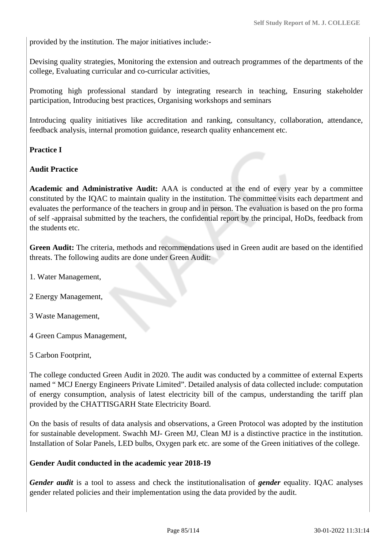provided by the institution. The major initiatives include:-

Devising quality strategies, Monitoring the extension and outreach programmes of the departments of the college, Evaluating curricular and co-curricular activities,

Promoting high professional standard by integrating research in teaching, Ensuring stakeholder participation, Introducing best practices, Organising workshops and seminars

Introducing quality initiatives like accreditation and ranking, consultancy, collaboration, attendance, feedback analysis, internal promotion guidance, research quality enhancement etc.

# **Practice I**

# **Audit Practice**

**Academic and Administrative Audit:** AAA is conducted at the end of every year by a committee constituted by the IQAC to maintain quality in the institution. The committee visits each department and evaluates the performance of the teachers in group and in person. The evaluation is based on the pro forma of self -appraisal submitted by the teachers, the confidential report by the principal, HoDs, feedback from the students etc.

**Green Audit:** The criteria, methods and recommendations used in Green audit are based on the identified threats. The following audits are done under Green Audit:

- 1. Water Management,
- 2 Energy Management,
- 3 Waste Management,
- 4 Green Campus Management,
- 5 Carbon Footprint,

The college conducted Green Audit in 2020. The audit was conducted by a committee of external Experts named " MCJ Energy Engineers Private Limited". Detailed analysis of data collected include: computation of energy consumption, analysis of latest electricity bill of the campus, understanding the tariff plan provided by the CHATTISGARH State Electricity Board.

On the basis of results of data analysis and observations, a Green Protocol was adopted by the institution for sustainable development. Swachh MJ- Green MJ, Clean MJ is a distinctive practice in the institution. Installation of Solar Panels, LED bulbs, Oxygen park etc. are some of the Green initiatives of the college.

#### **Gender Audit conducted in the academic year 2018-19**

*Gender audit* is a tool to assess and check the institutionalisation of *gender* equality. IQAC analyses gender related policies and their implementation using the data provided by the audit.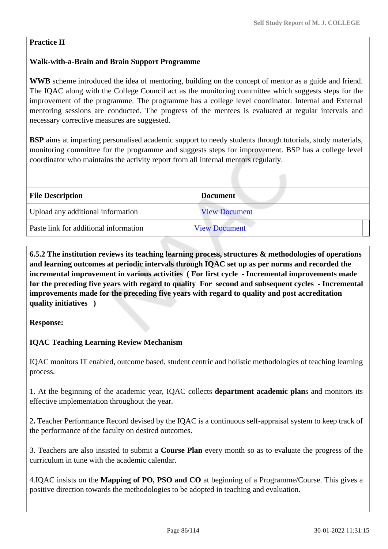# **Practice II**

# **Walk-with-a-Brain and Brain Support Programme**

**WWB** scheme introduced the idea of mentoring, building on the concept of mentor as a guide and friend. The IQAC along with the College Council act as the monitoring committee which suggests steps for the improvement of the programme. The programme has a college level coordinator. Internal and External mentoring sessions are conducted. The progress of the mentees is evaluated at regular intervals and necessary corrective measures are suggested.

**BSP** aims at imparting personalised academic support to needy students through tutorials, study materials, monitoring committee for the programme and suggests steps for improvement. BSP has a college level coordinator who maintains the activity report from all internal mentors regularly.

| <b>File Description</b>               | <b>Document</b>      |  |
|---------------------------------------|----------------------|--|
| Upload any additional information     | <b>View Document</b> |  |
| Paste link for additional information | <b>View Document</b> |  |
|                                       |                      |  |

 **6.5.2 The institution reviews its teaching learning process, structures & methodologies of operations and learning outcomes at periodic intervals through IQAC set up as per norms and recorded the incremental improvement in various activities ( For first cycle - Incremental improvements made for the preceding five years with regard to quality For second and subsequent cycles - Incremental improvements made for the preceding five years with regard to quality and post accreditation quality initiatives )** 

**Response:** 

# **IQAC Teaching Learning Review Mechanism**

IQAC monitors IT enabled, outcome based, student centric and holistic methodologies of teaching learning process.

1. At the beginning of the academic year, IQAC collects **department academic plan**s and monitors its effective implementation throughout the year.

2**.** Teacher Performance Record devised by the IQAC is a continuous self-appraisal system to keep track of the performance of the faculty on desired outcomes.

3. Teachers are also insisted to submit a **Course Plan** every month so as to evaluate the progress of the curriculum in tune with the academic calendar.

4.IQAC insists on the **Mapping of PO, PSO and CO** at beginning of a Programme/Course. This gives a positive direction towards the methodologies to be adopted in teaching and evaluation.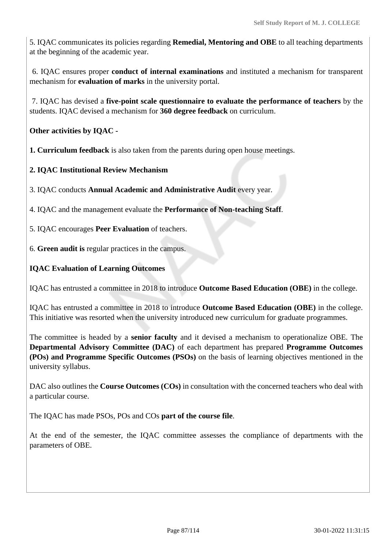5. IQAC communicates its policies regarding **Remedial, Mentoring and OBE** to all teaching departments at the beginning of the academic year.

 6. IQAC ensures proper **conduct of internal examinations** and instituted a mechanism for transparent mechanism for **evaluation of marks** in the university portal.

 7. IQAC has devised a **five-point scale questionnaire to evaluate the performance of teachers** by the students. IQAC devised a mechanism for **360 degree feedback** on curriculum.

**Other activities by IQAC -**

**1. Curriculum feedback** is also taken from the parents during open house meetings.

**2. IQAC Institutional Review Mechanism**

3. IQAC conducts **Annual Academic and Administrative Audit** every year.

4. IQAC and the management evaluate the **Performance of Non-teaching Staff**.

5. IQAC encourages **Peer Evaluation** of teachers.

6. **Green audit is** regular practices in the campus.

#### **IQAC Evaluation of Learning Outcomes**

IQAC has entrusted a committee in 2018 to introduce **Outcome Based Education (OBE)** in the college.

IQAC has entrusted a committee in 2018 to introduce **Outcome Based Education (OBE)** in the college. This initiative was resorted when the university introduced new curriculum for graduate programmes.

The committee is headed by a **senior faculty** and it devised a mechanism to operationalize OBE. The **Departmental Advisory Committee (DAC)** of each department has prepared **Programme Outcomes (POs) and Programme Specific Outcomes (PSOs)** on the basis of learning objectives mentioned in the university syllabus.

DAC also outlines the **Course Outcomes (COs)** in consultation with the concerned teachers who deal with a particular course.

The IQAC has made PSOs, POs and COs **part of the course file**.

At the end of the semester, the IQAC committee assesses the compliance of departments with the parameters of OBE.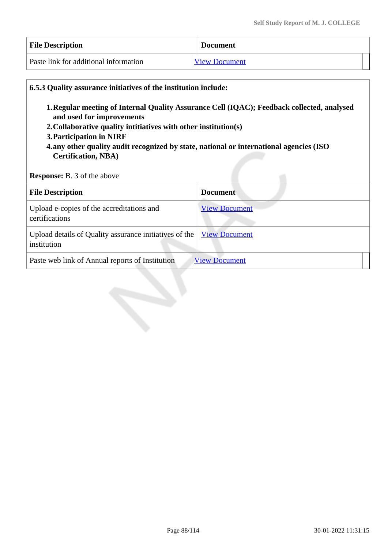| <b>File Description</b>               | <b>Document</b>      |
|---------------------------------------|----------------------|
| Paste link for additional information | <b>View Document</b> |

| 1. Regular meeting of Internal Quality Assurance Cell (IQAC); Feedback collected, analysed<br>and used for improvements<br>2. Collaborative quality intitiatives with other institution(s)<br>3. Participation in NIRF<br>4.any other quality audit recognized by state, national or international agencies (ISO<br><b>Certification, NBA)</b><br><b>Response:</b> B. 3 of the above |                      |  |
|--------------------------------------------------------------------------------------------------------------------------------------------------------------------------------------------------------------------------------------------------------------------------------------------------------------------------------------------------------------------------------------|----------------------|--|
|                                                                                                                                                                                                                                                                                                                                                                                      |                      |  |
| <b>File Description</b>                                                                                                                                                                                                                                                                                                                                                              | <b>Document</b>      |  |
| Upload e-copies of the accreditations and<br>certifications                                                                                                                                                                                                                                                                                                                          | <b>View Document</b> |  |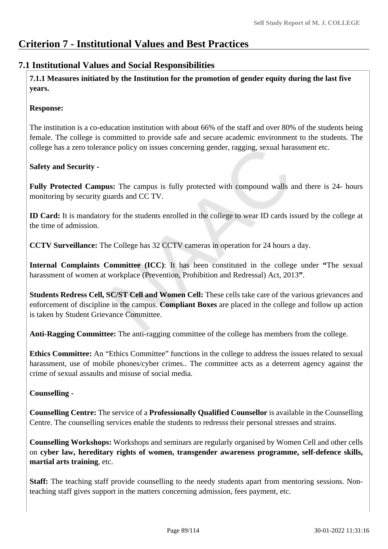# **Criterion 7 - Institutional Values and Best Practices**

# **7.1 Institutional Values and Social Responsibilities**

 **7.1.1 Measures initiated by the Institution for the promotion of gender equity during the last five years.**

### **Response:**

The institution is a co-education institution with about 66% of the staff and over 80% of the students being female. The college is committed to provide safe and secure academic environment to the students. The college has a zero tolerance policy on issues concerning gender, ragging, sexual harassment etc.

# **Safety and Security -**

**Fully Protected Campus:** The campus is fully protected with compound walls and there is 24- hours monitoring by security guards and CC TV.

**ID Card:** It is mandatory for the students enrolled in the college to wear ID cards issued by the college at the time of admission.

**CCTV Surveillance:** The College has 32 CCTV cameras in operation for 24 hours a day.

**Internal Complaints Committee (ICC)**: It has been constituted in the college under **"**The sexual harassment of women at workplace (Prevention, Prohibition and Redressal) Act, 2013**"**.

**Students Redress Cell, SC/ST Cell and Women Cell:** These cells take care of the various grievances and enforcement of discipline in the campus. **Compliant Boxes** are placed in the college and follow up action is taken by Student Grievance Committee.

**Anti-Ragging Committee:** The anti-ragging committee of the college has members from the college.

**Ethics Committee:** An "Ethics Committee" functions in the college to address the issues related to sexual harassment, use of mobile phones/cyber crimes.. The committee acts as a deterrent agency against the crime of sexual assaults and misuse of social media.

#### **Counselling -**

**Counselling Centre:** The service of a **Professionally Qualified Counsellor** is available in the Counselling Centre. The counselling services enable the students to redresss their personal stresses and strains.

**Counselling Workshops:** Workshops and seminars are regularly organised by Women Cell and other cells on **cyber law, hereditary rights of women, transgender awareness programme, self-defence skills, martial arts training**, etc.

**Staff:** The teaching staff provide counselling to the needy students apart from mentoring sessions. Nonteaching staff gives support in the matters concerning admission, fees payment, etc.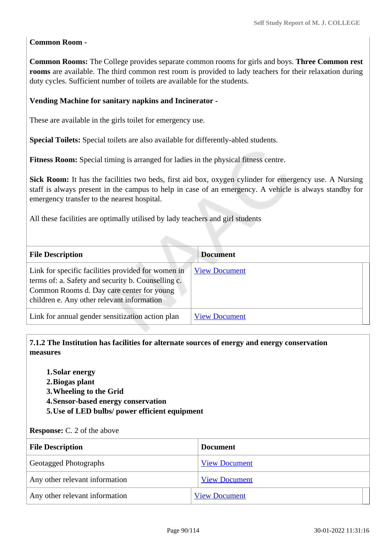#### **Common Room -**

**Common Rooms:** The College provides separate common rooms for girls and boys. **Three Common rest rooms** are available. The third common rest room is provided to lady teachers for their relaxation during duty cycles. Sufficient number of toilets are available for the students.

#### **Vending Machine for sanitary napkins and Incinerator -**

These are available in the girls toilet for emergency use.

**Special Toilets:** Special toilets are also available for differently-abled students.

**Fitness Room:** Special timing is arranged for ladies in the physical fitness centre.

**Sick Room:** It has the facilities two beds, first aid box, oxygen cylinder for emergency use. A Nursing staff is always present in the campus to help in case of an emergency. A vehicle is always standby for emergency transfer to the nearest hospital.

All these facilities are optimally utilised by lady teachers and girl students

| <b>File Description</b>                                                                                                                                                                             | <b>Document</b>      |
|-----------------------------------------------------------------------------------------------------------------------------------------------------------------------------------------------------|----------------------|
| Link for specific facilities provided for women in<br>terms of: a. Safety and security b. Counselling c.<br>Common Rooms d. Day care center for young<br>children e. Any other relevant information | <b>View Document</b> |
| Link for annual gender sensitization action plan                                                                                                                                                    | <b>View Document</b> |

 **7.1.2 The Institution has facilities for alternate sources of energy and energy conservation measures** 

- **1.Solar energy**
- **2.Biogas plant**
- **3.Wheeling to the Grid**
- **4.Sensor-based energy conservation**
- **5.Use of LED bulbs/ power efficient equipment**

| <b>Response:</b> C. 2 of the above |  |  |  |  |  |
|------------------------------------|--|--|--|--|--|
|------------------------------------|--|--|--|--|--|

| <b>File Description</b>        | <b>Document</b>      |
|--------------------------------|----------------------|
| <b>Geotagged Photographs</b>   | <b>View Document</b> |
| Any other relevant information | <b>View Document</b> |
| Any other relevant information | <b>View Document</b> |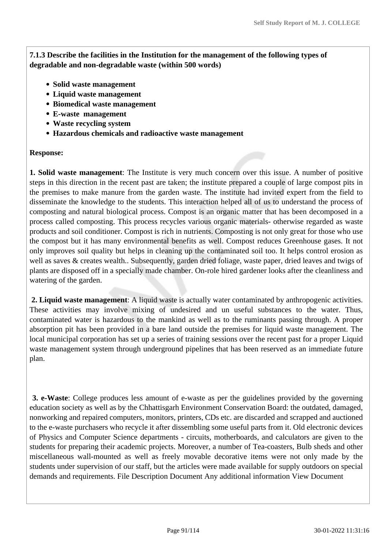**7.1.3 Describe the facilities in the Institution for the management of the following types of degradable and non-degradable waste (within 500 words)**

- **Solid waste management**
- **Liquid waste management**
- **Biomedical waste management**
- **E-waste management**
- **Waste recycling system**
- **Hazardous chemicals and radioactive waste management**

#### **Response:**

**1. Solid waste management**: The Institute is very much concern over this issue. A number of positive steps in this direction in the recent past are taken; the institute prepared a couple of large compost pits in the premises to make manure from the garden waste. The institute had invited expert from the field to disseminate the knowledge to the students. This interaction helped all of us to understand the process of composting and natural biological process. Compost is an organic matter that has been decomposed in a process called composting. This process recycles various organic materials- otherwise regarded as waste products and soil conditioner. Compost is rich in nutrients. Composting is not only great for those who use the compost but it has many environmental benefits as well. Compost reduces Greenhouse gases. It not only improves soil quality but helps in cleaning up the contaminated soil too. It helps control erosion as well as saves & creates wealth.. Subsequently, garden dried foliage, waste paper, dried leaves and twigs of plants are disposed off in a specially made chamber. On-role hired gardener looks after the cleanliness and watering of the garden.

 **2. Liquid waste management**: A liquid waste is actually water contaminated by anthropogenic activities. These activities may involve mixing of undesired and un useful substances to the water. Thus, contaminated water is hazardous to the mankind as well as to the ruminants passing through. A proper absorption pit has been provided in a bare land outside the premises for liquid waste management. The local municipal corporation has set up a series of training sessions over the recent past for a proper Liquid waste management system through underground pipelines that has been reserved as an immediate future plan.

 **3. e-Waste**: College produces less amount of e-waste as per the guidelines provided by the governing education society as well as by the Chhattisgarh Environment Conservation Board: the outdated, damaged, nonworking and repaired computers, monitors, printers, CDs etc. are discarded and scrapped and auctioned to the e-waste purchasers who recycle it after dissembling some useful parts from it. Old electronic devices of Physics and Computer Science departments - circuits, motherboards, and calculators are given to the students for preparing their academic projects. Moreover, a number of Tea-coasters, Bulb sheds and other miscellaneous wall-mounted as well as freely movable decorative items were not only made by the students under supervision of our staff, but the articles were made available for supply outdoors on special demands and requirements. File Description Document Any additional information View Document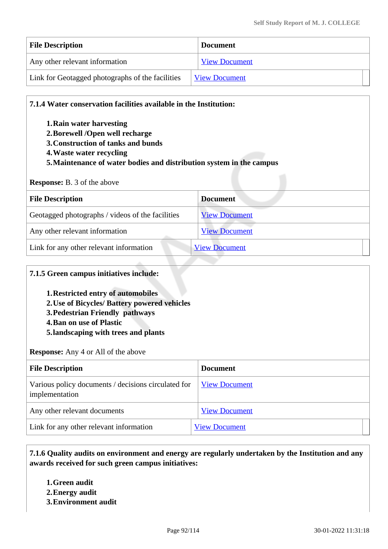| <b>File Description</b>                          | <b>Document</b>      |  |
|--------------------------------------------------|----------------------|--|
| Any other relevant information                   | <b>View Document</b> |  |
| Link for Geotagged photographs of the facilities | <b>View Document</b> |  |

| 1. Rain water harvesting<br>2. Borewell /Open well recharge<br>3. Construction of tanks and bunds<br>4. Waste water recycling<br>5. Maintenance of water bodies and distribution system in the campus<br><b>Response:</b> B. 3 of the above |                      |  |
|---------------------------------------------------------------------------------------------------------------------------------------------------------------------------------------------------------------------------------------------|----------------------|--|
|                                                                                                                                                                                                                                             |                      |  |
| <b>File Description</b>                                                                                                                                                                                                                     | <b>Document</b>      |  |
| Geotagged photographs / videos of the facilities                                                                                                                                                                                            | <b>View Document</b> |  |
| Any other relevant information                                                                                                                                                                                                              | <b>View Document</b> |  |

# **7.1.5 Green campus initiatives include: 1.Restricted entry of automobiles 2.Use of Bicycles/ Battery powered vehicles 3.Pedestrian Friendly pathways 4.Ban on use of Plastic 5.landscaping with trees and plants Response:** Any 4 or All of the above **File Description Document** Various policy documents / decisions circulated for implementation **[View Document](https://assessmentonline.naac.gov.in/storage/app/hei/SSR/106322/7.1.5_1635755261_4955.pdf)** Any other relevant documents [View Document](https://assessmentonline.naac.gov.in/storage/app/hei/SSR/106322/7.1.5_1636800697_4955.pdf) Link for any other relevant information [View Document](http://mjcit.in/Home/menu/Club/Eco_Club)

# **7.1.6 Quality audits on environment and energy are regularly undertaken by the Institution and any awards received for such green campus initiatives:**

- **1.Green audit**
- **2.Energy audit**
- **3.Environment audit**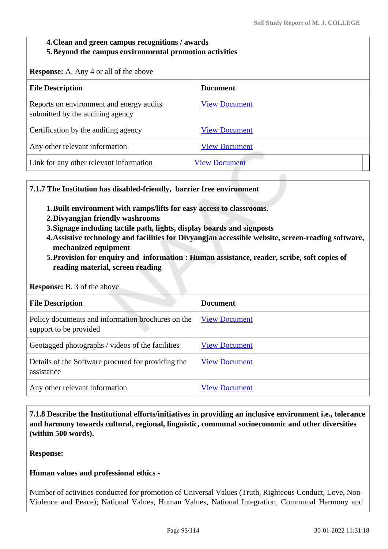# **4.Clean and green campus recognitions / awards**

**5.Beyond the campus environmental promotion activities** 

**Response:** A. Any 4 or all of the above

| <b>File Description</b>                                                      | <b>Document</b>      |
|------------------------------------------------------------------------------|----------------------|
| Reports on environment and energy audits<br>submitted by the auditing agency | <b>View Document</b> |
| Certification by the auditing agency                                         | <b>View Document</b> |
| Any other relevant information                                               | <b>View Document</b> |
| Link for any other relevant information                                      | <b>View Document</b> |

**7.1.7 The Institution has disabled-friendly, barrier free environment** 

- **1.Built environment with ramps/lifts for easy access to classrooms.**
- **2.Divyangjan friendly washrooms**
- **3.Signage including tactile path, lights, display boards and signposts**
- **4.Assistive technology and facilities for Divyangjan accessible website, screen-reading software, mechanized equipment**
- **5.Provision for enquiry and information : Human assistance, reader, scribe, soft copies of reading material, screen reading**

| <b>File Description</b>                                                     | <b>Document</b>      |
|-----------------------------------------------------------------------------|----------------------|
| Policy documents and information brochures on the<br>support to be provided | <b>View Document</b> |
| Geotagged photographs / videos of the facilities                            | <b>View Document</b> |
| Details of the Software procured for providing the<br>assistance            | <b>View Document</b> |
| Any other relevant information                                              | <b>View Document</b> |

**Response:** B. 3 of the above

 **7.1.8 Describe the Institutional efforts/initiatives in providing an inclusive environment i.e., tolerance and harmony towards cultural, regional, linguistic, communal socioeconomic and other diversities (within 500 words).**

**Response:** 

#### **Human values and professional ethics -**

Number of activities conducted for promotion of Universal Values (Truth, Righteous Conduct, Love, Non-Violence and Peace); National Values, Human Values, National Integration, Communal Harmony and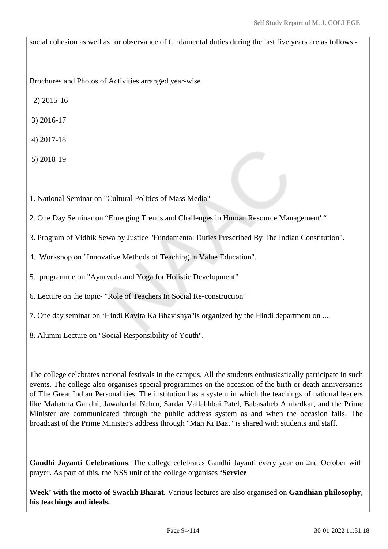social cohesion as well as for observance of fundamental duties during the last five years are as follows -

Brochures and Photos of Activities arranged year-wise

2) 2015-16

3) 2016-17

4) 2017-18

5) 2018-19

1. National Seminar on "Cultural Politics of Mass Media"

2. One Day Seminar on "Emerging Trends and Challenges in Human Resource Management' "

3. Program of Vidhik Sewa by Justice "Fundamental Duties Prescribed By The Indian Constitution".

4. Workshop on "Innovative Methods of Teaching in Value Education".

5. programme on "Ayurveda and Yoga for Holistic Development"

6. Lecture on the topic- "Role of Teachers In Social Re-construction''

7. One day seminar on 'Hindi Kavita Ka Bhavishya"is organized by the Hindi department on ....

8. Alumni Lecture on "Social Responsibility of Youth".

The college celebrates national festivals in the campus. All the students enthusiastically participate in such events. The college also organises special programmes on the occasion of the birth or death anniversaries of The Great Indian Personalities. The institution has a system in which the teachings of national leaders like Mahatma Gandhi, Jawaharlal Nehru, Sardar Vallabhbai Patel, Babasaheb Ambedkar, and the Prime Minister are communicated through the public address system as and when the occasion falls. The broadcast of the Prime Minister's address through "Man Ki Baat" is shared with students and staff.

**Gandhi Jayanti Celebrations**: The college celebrates Gandhi Jayanti every year on 2nd October with prayer. As part of this, the NSS unit of the college organises **'Service** 

**Week' with the motto of Swachh Bharat.** Various lectures are also organised on **Gandhian philosophy, his teachings and ideals.**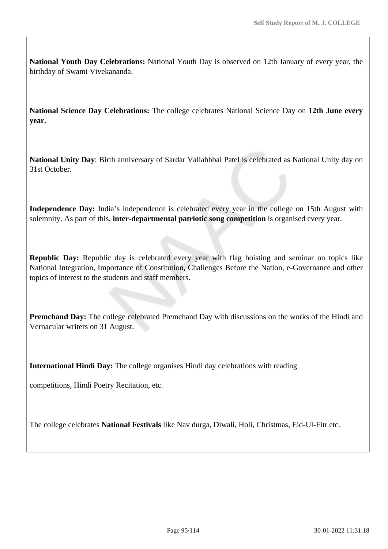**National Youth Day Celebrations:** National Youth Day is observed on 12th January of every year, the birthday of Swami Vivekananda.

**National Science Day Celebrations:** The college celebrates National Science Day on **12th June every year.**

**National Unity Day**: Birth anniversary of Sardar Vallabhbai Patel is celebrated as National Unity day on 31st October.

**Independence Day:** India's independence is celebrated every year in the college on 15th August with solemnity. As part of this, **inter-departmental patriotic song competition** is organised every year.

**Republic Day:** Republic day is celebrated every year with flag hoisting and seminar on topics like National Integration, Importance of Constitution, Challenges Before the Nation, e-Governance and other topics of interest to the students and staff members.

**Premchand Day:** The college celebrated Premchand Day with discussions on the works of the Hindi and Vernacular writers on 31 August.

**International Hindi Day:** The college organises Hindi day celebrations with reading

competitions, Hindi Poetry Recitation, etc.

The college celebrates **National Festivals** like Nav durga, Diwali, Holi, Christmas, Eid-Ul-Fitr etc.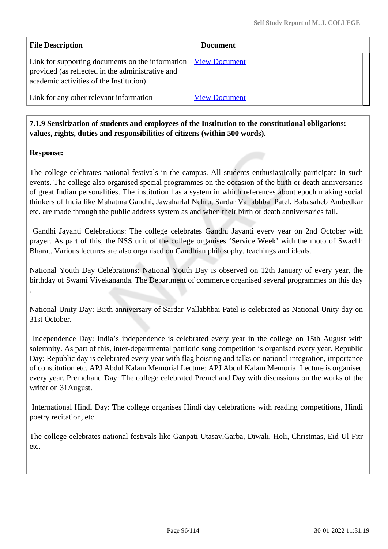| <b>File Description</b>                                                                                                                         | <b>Document</b>      |
|-------------------------------------------------------------------------------------------------------------------------------------------------|----------------------|
| Link for supporting documents on the information<br>provided (as reflected in the administrative and<br>academic activities of the Institution) | <b>View Document</b> |
| Link for any other relevant information                                                                                                         | <b>View Document</b> |

 **7.1.9 Sensitization of students and employees of the Institution to the constitutional obligations: values, rights, duties and responsibilities of citizens (within 500 words).**

#### **Response:**

.

The college celebrates national festivals in the campus. All students enthusiastically participate in such events. The college also organised special programmes on the occasion of the birth or death anniversaries of great Indian personalities. The institution has a system in which references about epoch making social thinkers of India like Mahatma Gandhi, Jawaharlal Nehru, Sardar Vallabhbai Patel, Babasaheb Ambedkar etc. are made through the public address system as and when their birth or death anniversaries fall.

 Gandhi Jayanti Celebrations: The college celebrates Gandhi Jayanti every year on 2nd October with prayer. As part of this, the NSS unit of the college organises 'Service Week' with the moto of Swachh Bharat. Various lectures are also organised on Gandhian philosophy, teachings and ideals.

National Youth Day Celebrations: National Youth Day is observed on 12th January of every year, the birthday of Swami Vivekananda. The Department of commerce organised several programmes on this day

National Unity Day: Birth anniversary of Sardar Vallabhbai Patel is celebrated as National Unity day on 31st October.

 Independence Day: India's independence is celebrated every year in the college on 15th August with solemnity. As part of this, inter-departmental patriotic song competition is organised every year. Republic Day: Republic day is celebrated every year with flag hoisting and talks on national integration, importance of constitution etc. APJ Abdul Kalam Memorial Lecture: APJ Abdul Kalam Memorial Lecture is organised every year. Premchand Day: The college celebrated Premchand Day with discussions on the works of the writer on 31August.

 International Hindi Day: The college organises Hindi day celebrations with reading competitions, Hindi poetry recitation, etc.

The college celebrates national festivals like Ganpati Utasav,Garba, Diwali, Holi, Christmas, Eid-Ul-Fitr etc.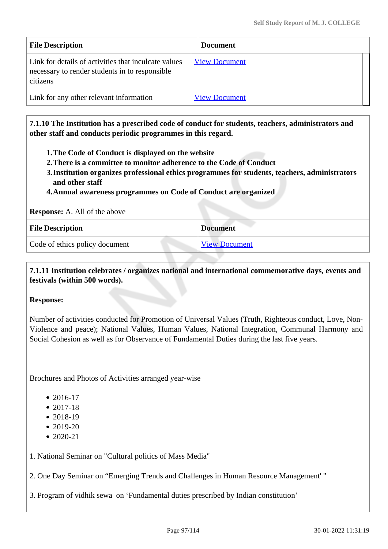| <b>File Description</b>                                                                                            | <b>Document</b>      |
|--------------------------------------------------------------------------------------------------------------------|----------------------|
| Link for details of activities that inculcate values<br>necessary to render students in to responsible<br>citizens | <b>View Document</b> |
| Link for any other relevant information                                                                            | <b>View Document</b> |

 **7.1.10 The Institution has a prescribed code of conduct for students, teachers, administrators and other staff and conducts periodic programmes in this regard.** 

- **1.The Code of Conduct is displayed on the website**
- **2.There is a committee to monitor adherence to the Code of Conduct**
- **3.Institution organizes professional ethics programmes for students, teachers, administrators and other staff**
- **4.Annual awareness programmes on Code of Conduct are organized**

#### **Response:** A. All of the above

| <b>File Description</b>        | <b>Document</b>      |
|--------------------------------|----------------------|
| Code of ethics policy document | <b>View Document</b> |

#### **7.1.11 Institution celebrates / organizes national and international commemorative days, events and festivals (within 500 words).**

#### **Response:**

Number of activities conducted for Promotion of Universal Values (Truth, Righteous conduct, Love, Non-Violence and peace); National Values, Human Values, National Integration, Communal Harmony and Social Cohesion as well as for Observance of Fundamental Duties during the last five years.

Brochures and Photos of Activities arranged year-wise

- $2016-17$
- $2017-18$
- 2018-19
- $\bullet$  2019-20
- 2020-21

1. National Seminar on "Cultural politics of Mass Media"

2. One Day Seminar on "Emerging Trends and Challenges in Human Resource Management' "

3. Program of vidhik sewa on 'Fundamental duties prescribed by Indian constitution'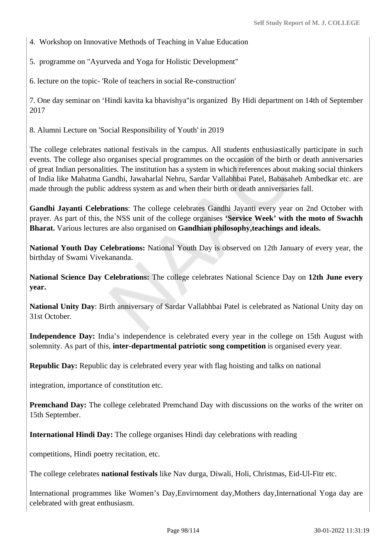4. Workshop on Innovative Methods of Teaching in Value Education

5. programme on "Ayurveda and Yoga for Holistic Development"

6. lecture on the topic- 'Role of teachers in social Re-construction'

7. One day seminar on 'Hindi kavita ka bhavishya"is organized By Hidi department on 14th of September 2017

8. Alumni Lecture on 'Social Responsibility of Youth' in 2019

The college celebrates national festivals in the campus. All students enthusiastically participate in such events. The college also organises special programmes on the occasion of the birth or death anniversaries of great Indian personalities. The institution has a system in which references about making social thinkers of India like Mahatma Gandhi, Jawaharlal Nehru, Sardar Vallabhbai Patel, Babasaheb Ambedkar etc. are made through the public address system as and when their birth or death anniversaries fall.

**Gandhi Jayanti Celebrations**: The college celebrates Gandhi Jayanti every year on 2nd October with prayer. As part of this, the NSS unit of the college organises **'Service Week' with the moto of Swachh Bharat.** Various lectures are also organised on **Gandhian philosophy,teachings and ideals.**

**National Youth Day Celebrations:** National Youth Day is observed on 12th January of every year, the birthday of Swami Vivekananda.

**National Science Day Celebrations:** The college celebrates National Science Day on **12th June every year.**

**National Unity Day**: Birth anniversary of Sardar Vallabhbai Patel is celebrated as National Unity day on 31st October.

**Independence Day:** India's independence is celebrated every year in the college on 15th August with solemnity. As part of this, **inter-departmental patriotic song competition** is organised every year.

**Republic Day:** Republic day is celebrated every year with flag hoisting and talks on national

integration, importance of constitution etc.

**Premchand Day:** The college celebrated Premchand Day with discussions on the works of the writer on 15th September.

**International Hindi Day:** The college organises Hindi day celebrations with reading

competitions, Hindi poetry recitation, etc.

The college celebrates **national festivals** like Nav durga, Diwali, Holi, Christmas, Eid-Ul-Fitr etc.

International programmes like Women's Day,Envirnoment day,Mothers day,International Yoga day are celebrated with great enthusiasm.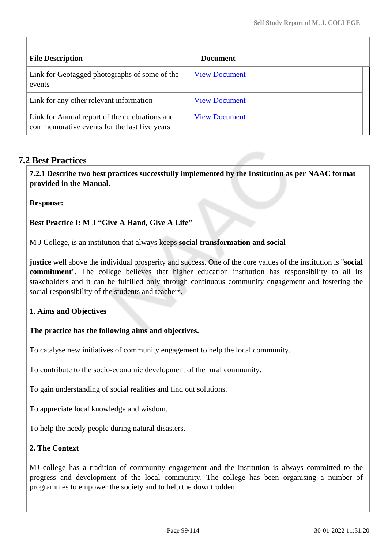| <b>File Description</b>                                                                        | <b>Document</b>      |
|------------------------------------------------------------------------------------------------|----------------------|
| Link for Geotagged photographs of some of the<br>events                                        | <b>View Document</b> |
| Link for any other relevant information                                                        | <b>View Document</b> |
| Link for Annual report of the celebrations and<br>commemorative events for the last five years | <b>View Document</b> |

# **7.2 Best Practices**

 **7.2.1 Describe two best practices successfully implemented by the Institution as per NAAC format provided in the Manual.**

**Response:** 

#### **Best Practice I: M J "Give A Hand, Give A Life"**

M J College, is an institution that always keeps **social transformation and social**

**justice** well above the individual prosperity and success. One of the core values of the institution is "**social commitment**". The college believes that higher education institution has responsibility to all its stakeholders and it can be fulfilled only through continuous community engagement and fostering the social responsibility of the students and teachers.

#### **1. Aims and Objectives**

#### **The practice has the following aims and objectives.**

To catalyse new initiatives of community engagement to help the local community.

To contribute to the socio-economic development of the rural community.

To gain understanding of social realities and find out solutions.

To appreciate local knowledge and wisdom.

To help the needy people during natural disasters.

#### **2. The Context**

MJ college has a tradition of community engagement and the institution is always committed to the progress and development of the local community. The college has been organising a number of programmes to empower the society and to help the downtrodden.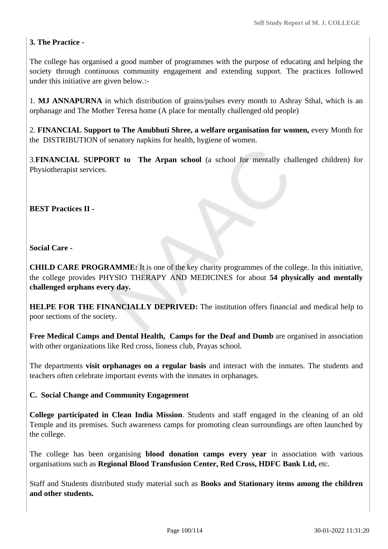# **3. The Practice -**

The college has organised a good number of programmes with the purpose of educating and helping the society through continuous community engagement and extending support. The practices followed under this initiative are given below.:-

1. **MJ ANNAPURNA** in which distribution of grains/pulses every month to Ashray Sthal, which is an orphanage and The Mother Teresa home (A place for mentally challenged old people)

2. **FINANCIAL Support to The Anubhuti Shree, a welfare organisation for women,** every Month for the DISTRIBUTION of senatory napkins for health, hygiene of women.

3.**FINANCIAL SUPPORT to The Arpan school** (a school for mentally challenged children) for Physiotherapist services.

**BEST Practices II -**

**Social Care -**

**CHILD CARE PROGRAMME:** It is one of the key charity programmes of the college. In this initiative, the college provides PHYSIO THERAPY AND MEDICINES for about **54 physically and mentally challenged orphans every day.**

**HELPE FOR THE FINANCIALLY DEPRIVED:** The institution offers financial and medical help to poor sections of the society.

**Free Medical Camps and Dental Health, Camps for the Deaf and Dumb** are organised in association with other organizations like Red cross, lioness club, Prayas school.

The departments **visit orphanages on a regular basis** and interact with the inmates. The students and teachers often celebrate important events with the inmates in orphanages.

#### **C. Social Change and Community Engagement**

**College participated in Clean India Mission**. Students and staff engaged in the cleaning of an old Temple and its premises. Such awareness camps for promoting clean surroundings are often launched by the college.

The college has been organising **blood donation camps every year** in association with various organisations such as **Regional Blood Transfusion Center, Red Cross, HDFC Bank Ltd,** etc.

Staff and Students distributed study material such as **Books and Stationary items among the children and other students.**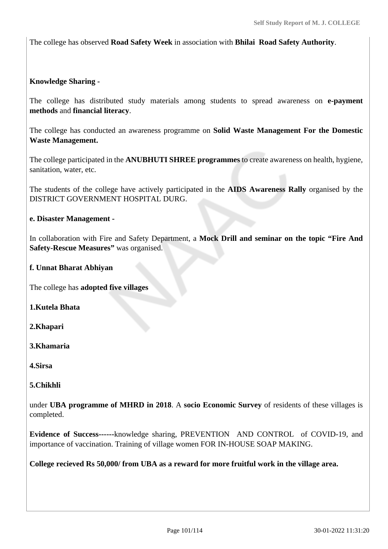The college has observed **Road Safety Week** in association with **Bhilai Road Safety Authority**.

### **Knowledge Sharing -**

The college has distributed study materials among students to spread awareness on **e-payment methods** and **financial literacy**.

The college has conducted an awareness programme on **Solid Waste Management For the Domestic Waste Management.**

The college participated in the **ANUBHUTI SHREE programmes** to create awareness on health, hygiene, sanitation, water, etc.

The students of the college have actively participated in the **AIDS Awareness Rally** organised by the DISTRICT GOVERNMENT HOSPITAL DURG.

#### **e. Disaster Management -**

In collaboration with Fire and Safety Department, a **Mock Drill and seminar on the topic "Fire And Safety-Rescue Measures"** was organised.

#### **f. Unnat Bharat Abhiyan**

The college has **adopted five villages** 

**1.Kutela Bhata**

**2.Khapari**

**3.Khamaria**

**4.Sirsa**

#### **5.Chikhli**

under **UBA programme of MHRD in 2018**. A **socio Economic Survey** of residents of these villages is completed.

**Evidence of Success------**knowledge sharing, PREVENTION AND CONTROL of COVID-19, and importance of vaccination. Training of village women FOR IN-HOUSE SOAP MAKING.

**College recieved Rs 50,000/ from UBA as a reward for more fruitful work in the village area.**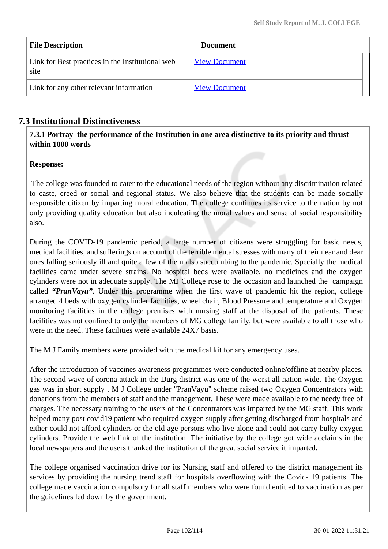| <b>File Description</b>                                  | <b>Document</b>      |
|----------------------------------------------------------|----------------------|
| Link for Best practices in the Institutional web<br>site | <b>View Document</b> |
| Link for any other relevant information                  | <b>View Document</b> |

# **7.3 Institutional Distinctiveness**

### **7.3.1 Portray the performance of the Institution in one area distinctive to its priority and thrust within 1000 words**

#### **Response:**

 The college was founded to cater to the educational needs of the region without any discrimination related to caste, creed or social and regional status. We also believe that the students can be made socially responsible citizen by imparting moral education. The college continues its service to the nation by not only providing quality education but also inculcating the moral values and sense of social responsibility also.

During the COVID-19 pandemic period, a large number of citizens were struggling for basic needs, medical facilities, and sufferings on account of the terrible mental stresses with many of their near and dear ones falling seriously ill and quite a few of them also succumbing to the pandemic. Specially the medical facilities came under severe strains. No hospital beds were available, no medicines and the oxygen cylinders were not in adequate supply. The MJ College rose to the occasion and launched the campaign called *"PranVayu"*. Under this programme when the first wave of pandemic hit the region, college arranged 4 beds with oxygen cylinder facilities, wheel chair, Blood Pressure and temperature and Oxygen monitoring facilities in the college premises with nursing staff at the disposal of the patients. These facilities was not confined to only the members of MG college family, but were available to all those who were in the need. These facilities were available 24X7 basis.

The M J Family members were provided with the medical kit for any emergency uses.

After the introduction of vaccines awareness programmes were conducted online/offline at nearby places. The second wave of corona attack in the Durg district was one of the worst all nation wide. The Oxygen gas was in short supply . M J College under "PranVayu" scheme raised two Oxygen Concentrators with donations from the members of staff and the management. These were made available to the needy free of charges. The necessary training to the users of the Concentrators was imparted by the MG staff. This work helped many post covid19 patient who required oxygen supply after getting discharged from hospitals and either could not afford cylinders or the old age persons who live alone and could not carry bulky oxygen cylinders. Provide the web link of the institution. The initiative by the college got wide acclaims in the local newspapers and the users thanked the institution of the great social service it imparted.

The college organised vaccination drive for its Nursing staff and offered to the district management its services by providing the nursing trend staff for hospitals overflowing with the Covid- 19 patients. The college made vaccination compulsory for all staff members who were found entitled to vaccination as per the guidelines led down by the government.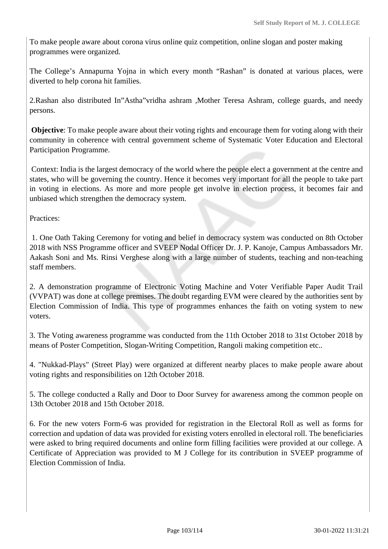To make people aware about corona virus online quiz competition, online slogan and poster making programmes were organized.

The College's Annapurna Yojna in which every month "Rashan" is donated at various places, were diverted to help corona hit families.

2.Rashan also distributed In"Astha" vridha ashram ,Mother Teresa Ashram, college guards, and needy persons.

**Objective**: To make people aware about their voting rights and encourage them for voting along with their community in coherence with central government scheme of Systematic Voter Education and Electoral Participation Programme.

 Context: India is the largest democracy of the world where the people elect a government at the centre and states, who will be governing the country. Hence it becomes very important for all the people to take part in voting in elections. As more and more people get involve in election process, it becomes fair and unbiased which strengthen the democracy system.

Practices:

 1. One Oath Taking Ceremony for voting and belief in democracy system was conducted on 8th October 2018 with NSS Programme officer and SVEEP Nodal Officer Dr. J. P. Kanoje, Campus Ambassadors Mr. Aakash Soni and Ms. Rinsi Verghese along with a large number of students, teaching and non-teaching staff members.

2. A demonstration programme of Electronic Voting Machine and Voter Verifiable Paper Audit Trail (VVPAT) was done at college premises. The doubt regarding EVM were cleared by the authorities sent by Election Commission of India. This type of programmes enhances the faith on voting system to new voters.

3. The Voting awareness programme was conducted from the 11th October 2018 to 31st October 2018 by means of Poster Competition, Slogan-Writing Competition, Rangoli making competition etc..

4. "Nukkad-Plays" (Street Play) were organized at different nearby places to make people aware about voting rights and responsibilities on 12th October 2018.

5. The college conducted a Rally and Door to Door Survey for awareness among the common people on 13th October 2018 and 15th October 2018.

6. For the new voters Form-6 was provided for registration in the Electoral Roll as well as forms for correction and updation of data was provided for existing voters enrolled in electoral roll. The beneficiaries were asked to bring required documents and online form filling facilities were provided at our college. A Certificate of Appreciation was provided to M J College for its contribution in SVEEP programme of Election Commission of India.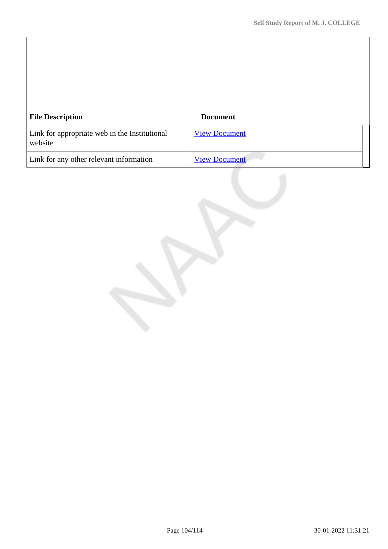| <b>File Description</b>                            | <b>Document</b>      |
|----------------------------------------------------|----------------------|
| Link for appropriate web in the Institutional      | <b>View Document</b> |
| website<br>Link for any other relevant information | <b>View Document</b> |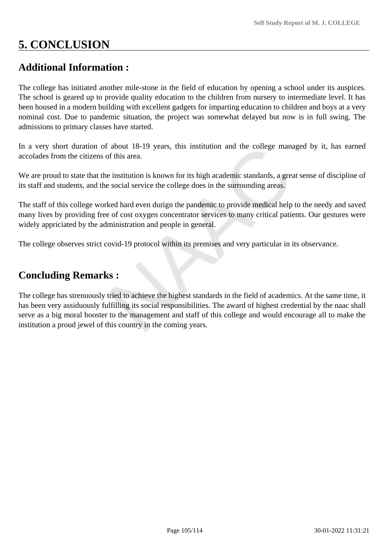# **5. CONCLUSION**

# **Additional Information :**

The college has initiated another mile-stone in the field of education by opening a school under its auspices. The school is geared up to provide quality education to the children from nursery to intermediate level. It has been housed in a modern building with excellent gadgets for imparting education to children and boys at a very nominal cost. Due to pandemic situation, the project was somewhat delayed but now is in full swing. The admissions to primary classes have started.

In a very short duration of about 18-19 years, this institution and the college managed by it, has earned accolades from the citizens of this area.

We are proud to state that the institution is known for its high academic standards, a great sense of discipline of its staff and students, and the social service the college does in the surrounding areas.

The staff of this college worked hard even durign the pandemic to provide medical help to the needy and saved many lives by providing free of cost oxygen concentrator services to many critical patients. Our gestures were widely appriciated by the administration and people in general.

The college observes strict covid-19 protocol within its premises and very particular in its observance.

# **Concluding Remarks :**

The college has strenuously tried to achieve the highest standards in the field of academics. At the same time, it has been very assiduously fulfilling its social responsibilities. The award of highest credential by the naac shall serve as a big moral booster to the management and staff of this college and would encourage all to make the institution a proud jewel of this country in the coming years.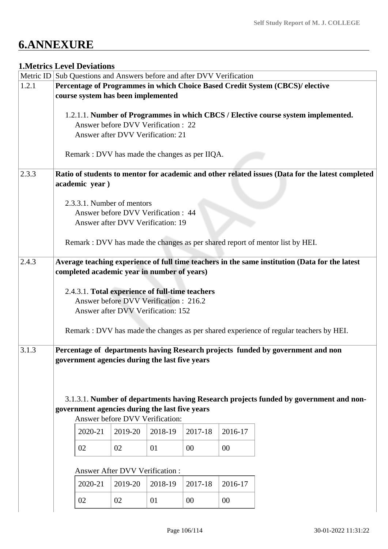# **6.ANNEXURE**

# **1.Metrics Level Deviations**

|       | Metric ID Sub Questions and Answers before and after DVV Verification                          |                                                                             |         |         |         |                                                                                                  |
|-------|------------------------------------------------------------------------------------------------|-----------------------------------------------------------------------------|---------|---------|---------|--------------------------------------------------------------------------------------------------|
| 1.2.1 |                                                                                                |                                                                             |         |         |         | Percentage of Programmes in which Choice Based Credit System (CBCS)/ elective                    |
|       | course system has been implemented                                                             |                                                                             |         |         |         |                                                                                                  |
|       |                                                                                                | Answer before DVV Verification : 22<br>Answer after DVV Verification: 21    |         |         |         | 1.2.1.1. Number of Programmes in which CBCS / Elective course system implemented.                |
|       | Remark : DVV has made the changes as per IIQA.                                                 |                                                                             |         |         |         |                                                                                                  |
| 2.3.3 | academic year)                                                                                 |                                                                             |         |         |         | Ratio of students to mentor for academic and other related issues (Data for the latest completed |
|       | 2.3.3.1. Number of mentors                                                                     | Answer before DVV Verification : 44<br>Answer after DVV Verification: 19    |         |         |         | Remark : DVV has made the changes as per shared report of mentor list by HEI.                    |
| 2.4.3 | completed academic year in number of years)<br>2.4.3.1. Total experience of full-time teachers |                                                                             |         |         |         | Average teaching experience of full time teachers in the same institution (Data for the latest   |
|       |                                                                                                | Answer before DVV Verification: 216.2<br>Answer after DVV Verification: 152 |         |         |         |                                                                                                  |
|       |                                                                                                |                                                                             |         |         |         | Remark : DVV has made the changes as per shared experience of regular teachers by HEI.           |
| 3.1.3 | government agencies during the last five years                                                 |                                                                             |         |         |         | Percentage of departments having Research projects funded by government and non                  |
|       |                                                                                                |                                                                             |         |         |         | 3.1.3.1. Number of departments having Research projects funded by government and non-            |
|       | government agencies during the last five years                                                 |                                                                             |         |         |         |                                                                                                  |
|       |                                                                                                | Answer before DVV Verification:                                             |         |         |         |                                                                                                  |
|       | 2020-21                                                                                        | 2019-20                                                                     | 2018-19 | 2017-18 | 2016-17 |                                                                                                  |
|       | 02                                                                                             | 02                                                                          | 01      | 00      | $00\,$  |                                                                                                  |
|       |                                                                                                | <b>Answer After DVV Verification:</b>                                       |         |         |         |                                                                                                  |
|       | 2020-21                                                                                        | 2019-20                                                                     | 2018-19 | 2017-18 | 2016-17 |                                                                                                  |
|       | 02                                                                                             | 02                                                                          | 01      | 00      | 00      |                                                                                                  |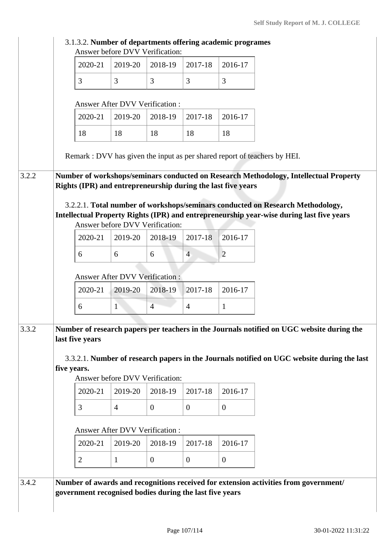|       |                 | Answer before DVV Verification:       |                  |                | 3.1.3.2. Number of departments offering academic programes   |                                                                                            |  |
|-------|-----------------|---------------------------------------|------------------|----------------|--------------------------------------------------------------|--------------------------------------------------------------------------------------------|--|
|       | 2020-21         | 2019-20                               | 2018-19          | 2017-18        | 2016-17                                                      |                                                                                            |  |
|       | 3               | 3                                     | 3                | 3              | 3                                                            |                                                                                            |  |
|       |                 | Answer After DVV Verification :       |                  |                |                                                              |                                                                                            |  |
|       | 2020-21         | 2019-20                               | 2018-19          | 2017-18        | 2016-17                                                      |                                                                                            |  |
|       | 18              | 18                                    | 18               | 18             | 18                                                           |                                                                                            |  |
|       |                 |                                       |                  |                |                                                              | Remark : DVV has given the input as per shared report of teachers by HEI.                  |  |
| 3.2.2 |                 |                                       |                  |                |                                                              | Number of workshops/seminars conducted on Research Methodology, Intellectual Property      |  |
|       |                 |                                       |                  |                | Rights (IPR) and entrepreneurship during the last five years |                                                                                            |  |
|       |                 |                                       |                  |                |                                                              |                                                                                            |  |
|       |                 |                                       |                  |                |                                                              | 3.2.2.1. Total number of workshops/seminars conducted on Research Methodology,             |  |
|       |                 |                                       |                  |                |                                                              | Intellectual Property Rights (IPR) and entrepreneurship year-wise during last five years   |  |
|       |                 | Answer before DVV Verification:       |                  |                |                                                              |                                                                                            |  |
|       |                 |                                       |                  |                |                                                              |                                                                                            |  |
|       | 2020-21         | 2019-20                               | 2018-19          | 2017-18        | 2016-17                                                      |                                                                                            |  |
|       | 6               | 6                                     | 6                | $\overline{4}$ | $\overline{2}$                                               |                                                                                            |  |
|       |                 | <b>Answer After DVV Verification:</b> |                  |                |                                                              |                                                                                            |  |
|       |                 |                                       |                  |                |                                                              |                                                                                            |  |
|       | 2020-21         | 2019-20                               | 2018-19          | 2017-18        | 2016-17                                                      |                                                                                            |  |
|       | 6               | 1                                     | $\overline{4}$   | $\overline{4}$ | $\mathbf{1}$                                                 |                                                                                            |  |
| 3.3.2 |                 |                                       |                  |                |                                                              |                                                                                            |  |
|       |                 |                                       |                  |                |                                                              | Number of research papers per teachers in the Journals notified on UGC website during the  |  |
|       | last five years |                                       |                  |                |                                                              |                                                                                            |  |
|       |                 |                                       |                  |                |                                                              |                                                                                            |  |
|       |                 |                                       |                  |                |                                                              | 3.3.2.1. Number of research papers in the Journals notified on UGC website during the last |  |
|       | five years.     |                                       |                  |                |                                                              |                                                                                            |  |
|       |                 | Answer before DVV Verification:       |                  |                |                                                              |                                                                                            |  |
|       | 2020-21         | 2019-20                               | 2018-19          | 2017-18        | 2016-17                                                      |                                                                                            |  |
|       | 3               | $\overline{4}$                        | $\boldsymbol{0}$ | $\overline{0}$ | $\overline{0}$                                               |                                                                                            |  |
|       |                 | <b>Answer After DVV Verification:</b> |                  |                |                                                              |                                                                                            |  |
|       | 2020-21         | 2019-20                               | 2018-19          | 2017-18        | 2016-17                                                      |                                                                                            |  |
|       |                 |                                       |                  | $\overline{0}$ | $\boldsymbol{0}$                                             |                                                                                            |  |
|       |                 |                                       |                  |                |                                                              |                                                                                            |  |
|       | $\overline{2}$  | $\mathbf{1}$                          | $\overline{0}$   |                |                                                              |                                                                                            |  |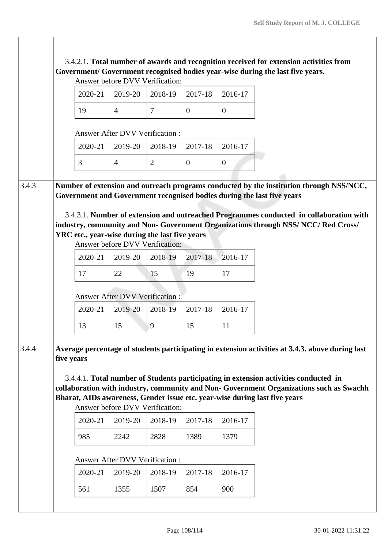# 3.4.2.1. **Total number of awards and recognition received for extension activities from Government/ Government recognised bodies year-wise during the last five years.**

| 2020-21<br>2019-20<br>2018-19<br>2017-18<br>2016-17<br>19<br>7<br>$\mathbf{0}$<br>$\overline{4}$<br>$\overline{0}$<br>Answer After DVV Verification:<br>2020-21<br>2019-20<br>2017-18<br>2016-17<br>2018-19<br>3<br>$\mathbf{0}$<br>$\overline{4}$<br>$\overline{2}$<br>$\overline{0}$<br>Number of extension and outreach programs conducted by the institution through NSS/NCC,<br>Government and Government recognised bodies during the last five years<br>3.4.3.1. Number of extension and outreached Programmes conducted in collaboration with<br>industry, community and Non- Government Organizations through NSS/ NCC/ Red Cross/<br>YRC etc., year-wise during the last five years<br>Answer before DVV Verification:<br>2020-21<br>2017-18<br>2016-17<br>2019-20<br>2018-19<br>19<br>17<br>22<br>15<br>17<br><b>Answer After DVV Verification:</b><br>2016-17<br>2020-21<br>2019-20<br>2018-19<br>2017-18<br>13<br>15<br>9<br>15<br>11<br>Average percentage of students participating in extension activities at 3.4.3. above during last<br>five years<br>3.4.4.1. Total number of Students participating in extension activities conducted in<br>collaboration with industry, community and Non- Government Organizations such as Swachh<br>Bharat, AIDs awareness, Gender issue etc. year-wise during last five years |         | Answer before DVV Verification: |  |
|---------------------------------------------------------------------------------------------------------------------------------------------------------------------------------------------------------------------------------------------------------------------------------------------------------------------------------------------------------------------------------------------------------------------------------------------------------------------------------------------------------------------------------------------------------------------------------------------------------------------------------------------------------------------------------------------------------------------------------------------------------------------------------------------------------------------------------------------------------------------------------------------------------------------------------------------------------------------------------------------------------------------------------------------------------------------------------------------------------------------------------------------------------------------------------------------------------------------------------------------------------------------------------------------------------------------------------------|---------|---------------------------------|--|
|                                                                                                                                                                                                                                                                                                                                                                                                                                                                                                                                                                                                                                                                                                                                                                                                                                                                                                                                                                                                                                                                                                                                                                                                                                                                                                                                       |         |                                 |  |
|                                                                                                                                                                                                                                                                                                                                                                                                                                                                                                                                                                                                                                                                                                                                                                                                                                                                                                                                                                                                                                                                                                                                                                                                                                                                                                                                       |         |                                 |  |
|                                                                                                                                                                                                                                                                                                                                                                                                                                                                                                                                                                                                                                                                                                                                                                                                                                                                                                                                                                                                                                                                                                                                                                                                                                                                                                                                       |         |                                 |  |
|                                                                                                                                                                                                                                                                                                                                                                                                                                                                                                                                                                                                                                                                                                                                                                                                                                                                                                                                                                                                                                                                                                                                                                                                                                                                                                                                       |         |                                 |  |
|                                                                                                                                                                                                                                                                                                                                                                                                                                                                                                                                                                                                                                                                                                                                                                                                                                                                                                                                                                                                                                                                                                                                                                                                                                                                                                                                       |         |                                 |  |
|                                                                                                                                                                                                                                                                                                                                                                                                                                                                                                                                                                                                                                                                                                                                                                                                                                                                                                                                                                                                                                                                                                                                                                                                                                                                                                                                       |         |                                 |  |
|                                                                                                                                                                                                                                                                                                                                                                                                                                                                                                                                                                                                                                                                                                                                                                                                                                                                                                                                                                                                                                                                                                                                                                                                                                                                                                                                       |         |                                 |  |
|                                                                                                                                                                                                                                                                                                                                                                                                                                                                                                                                                                                                                                                                                                                                                                                                                                                                                                                                                                                                                                                                                                                                                                                                                                                                                                                                       |         |                                 |  |
|                                                                                                                                                                                                                                                                                                                                                                                                                                                                                                                                                                                                                                                                                                                                                                                                                                                                                                                                                                                                                                                                                                                                                                                                                                                                                                                                       |         |                                 |  |
|                                                                                                                                                                                                                                                                                                                                                                                                                                                                                                                                                                                                                                                                                                                                                                                                                                                                                                                                                                                                                                                                                                                                                                                                                                                                                                                                       |         |                                 |  |
|                                                                                                                                                                                                                                                                                                                                                                                                                                                                                                                                                                                                                                                                                                                                                                                                                                                                                                                                                                                                                                                                                                                                                                                                                                                                                                                                       |         |                                 |  |
|                                                                                                                                                                                                                                                                                                                                                                                                                                                                                                                                                                                                                                                                                                                                                                                                                                                                                                                                                                                                                                                                                                                                                                                                                                                                                                                                       |         |                                 |  |
|                                                                                                                                                                                                                                                                                                                                                                                                                                                                                                                                                                                                                                                                                                                                                                                                                                                                                                                                                                                                                                                                                                                                                                                                                                                                                                                                       |         |                                 |  |
| Answer before DVV Verification:                                                                                                                                                                                                                                                                                                                                                                                                                                                                                                                                                                                                                                                                                                                                                                                                                                                                                                                                                                                                                                                                                                                                                                                                                                                                                                       |         |                                 |  |
| 2019-20<br>2020-21<br>2018-19<br>2017-18<br>2016-17                                                                                                                                                                                                                                                                                                                                                                                                                                                                                                                                                                                                                                                                                                                                                                                                                                                                                                                                                                                                                                                                                                                                                                                                                                                                                   |         |                                 |  |
| 985<br>2828<br>1389<br>1379<br>2242                                                                                                                                                                                                                                                                                                                                                                                                                                                                                                                                                                                                                                                                                                                                                                                                                                                                                                                                                                                                                                                                                                                                                                                                                                                                                                   |         |                                 |  |
| Answer After DVV Verification:                                                                                                                                                                                                                                                                                                                                                                                                                                                                                                                                                                                                                                                                                                                                                                                                                                                                                                                                                                                                                                                                                                                                                                                                                                                                                                        |         |                                 |  |
|                                                                                                                                                                                                                                                                                                                                                                                                                                                                                                                                                                                                                                                                                                                                                                                                                                                                                                                                                                                                                                                                                                                                                                                                                                                                                                                                       |         |                                 |  |
| 2019-20<br>2018-19<br>2017-18<br>2016-17                                                                                                                                                                                                                                                                                                                                                                                                                                                                                                                                                                                                                                                                                                                                                                                                                                                                                                                                                                                                                                                                                                                                                                                                                                                                                              | 2020-21 |                                 |  |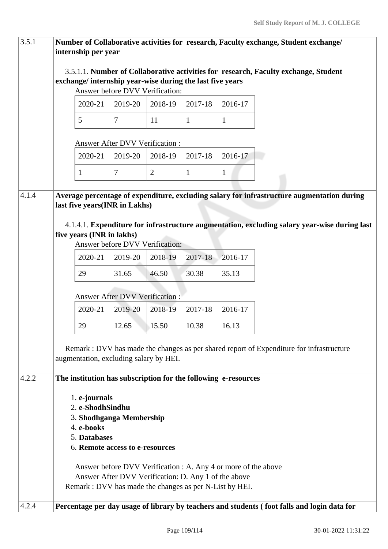| 3.5.1 | internship per year                                                                                                                                                                       |                                 |                |                                                                                                                        |         | Number of Collaborative activities for research, Faculty exchange, Student exchange/         |
|-------|-------------------------------------------------------------------------------------------------------------------------------------------------------------------------------------------|---------------------------------|----------------|------------------------------------------------------------------------------------------------------------------------|---------|----------------------------------------------------------------------------------------------|
|       | exchange/ internship year-wise during the last five years                                                                                                                                 | Answer before DVV Verification: |                |                                                                                                                        |         | 3.5.1.1. Number of Collaborative activities for research, Faculty exchange, Student          |
|       | 2020-21                                                                                                                                                                                   | 2019-20                         | 2018-19        | 2017-18                                                                                                                | 2016-17 |                                                                                              |
|       | 5                                                                                                                                                                                         | $\overline{7}$                  | 11             | 1                                                                                                                      | 1       |                                                                                              |
|       |                                                                                                                                                                                           | Answer After DVV Verification : |                |                                                                                                                        |         |                                                                                              |
|       | 2020-21                                                                                                                                                                                   | 2019-20                         | 2018-19        | 2017-18                                                                                                                | 2016-17 |                                                                                              |
|       | 1                                                                                                                                                                                         | $\tau$                          | $\overline{2}$ | 1                                                                                                                      | 1       |                                                                                              |
| 4.1.4 |                                                                                                                                                                                           |                                 |                |                                                                                                                        |         | Average percentage of expenditure, excluding salary for infrastructure augmentation during   |
|       | last five years(INR in Lakhs)                                                                                                                                                             |                                 |                |                                                                                                                        |         |                                                                                              |
|       | five years (INR in lakhs)                                                                                                                                                                 |                                 |                |                                                                                                                        |         | 4.1.4.1. Expenditure for infrastructure augmentation, excluding salary year-wise during last |
|       |                                                                                                                                                                                           | Answer before DVV Verification: |                |                                                                                                                        |         |                                                                                              |
|       | 2020-21                                                                                                                                                                                   | 2019-20                         | 2018-19        | 2017-18                                                                                                                | 2016-17 |                                                                                              |
|       | 29                                                                                                                                                                                        | 31.65                           | 46.50          | 30.38                                                                                                                  | 35.13   |                                                                                              |
|       |                                                                                                                                                                                           | Answer After DVV Verification : |                |                                                                                                                        |         |                                                                                              |
|       | 2020-21                                                                                                                                                                                   | 2019-20                         | 2018-19        | 2017-18                                                                                                                | 2016-17 |                                                                                              |
|       | 29                                                                                                                                                                                        | 12.65                           | 15.50          | 10.38                                                                                                                  | 16.13   |                                                                                              |
|       | augmentation, excluding salary by HEI.                                                                                                                                                    |                                 |                |                                                                                                                        |         | Remark : DVV has made the changes as per shared report of Expenditure for infrastructure     |
| 4.2.2 | The institution has subscription for the following e-resources                                                                                                                            |                                 |                |                                                                                                                        |         |                                                                                              |
|       | 1. e-journals<br>2. e-ShodhSindhu<br>3. Shodhganga Membership<br>4. e-books<br>5. Databases<br>6. Remote access to e-resources<br>Remark : DVV has made the changes as per N-List by HEI. |                                 |                | Answer before DVV Verification : A. Any 4 or more of the above<br>Answer After DVV Verification: D. Any 1 of the above |         |                                                                                              |
| 4.2.4 |                                                                                                                                                                                           |                                 |                |                                                                                                                        |         | Percentage per day usage of library by teachers and students (foot falls and login data for  |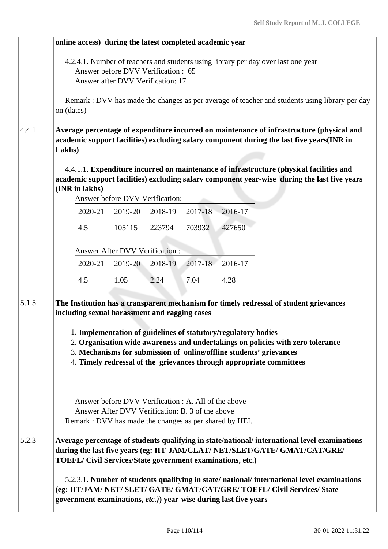|                | online access) during the latest completed academic year                                                                                                                   |                                                                          |         |                                                                                                          |         |                                                                                                                                                                                                                                                                                                                                                                                                                           |
|----------------|----------------------------------------------------------------------------------------------------------------------------------------------------------------------------|--------------------------------------------------------------------------|---------|----------------------------------------------------------------------------------------------------------|---------|---------------------------------------------------------------------------------------------------------------------------------------------------------------------------------------------------------------------------------------------------------------------------------------------------------------------------------------------------------------------------------------------------------------------------|
|                |                                                                                                                                                                            | Answer before DVV Verification : 65<br>Answer after DVV Verification: 17 |         |                                                                                                          |         | 4.2.4.1. Number of teachers and students using library per day over last one year                                                                                                                                                                                                                                                                                                                                         |
|                | on (dates)                                                                                                                                                                 |                                                                          |         |                                                                                                          |         | Remark : DVV has made the changes as per average of teacher and students using library per day                                                                                                                                                                                                                                                                                                                            |
| 4.4.1          | Lakhs)                                                                                                                                                                     |                                                                          |         |                                                                                                          |         | Average percentage of expenditure incurred on maintenance of infrastructure (physical and<br>academic support facilities) excluding salary component during the last five years(INR in                                                                                                                                                                                                                                    |
|                | (INR in lakhs)                                                                                                                                                             | Answer before DVV Verification:                                          |         |                                                                                                          |         | 4.4.1.1. Expenditure incurred on maintenance of infrastructure (physical facilities and<br>academic support facilities) excluding salary component year-wise during the last five years                                                                                                                                                                                                                                   |
|                | 2020-21                                                                                                                                                                    | 2019-20                                                                  | 2018-19 | 2017-18                                                                                                  | 2016-17 |                                                                                                                                                                                                                                                                                                                                                                                                                           |
|                | 4.5                                                                                                                                                                        | 105115                                                                   | 223794  | 703932                                                                                                   | 427650  |                                                                                                                                                                                                                                                                                                                                                                                                                           |
|                |                                                                                                                                                                            | <b>Answer After DVV Verification:</b>                                    |         |                                                                                                          |         |                                                                                                                                                                                                                                                                                                                                                                                                                           |
|                | 2020-21                                                                                                                                                                    | 2019-20                                                                  | 2018-19 | 2017-18                                                                                                  | 2016-17 |                                                                                                                                                                                                                                                                                                                                                                                                                           |
|                | 4.5                                                                                                                                                                        | 1.05                                                                     | 2.24    | 7.04                                                                                                     | 4.28    |                                                                                                                                                                                                                                                                                                                                                                                                                           |
| 5.1.5<br>5.2.3 | including sexual harassment and ragging cases<br>1. Implementation of guidelines of statutory/regulatory bodies<br>Remark : DVV has made the changes as per shared by HEI. |                                                                          |         | Answer before DVV Verification : A. All of the above<br>Answer After DVV Verification: B. 3 of the above |         | The Institution has a transparent mechanism for timely redressal of student grievances<br>2. Organisation wide awareness and undertakings on policies with zero tolerance<br>3. Mechanisms for submission of online/offline students' grievances<br>4. Timely redressal of the grievances through appropriate committees<br>Average percentage of students qualifying in state/national/ international level examinations |
|                | <b>TOEFL/Civil Services/State government examinations, etc.)</b><br>government examinations, etc.) year-wise during last five years                                        |                                                                          |         |                                                                                                          |         | during the last five years (eg: IIT-JAM/CLAT/ NET/SLET/GATE/ GMAT/CAT/GRE/<br>5.2.3.1. Number of students qualifying in state/national/international level examinations<br>(eg: IIT/JAM/ NET/ SLET/ GATE/ GMAT/CAT/GRE/ TOEFL/ Civil Services/ State                                                                                                                                                                      |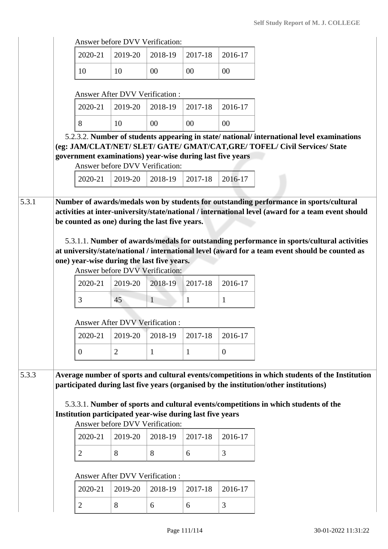|                                 |                                                                                                                                                  |              | Answer before DVV Verification: |              |
|---------------------------------|--------------------------------------------------------------------------------------------------------------------------------------------------|--------------|---------------------------------|--------------|
| 2020-21                         | 2019-20                                                                                                                                          | 2018-19      | 2017-18                         | 2016-17      |
| 10                              | 10                                                                                                                                               | 00           | 00                              | $00\,$       |
|                                 | <b>Answer After DVV Verification:</b>                                                                                                            |              |                                 |              |
| 2020-21                         | 2019-20                                                                                                                                          | 2018-19      | 2017-18                         | 2016-17      |
| 8                               | 10                                                                                                                                               | 00           | 00                              | $00\,$       |
|                                 | 5.2.3.2. Number of students appearing in state/national/international level examinations                                                         |              |                                 |              |
|                                 | (eg: JAM/CLAT/NET/ SLET/ GATE/ GMAT/CAT, GRE/ TOFEL/ Civil Services/ State                                                                       |              |                                 |              |
|                                 | government examinations) year-wise during last five years                                                                                        |              |                                 |              |
|                                 | Answer before DVV Verification:                                                                                                                  |              |                                 |              |
| 2020-21                         | 2019-20                                                                                                                                          | 2018-19      | 2017-18                         | 2016-17      |
|                                 |                                                                                                                                                  |              |                                 |              |
| Answer before DVV Verification: |                                                                                                                                                  |              |                                 |              |
| 2020-21                         | 2019-20                                                                                                                                          | 2018-19      | 2017-18                         | 2016-17      |
| 3                               | 45                                                                                                                                               | $\mathbf{1}$ | $\mathbf{1}$                    | $\mathbf{1}$ |
|                                 | <b>Answer After DVV Verification:</b>                                                                                                            |              |                                 |              |
| 2020-21                         | 2019-20                                                                                                                                          | 2018-19      | 2017-18                         | 2016-17      |
| $\overline{0}$                  | $\overline{2}$                                                                                                                                   | 1            | 1                               | $\theta$     |
|                                 | Average number of sports and cultural events/competitions in which students of the Institution                                                   |              |                                 |              |
|                                 | participated during last five years (organised by the institution/other institutions)                                                            |              |                                 |              |
|                                 |                                                                                                                                                  |              |                                 |              |
|                                 | 5.3.3.1. Number of sports and cultural events/competitions in which students of the<br>Institution participated year-wise during last five years |              |                                 |              |
|                                 | Answer before DVV Verification:                                                                                                                  |              |                                 |              |
| 2020-21                         | 2019-20                                                                                                                                          | 2018-19      | 2017-18                         | 2016-17      |
| $\overline{2}$                  | 8                                                                                                                                                | 8            | 6                               | 3            |
|                                 |                                                                                                                                                  |              |                                 |              |
| 2020-21                         | Answer After DVV Verification:<br>2019-20                                                                                                        | 2018-19      | 2017-18                         | 2016-17      |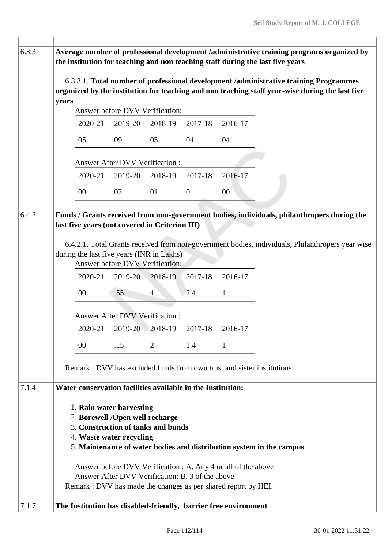| 6.3.3 |         |                                                                              |                     |         |              | Average number of professional development /administrative training programs organized by<br>the institution for teaching and non teaching staff during the last five years              |
|-------|---------|------------------------------------------------------------------------------|---------------------|---------|--------------|------------------------------------------------------------------------------------------------------------------------------------------------------------------------------------------|
|       | years   |                                                                              |                     |         |              | 6.3.3.1. Total number of professional development /administrative training Programmes<br>organized by the institution for teaching and non teaching staff year-wise during the last five |
|       |         | Answer before DVV Verification:                                              |                     |         |              |                                                                                                                                                                                          |
|       | 2020-21 | 2019-20                                                                      | 2018-19             | 2017-18 | 2016-17      |                                                                                                                                                                                          |
|       | 05      | 09                                                                           | 05                  | 04      | 04           |                                                                                                                                                                                          |
|       |         | Answer After DVV Verification :                                              |                     |         |              |                                                                                                                                                                                          |
|       | 2020-21 | 2019-20                                                                      | 2018-19             | 2017-18 | 2016-17      |                                                                                                                                                                                          |
|       | $00\,$  | 02                                                                           | 01                  | 01      | $00\,$       |                                                                                                                                                                                          |
| 6.4.2 |         |                                                                              |                     |         |              | Funds / Grants received from non-government bodies, individuals, philanthropers during the                                                                                               |
|       |         | last five years (not covered in Criterion III)                               |                     |         |              |                                                                                                                                                                                          |
|       |         |                                                                              |                     |         |              | 6.4.2.1. Total Grants received from non-government bodies, individuals, Philanthropers year wise                                                                                         |
|       |         | during the last five years (INR in Lakhs)<br>Answer before DVV Verification: |                     |         |              |                                                                                                                                                                                          |
|       | 2020-21 | 2019-20                                                                      | 2018-19             | 2017-18 | 2016-17      |                                                                                                                                                                                          |
|       | $00\,$  | .55                                                                          | $\overline{4}$      | 2.4     | $\mathbf{1}$ |                                                                                                                                                                                          |
|       |         | <b>Answer After DVV Verification:</b>                                        |                     |         |              |                                                                                                                                                                                          |
|       | 2020-21 |                                                                              | $2019-20$   2018-19 | 2017-18 | 2016-17      |                                                                                                                                                                                          |
|       | $00\,$  | .15                                                                          | $\overline{2}$      | 1.4     | $\mathbf{1}$ |                                                                                                                                                                                          |
|       |         |                                                                              |                     |         |              |                                                                                                                                                                                          |
|       |         | Remark: DVV has excluded funds from own trust and sister institutions.       |                     |         |              |                                                                                                                                                                                          |
| 7.1.4 |         | Water conservation facilities available in the Institution:                  |                     |         |              |                                                                                                                                                                                          |
|       |         | 1. Rain water harvesting                                                     |                     |         |              |                                                                                                                                                                                          |
|       |         | 2. Borewell /Open well recharge<br>3. Construction of tanks and bunds        |                     |         |              |                                                                                                                                                                                          |
|       |         | 4. Waste water recycling                                                     |                     |         |              |                                                                                                                                                                                          |
|       |         |                                                                              |                     |         |              | 5. Maintenance of water bodies and distribution system in the campus                                                                                                                     |
|       |         | Answer before DVV Verification : A. Any 4 or all of the above                |                     |         |              |                                                                                                                                                                                          |
|       |         | Answer After DVV Verification: B. 3 of the above                             |                     |         |              |                                                                                                                                                                                          |
|       |         | Remark : DVV has made the changes as per shared report by HEI.               |                     |         |              |                                                                                                                                                                                          |
| 7.1.7 |         | The Institution has disabled-friendly, barrier free environment              |                     |         |              |                                                                                                                                                                                          |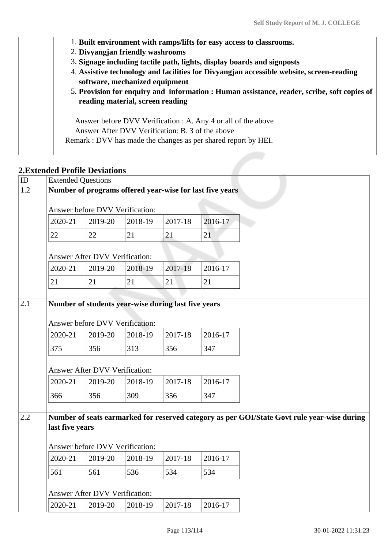| 1. Built environment with ramps/lifts for easy access to classrooms.                                                            |
|---------------------------------------------------------------------------------------------------------------------------------|
| 2. Divyangjan friendly washrooms                                                                                                |
| 3. Signage including tactile path, lights, display boards and signposts                                                         |
| 4. Assistive technology and facilities for Divyangjan accessible website, screen-reading<br>software, mechanized equipment      |
| 5. Provision for enquiry and information : Human assistance, reader, scribe, soft copies of<br>reading material, screen reading |
| Answer before DVV Verification : A. Any 4 or all of the above<br>Answer After DVV Verification: B. 3 of the above               |
| Remark: DVV has made the changes as per shared report by HEI.                                                                   |

## **2.Extended Profile Deviations**

| 2020-21 | 2019-20 | 2018-19                                                 | 2017-18                                                                                                                                                                                                                          | 2016-17 |                                                                                                                                                                                                                           |
|---------|---------|---------------------------------------------------------|----------------------------------------------------------------------------------------------------------------------------------------------------------------------------------------------------------------------------------|---------|---------------------------------------------------------------------------------------------------------------------------------------------------------------------------------------------------------------------------|
| 22      | 22      | 21                                                      | 21                                                                                                                                                                                                                               | 21      |                                                                                                                                                                                                                           |
|         |         |                                                         |                                                                                                                                                                                                                                  |         |                                                                                                                                                                                                                           |
| 2020-21 | 2019-20 | 2018-19                                                 | 2017-18                                                                                                                                                                                                                          | 2016-17 |                                                                                                                                                                                                                           |
| 21      | 21      | 21                                                      | 21                                                                                                                                                                                                                               | 21      |                                                                                                                                                                                                                           |
|         |         |                                                         |                                                                                                                                                                                                                                  |         |                                                                                                                                                                                                                           |
|         |         |                                                         |                                                                                                                                                                                                                                  |         |                                                                                                                                                                                                                           |
|         |         |                                                         |                                                                                                                                                                                                                                  |         |                                                                                                                                                                                                                           |
| 2020-21 | 2019-20 | 2018-19                                                 | 2017-18                                                                                                                                                                                                                          | 2016-17 |                                                                                                                                                                                                                           |
| 375     | 356     | 313                                                     | 356                                                                                                                                                                                                                              | 347     |                                                                                                                                                                                                                           |
|         |         |                                                         |                                                                                                                                                                                                                                  |         |                                                                                                                                                                                                                           |
| 2020-21 | 2019-20 | 2018-19                                                 | 2017-18                                                                                                                                                                                                                          | 2016-17 |                                                                                                                                                                                                                           |
| 366     | 356     | 309                                                     | 356                                                                                                                                                                                                                              | 347     |                                                                                                                                                                                                                           |
|         |         |                                                         |                                                                                                                                                                                                                                  |         |                                                                                                                                                                                                                           |
|         |         |                                                         |                                                                                                                                                                                                                                  |         |                                                                                                                                                                                                                           |
|         |         |                                                         |                                                                                                                                                                                                                                  |         |                                                                                                                                                                                                                           |
|         |         |                                                         |                                                                                                                                                                                                                                  |         |                                                                                                                                                                                                                           |
|         |         | 2018-19                                                 |                                                                                                                                                                                                                                  |         |                                                                                                                                                                                                                           |
| 561     | 561     | 536                                                     | 534                                                                                                                                                                                                                              | 534     |                                                                                                                                                                                                                           |
|         |         |                                                         |                                                                                                                                                                                                                                  |         |                                                                                                                                                                                                                           |
| 2020-21 | 2019-20 | 2018-19                                                 | 2017-18                                                                                                                                                                                                                          | 2016-17 |                                                                                                                                                                                                                           |
|         | 2020-21 | <b>Extended Questions</b><br>last five years<br>2019-20 | Answer before DVV Verification:<br><b>Answer After DVV Verification:</b><br><b>Answer before DVV Verification:</b><br><b>Answer After DVV Verification:</b><br>Answer before DVV Verification:<br>Answer After DVV Verification: | 2017-18 | Number of programs offered year-wise for last five years<br>Number of students year-wise during last five years<br>Number of seats earmarked for reserved category as per GOI/State Govt rule year-wise during<br>2016-17 |